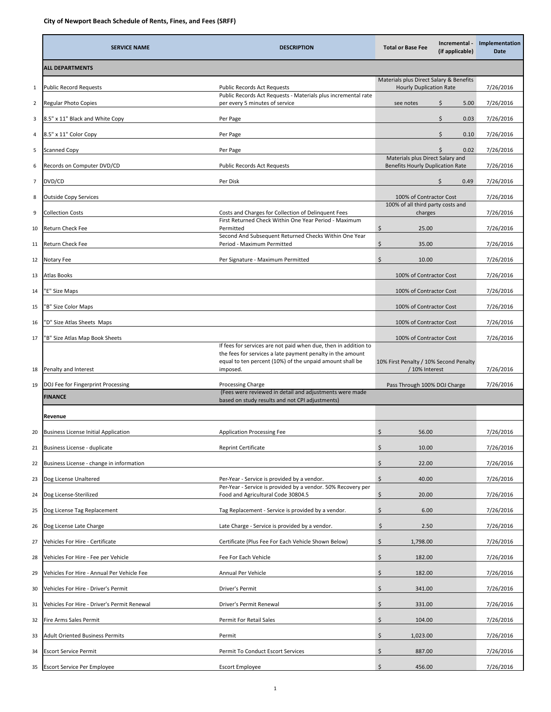|                | <b>SERVICE NAME</b>                         | <b>DESCRIPTION</b>                                                                                                                                                                                    | Incremental -<br><b>Total or Base Fee</b><br>(if applicable)                | Implementation<br>Date |
|----------------|---------------------------------------------|-------------------------------------------------------------------------------------------------------------------------------------------------------------------------------------------------------|-----------------------------------------------------------------------------|------------------------|
|                | <b>ALL DEPARTMENTS</b>                      |                                                                                                                                                                                                       |                                                                             |                        |
| $\mathbf{1}$   | <b>Public Record Requests</b>               | <b>Public Records Act Requests</b>                                                                                                                                                                    | Materials plus Direct Salary & Benefits<br><b>Hourly Duplication Rate</b>   | 7/26/2016              |
| $\overline{2}$ | <b>Regular Photo Copies</b>                 | Public Records Act Requests - Materials plus incremental rate<br>per every 5 minutes of service                                                                                                       | see notes<br>\$<br>5.00                                                     | 7/26/2016              |
| 3              | 8.5" x 11" Black and White Copy             | Per Page                                                                                                                                                                                              | Ś.<br>0.03                                                                  | 7/26/2016              |
| 4              | 8.5" x 11" Color Copy                       | Per Page                                                                                                                                                                                              | \$<br>0.10                                                                  | 7/26/2016              |
| 5              | Scanned Copy                                | Per Page                                                                                                                                                                                              | $\mathsf{\hat{S}}$<br>0.02                                                  | 7/26/2016              |
| 6              | Records on Computer DVD/CD                  | Public Records Act Requests                                                                                                                                                                           | Materials plus Direct Salary and<br><b>Benefits Hourly Duplication Rate</b> | 7/26/2016              |
| $\overline{7}$ | DVD/CD                                      | Per Disk                                                                                                                                                                                              | \$<br>0.49                                                                  | 7/26/2016              |
| 8              | <b>Outside Copy Services</b>                |                                                                                                                                                                                                       | 100% of Contractor Cost                                                     | 7/26/2016              |
| 9              | <b>Collection Costs</b>                     | Costs and Charges for Collection of Delinquent Fees                                                                                                                                                   | 100% of all third party costs and<br>charges                                | 7/26/2016              |
| 10             | Return Check Fee                            | First Returned Check Within One Year Period - Maximum<br>Permitted                                                                                                                                    | \$<br>25.00                                                                 | 7/26/2016              |
| 11             | Return Check Fee                            | Second And Subsequent Returned Checks Within One Year<br>Period - Maximum Permitted                                                                                                                   | \$<br>35.00                                                                 | 7/26/2016              |
| 12             | Notary Fee                                  | Per Signature - Maximum Permitted                                                                                                                                                                     | $\zeta$<br>10.00                                                            | 7/26/2016              |
| 13             | <b>Atlas Books</b>                          |                                                                                                                                                                                                       | 100% of Contractor Cost                                                     | 7/26/2016              |
| 14             | "E" Size Maps                               |                                                                                                                                                                                                       | 100% of Contractor Cost                                                     | 7/26/2016              |
| 15             | 'B" Size Color Maps                         |                                                                                                                                                                                                       | 100% of Contractor Cost                                                     | 7/26/2016              |
| 16             | 'D" Size Atlas Sheets Maps                  |                                                                                                                                                                                                       | 100% of Contractor Cost                                                     | 7/26/2016              |
| 17             | 'B" Size Atlas Map Book Sheets              |                                                                                                                                                                                                       | 100% of Contractor Cost                                                     | 7/26/2016              |
| 18             | Penalty and Interest                        | If fees for services are not paid when due, then in addition to<br>the fees for services a late payment penalty in the amount<br>equal to ten percent (10%) of the unpaid amount shall be<br>imposed. | 10% First Penalty / 10% Second Penalty<br>/ 10% Interest                    | 7/26/2016              |
| 19             | DOJ Fee for Fingerprint Processing          | Processing Charge                                                                                                                                                                                     | Pass Through 100% DOJ Charge                                                | 7/26/2016              |
|                | <b>FINANCE</b>                              | (Fees were reviewed in detail and adjustments were made<br>based on study results and not CPI adjustments)                                                                                            |                                                                             |                        |
|                | Revenue                                     |                                                                                                                                                                                                       |                                                                             |                        |
| 20             | <b>Business License Initial Application</b> | Application Processing Fee                                                                                                                                                                            | \$<br>56.00                                                                 | 7/26/2016              |
| 21             | Business License - duplicate                | <b>Reprint Certificate</b>                                                                                                                                                                            | $\zeta$<br>10.00                                                            | 7/26/2016              |
| 22             | Business License - change in information    |                                                                                                                                                                                                       | \$<br>22.00                                                                 | 7/26/2016              |
| 23             | Dog License Unaltered                       | Per-Year - Service is provided by a vendor.                                                                                                                                                           | \$<br>40.00                                                                 | 7/26/2016              |
| 24             | Dog License-Sterilized                      | Per Year - Service is provided by a vendor. 50% Recovery per<br>Food and Agricultural Code 30804.5                                                                                                    | \$<br>20.00                                                                 | 7/26/2016              |
| 25             | Dog License Tag Replacement                 | Tag Replacement - Service is provided by a vendor.                                                                                                                                                    | \$<br>6.00                                                                  | 7/26/2016              |
| 26             | Dog License Late Charge                     | Late Charge - Service is provided by a vendor.                                                                                                                                                        | \$<br>2.50                                                                  | 7/26/2016              |
| 27             | Vehicles For Hire - Certificate             | Certificate (Plus Fee For Each Vehicle Shown Below)                                                                                                                                                   | \$<br>1,798.00                                                              | 7/26/2016              |
| 28             | Vehicles For Hire - Fee per Vehicle         | Fee For Each Vehicle                                                                                                                                                                                  | \$<br>182.00                                                                | 7/26/2016              |
| 29             | Vehicles For Hire - Annual Per Vehicle Fee  | Annual Per Vehicle                                                                                                                                                                                    | $\zeta$<br>182.00                                                           | 7/26/2016              |
| 30             | Vehicles For Hire - Driver's Permit         | Driver's Permit                                                                                                                                                                                       | \$<br>341.00                                                                | 7/26/2016              |
| 31             | Vehicles For Hire - Driver's Permit Renewal | Driver's Permit Renewal                                                                                                                                                                               | \$<br>331.00                                                                | 7/26/2016              |
| 32             | Fire Arms Sales Permit                      | Permit For Retail Sales                                                                                                                                                                               | \$<br>104.00                                                                | 7/26/2016              |
| 33             | Adult Oriented Business Permits             | Permit                                                                                                                                                                                                | \$<br>1,023.00                                                              | 7/26/2016              |
| 34             | <b>Escort Service Permit</b>                | Permit To Conduct Escort Services                                                                                                                                                                     | \$<br>887.00                                                                | 7/26/2016              |
| 35             | Escort Service Per Employee                 | <b>Escort Employee</b>                                                                                                                                                                                | \$<br>456.00                                                                | 7/26/2016              |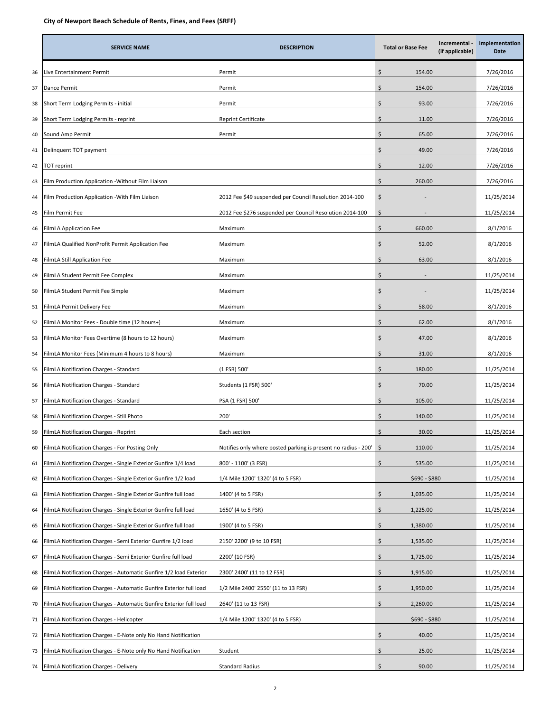|    | <b>SERVICE NAME</b>                                                | <b>DESCRIPTION</b>                                             | <b>Total or Base Fee</b> | Incremental -<br>(if applicable) | Implementation<br>Date |
|----|--------------------------------------------------------------------|----------------------------------------------------------------|--------------------------|----------------------------------|------------------------|
| 36 | Live Entertainment Permit                                          | Permit                                                         | \$<br>154.00             |                                  | 7/26/2016              |
| 37 | Dance Permit                                                       | Permit                                                         | \$<br>154.00             |                                  | 7/26/2016              |
| 38 | Short Term Lodging Permits - initial                               | Permit                                                         | Ś<br>93.00               |                                  | 7/26/2016              |
| 39 | Short Term Lodging Permits - reprint                               | Reprint Certificate                                            | Ś<br>11.00               |                                  | 7/26/2016              |
| 40 | Sound Amp Permit                                                   | Permit                                                         | \$<br>65.00              |                                  | 7/26/2016              |
| 41 | Delinquent TOT payment                                             |                                                                | Ś<br>49.00               |                                  | 7/26/2016              |
| 42 | TOT reprint                                                        |                                                                | Ś<br>12.00               |                                  | 7/26/2016              |
| 43 | Film Production Application -Without Film Liaison                  |                                                                | Ś<br>260.00              |                                  | 7/26/2016              |
| 44 | Film Production Application -With Film Liaison                     | 2012 Fee \$49 suspended per Council Resolution 2014-100        | \$                       |                                  | 11/25/2014             |
| 45 | Film Permit Fee                                                    | 2012 Fee \$276 suspended per Council Resolution 2014-100       | \$                       |                                  | 11/25/2014             |
| 46 | FilmLA Application Fee                                             | Maximum                                                        | \$<br>660.00             |                                  | 8/1/2016               |
| 47 | FilmLA Qualified NonProfit Permit Application Fee                  | Maximum                                                        | \$<br>52.00              |                                  | 8/1/2016               |
| 48 | FilmLA Still Application Fee                                       | Maximum                                                        | 63.00<br>Ś               |                                  | 8/1/2016               |
| 49 | FilmLA Student Permit Fee Complex                                  | Maximum                                                        | Ś                        |                                  | 11/25/2014             |
| 50 | FilmLA Student Permit Fee Simple                                   | Maximum                                                        | \$                       |                                  | 11/25/2014             |
| 51 | FilmLA Permit Delivery Fee                                         | Maximum                                                        | Ś<br>58.00               |                                  | 8/1/2016               |
| 52 | ilmLA Monitor Fees - Double time (12 hours+)                       | Maximum                                                        | Ś<br>62.00               |                                  | 8/1/2016               |
| 53 | FilmLA Monitor Fees Overtime (8 hours to 12 hours)                 | Maximum                                                        | Ś<br>47.00               |                                  | 8/1/2016               |
| 54 | FilmLA Monitor Fees (Minimum 4 hours to 8 hours)                   | Maximum                                                        | Ś<br>31.00               |                                  | 8/1/2016               |
| 55 | FilmLA Notification Charges - Standard                             | (1 FSR) 500'                                                   | \$<br>180.00             |                                  | 11/25/2014             |
| 56 | FilmLA Notification Charges - Standard                             | Students (1 FSR) 500'                                          | \$<br>70.00              |                                  | 11/25/2014             |
| 57 | FilmLA Notification Charges - Standard                             | PSA (1 FSR) 500'                                               | \$<br>105.00             |                                  | 11/25/2014             |
| 58 | FilmLA Notification Charges - Still Photo                          | 200'                                                           | Ś<br>140.00              |                                  | 11/25/2014             |
| 59 | FilmLA Notification Charges - Reprint                              | Each section                                                   | 30.00<br>ς               |                                  | 11/25/2014             |
| 60 | FilmLA Notification Charges - For Posting Only                     | Notifies only where posted parking is present no radius - 200' | 110.00<br>$\sqrt{5}$     |                                  | 11/25/2014             |
| 61 | FilmLA Notification Charges - Single Exterior Gunfire 1/4 load     | 800' - 1100' (3 FSR)                                           | \$<br>535.00             |                                  | 11/25/2014             |
| 62 | ilmLA Notification Charges - Single Exterior Gunfire 1/2 load      | 1/4 Mile 1200' 1320' (4 to 5 FSR)                              | $$690 - $880$            |                                  | 11/25/2014             |
| 63 | FilmLA Notification Charges - Single Exterior Gunfire full load    | 1400' (4 to 5 FSR)                                             | \$<br>1,035.00           |                                  | 11/25/2014             |
| 64 | FilmLA Notification Charges - Single Exterior Gunfire full load    | 1650' (4 to 5 FSR)                                             | \$<br>1,225.00           |                                  | 11/25/2014             |
| 65 | FilmLA Notification Charges - Single Exterior Gunfire full load    | 1900' (4 to 5 FSR)                                             | \$<br>1,380.00           |                                  | 11/25/2014             |
| 66 | FilmLA Notification Charges - Semi Exterior Gunfire 1/2 load       | 2150' 2200' (9 to 10 FSR)                                      | \$<br>1,535.00           |                                  | 11/25/2014             |
| 67 | FilmLA Notification Charges - Semi Exterior Gunfire full load      | 2200' (10 FSR)                                                 | \$<br>1,725.00           |                                  | 11/25/2014             |
| 68 | FilmLA Notification Charges - Automatic Gunfire 1/2 load Exterior  | 2300' 2400' (11 to 12 FSR)                                     | \$<br>1,915.00           |                                  | 11/25/2014             |
| 69 | FilmLA Notification Charges - Automatic Gunfire Exterior full load | 1/2 Mile 2400' 2550' (11 to 13 FSR)                            | \$<br>1,950.00           |                                  | 11/25/2014             |
| 70 | FilmLA Notification Charges - Automatic Gunfire Exterior full load | 2640' (11 to 13 FSR)                                           | \$<br>2,260.00           |                                  | 11/25/2014             |
| 71 | FilmLA Notification Charges - Helicopter                           | 1/4 Mile 1200' 1320' (4 to 5 FSR)                              | \$690 - \$880            |                                  | 11/25/2014             |
| 72 | ilmLA Notification Charges - E-Note only No Hand Notification      |                                                                | \$<br>40.00              |                                  | 11/25/2014             |
| 73 | FilmLA Notification Charges - E-Note only No Hand Notification     | Student                                                        | \$<br>25.00              |                                  | 11/25/2014             |
| 74 | FilmLA Notification Charges - Delivery                             | <b>Standard Radius</b>                                         | \$<br>90.00              |                                  | 11/25/2014             |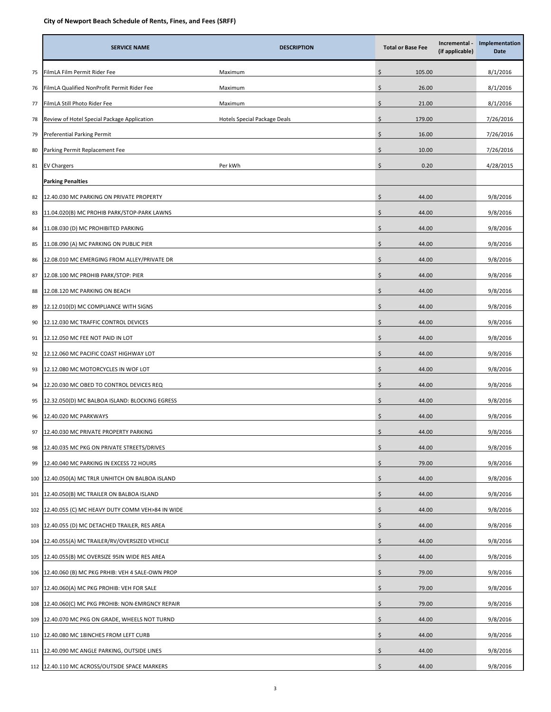|     | <b>SERVICE NAME</b>                             | <b>DESCRIPTION</b>           | <b>Total or Base Fee</b> | Incremental -<br>(if applicable) | Implementation<br>Date |
|-----|-------------------------------------------------|------------------------------|--------------------------|----------------------------------|------------------------|
| 75  | FilmLA Film Permit Rider Fee                    | Maximum                      | Ś<br>105.00              |                                  | 8/1/2016               |
| 76  | ilmLA Qualified NonProfit Permit Rider Fee      | Maximum                      | \$<br>26.00              |                                  | 8/1/2016               |
| 77  | FilmLA Still Photo Rider Fee                    | Maximum                      | \$<br>21.00              |                                  | 8/1/2016               |
| 78  | Review of Hotel Special Package Application     | Hotels Special Package Deals | \$<br>179.00             |                                  | 7/26/2016              |
| 79  | Preferential Parking Permit                     |                              | \$<br>16.00              |                                  | 7/26/2016              |
| 80  | Parking Permit Replacement Fee                  |                              | \$<br>10.00              |                                  | 7/26/2016              |
| 81  | <b>EV Chargers</b>                              | Per kWh                      | \$<br>0.20               |                                  | 4/28/2015              |
|     | <b>Parking Penalties</b>                        |                              |                          |                                  |                        |
| 82  | 12.40.030 MC PARKING ON PRIVATE PROPERTY        |                              | \$<br>44.00              |                                  | 9/8/2016               |
| 83  | 11.04.020(B) MC PROHIB PARK/STOP-PARK LAWNS     |                              | \$<br>44.00              |                                  | 9/8/2016               |
| 84  | 11.08.030 (D) MC PROHIBITED PARKING             |                              | Ś<br>44.00               |                                  | 9/8/2016               |
| 85  | 11.08.090 (A) MC PARKING ON PUBLIC PIER         |                              | \$<br>44.00              |                                  | 9/8/2016               |
| 86  | 12.08.010 MC EMERGING FROM ALLEY/PRIVATE DR     |                              | \$<br>44.00              |                                  | 9/8/2016               |
| 87  | 12.08.100 MC PROHIB PARK/STOP: PIER             |                              | \$<br>44.00              |                                  | 9/8/2016               |
| 88  | 12.08.120 MC PARKING ON BEACH                   |                              | \$<br>44.00              |                                  | 9/8/2016               |
| 89  | 12.12.010(D) MC COMPLIANCE WITH SIGNS           |                              | \$<br>44.00              |                                  | 9/8/2016               |
| 90  | 12.12.030 MC TRAFFIC CONTROL DEVICES            |                              | \$<br>44.00              |                                  | 9/8/2016               |
| 91  | 12.12.050 MC FEE NOT PAID IN LOT                |                              | \$<br>44.00              |                                  | 9/8/2016               |
| 92  | 12.12.060 MC PACIFIC COAST HIGHWAY LOT          |                              | \$<br>44.00              |                                  | 9/8/2016               |
| 93  | 12.12.080 MC MOTORCYCLES IN WOF LOT             |                              | \$<br>44.00              |                                  | 9/8/2016               |
| 94  | 12.20.030 MC OBED TO CONTROL DEVICES REQ        |                              | Ś<br>44.00               |                                  | 9/8/2016               |
| 95  | 12.32.050(D) MC BALBOA ISLAND: BLOCKING EGRESS  |                              | \$<br>44.00              |                                  | 9/8/2016               |
| 96  | 12.40.020 MC PARKWAYS                           |                              | \$<br>44.00              |                                  | 9/8/2016               |
| 97  | 12.40.030 MC PRIVATE PROPERTY PARKING           |                              | \$<br>44.00              |                                  | 9/8/2016               |
| 98  | 12.40.035 MC PKG ON PRIVATE STREETS/DRIVES      |                              | \$<br>44.00              |                                  | 9/8/2016               |
| 99  | 12.40.040 MC PARKING IN EXCESS 72 HOURS         |                              | \$<br>79.00              |                                  | 9/8/2016               |
| 100 | 12.40.050(A) MC TRLR UNHITCH ON BALBOA ISLAND   |                              | \$<br>44.00              |                                  | 9/8/2016               |
| 101 | 12.40.050(B) MC TRAILER ON BALBOA ISLAND        |                              | \$<br>44.00              |                                  | 9/8/2016               |
| 102 | 12.40.055 (C) MC HEAVY DUTY COMM VEH>84 IN WIDE |                              | \$<br>44.00              |                                  | 9/8/2016               |
| 103 | 12.40.055 (D) MC DETACHED TRAILER, RES AREA     |                              | \$<br>44.00              |                                  | 9/8/2016               |
| 104 | 12.40.055(A) MC TRAILER/RV/OVERSIZED VEHICLE    |                              | \$<br>44.00              |                                  | 9/8/2016               |
| 105 | 12.40.055(B) MC OVERSIZE 95IN WIDE RES AREA     |                              | \$<br>44.00              |                                  | 9/8/2016               |
| 106 | 12.40.060 (B) MC PKG PRHIB: VEH 4 SALE-OWN PROP |                              | \$<br>79.00              |                                  | 9/8/2016               |
| 107 | 12.40.060(A) MC PKG PROHIB: VEH FOR SALE        |                              | \$<br>79.00              |                                  | 9/8/2016               |
| 108 | 12.40.060(C) MC PKG PROHIB: NON-EMRGNCY REPAIR  |                              | \$<br>79.00              |                                  | 9/8/2016               |
| 109 | 12.40.070 MC PKG ON GRADE, WHEELS NOT TURND     |                              | \$<br>44.00              |                                  | 9/8/2016               |
| 110 | 12.40.080 MC 18INCHES FROM LEFT CURB            |                              | \$<br>44.00              |                                  | 9/8/2016               |
| 111 | 12.40.090 MC ANGLE PARKING, OUTSIDE LINES       |                              | \$<br>44.00              |                                  | 9/8/2016               |
|     | 112 12.40.110 MC ACROSS/OUTSIDE SPACE MARKERS   |                              | \$<br>44.00              |                                  | 9/8/2016               |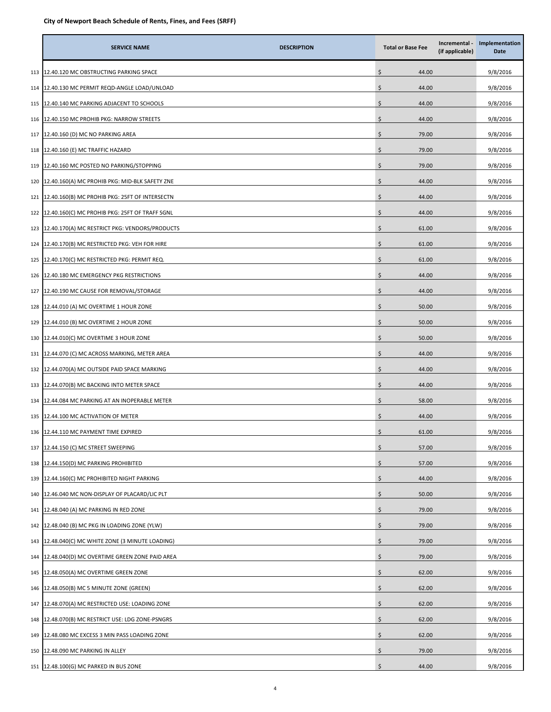|     | <b>SERVICE NAME</b>                            | <b>DESCRIPTION</b> | <b>Total or Base Fee</b> | Incremental -<br>(if applicable) | Implementation<br>Date |
|-----|------------------------------------------------|--------------------|--------------------------|----------------------------------|------------------------|
| 113 | 12.40.120 MC OBSTRUCTING PARKING SPACE         |                    | \$<br>44.00              |                                  | 9/8/2016               |
| 114 | 12.40.130 MC PERMIT REQD-ANGLE LOAD/UNLOAD     |                    | \$<br>44.00              |                                  | 9/8/2016               |
| 115 | 12.40.140 MC PARKING ADJACENT TO SCHOOLS       |                    | \$<br>44.00              |                                  | 9/8/2016               |
| 116 | 12.40.150 MC PROHIB PKG: NARROW STREETS        |                    | \$<br>44.00              |                                  | 9/8/2016               |
| 117 | L2.40.160 (D) MC NO PARKING AREA               |                    | \$<br>79.00              |                                  | 9/8/2016               |
| 118 | L2.40.160 (E) MC TRAFFIC HAZARD                |                    | \$<br>79.00              |                                  | 9/8/2016               |
| 119 | L2.40.160 MC POSTED NO PARKING/STOPPING        |                    | \$<br>79.00              |                                  | 9/8/2016               |
| 120 | 12.40.160(A) MC PROHIB PKG: MID-BLK SAFETY ZNE |                    | \$<br>44.00              |                                  | 9/8/2016               |
| 121 | 12.40.160(B) MC PROHIB PKG: 25FT OF INTERSECTN |                    | Ś<br>44.00               |                                  | 9/8/2016               |
| 122 | 12.40.160(C) MC PROHIB PKG: 25FT OF TRAFF SGNL |                    | \$<br>44.00              |                                  | 9/8/2016               |
| 123 | L2.40.170(A) MC RESTRICT PKG: VENDORS/PRODUCTS |                    | \$<br>61.00              |                                  | 9/8/2016               |
| 124 | 12.40.170(B) MC RESTRICTED PKG: VEH FOR HIRE   |                    | \$<br>61.00              |                                  | 9/8/2016               |
| 125 | 12.40.170(C) MC RESTRICTED PKG: PERMIT REQ.    |                    | \$<br>61.00              |                                  | 9/8/2016               |
| 126 | 12.40.180 MC EMERGENCY PKG RESTRICTIONS        |                    | \$<br>44.00              |                                  | 9/8/2016               |
| 127 | L2.40.190 MC CAUSE FOR REMOVAL/STORAGE         |                    | \$<br>44.00              |                                  | 9/8/2016               |
| 128 | L2.44.010 (A) MC OVERTIME 1 HOUR ZONE          |                    | \$<br>50.00              |                                  | 9/8/2016               |
| 129 | L2.44.010 (B) MC OVERTIME 2 HOUR ZONE          |                    | \$<br>50.00              |                                  | 9/8/2016               |
| 130 | 12.44.010(C) MC OVERTIME 3 HOUR ZONE           |                    | \$<br>50.00              |                                  | 9/8/2016               |
| 131 | 12.44.070 (C) MC ACROSS MARKING, METER AREA    |                    | Ś<br>44.00               |                                  | 9/8/2016               |
| 132 | 12.44.070(A) MC OUTSIDE PAID SPACE MARKING     |                    | \$<br>44.00              |                                  | 9/8/2016               |
| 133 | 12.44.070(B) MC BACKING INTO METER SPACE       |                    | \$<br>44.00              |                                  | 9/8/2016               |
| 134 | 12.44.084 MC PARKING AT AN INOPERABLE METER    |                    | \$<br>58.00              |                                  | 9/8/2016               |
| 135 | 12.44.100 MC ACTIVATION OF METER               |                    | \$<br>44.00              |                                  | 9/8/2016               |
| 136 | 12.44.110 MC PAYMENT TIME EXPIRED              |                    | \$<br>61.00              |                                  | 9/8/2016               |
| 137 | 12.44.150 (C) MC STREET SWEEPING               |                    | \$<br>57.00              |                                  | 9/8/2016               |
| 138 | L2.44.150(D) MC PARKING PROHIBITED             |                    | \$<br>57.00              |                                  | 9/8/2016               |
| 139 | L2.44.160(C) MC PROHIBITED NIGHT PARKING       |                    | \$<br>44.00              |                                  | 9/8/2016               |
| 140 | 12.46.040 MC NON-DISPLAY OF PLACARD/LIC PLT    |                    | \$<br>50.00              |                                  | 9/8/2016               |
| 141 | 12.48.040 (A) MC PARKING IN RED ZONE           |                    | \$<br>79.00              |                                  | 9/8/2016               |
| 142 | L2.48.040 (B) MC PKG IN LOADING ZONE (YLW)     |                    | \$<br>79.00              |                                  | 9/8/2016               |
| 143 | L2.48.040(C) MC WHITE ZONE (3 MINUTE LOADING)  |                    | \$<br>79.00              |                                  | 9/8/2016               |
| 144 | 12.48.040(D) MC OVERTIME GREEN ZONE PAID AREA  |                    | \$<br>79.00              |                                  | 9/8/2016               |
| 145 | 12.48.050(A) MC OVERTIME GREEN ZONE            |                    | \$<br>62.00              |                                  | 9/8/2016               |
| 146 | 12.48.050(B) MC 5 MINUTE ZONE (GREEN)          |                    | \$.<br>62.00             |                                  | 9/8/2016               |
| 147 | L2.48.070(A) MC RESTRICTED USE: LOADING ZONE   |                    | \$<br>62.00              |                                  | 9/8/2016               |
| 148 | .2.48.070(B) MC RESTRICT USE: LDG ZONE-PSNGRS  |                    | \$<br>62.00              |                                  | 9/8/2016               |
| 149 | L2.48.080 MC EXCESS 3 MIN PASS LOADING ZONE    |                    | \$<br>62.00              |                                  | 9/8/2016               |
| 150 | 12.48.090 MC PARKING IN ALLEY                  |                    | \$<br>79.00              |                                  | 9/8/2016               |
|     | 151 12.48.100(G) MC PARKED IN BUS ZONE         |                    | Ŝ.<br>44.00              |                                  | 9/8/2016               |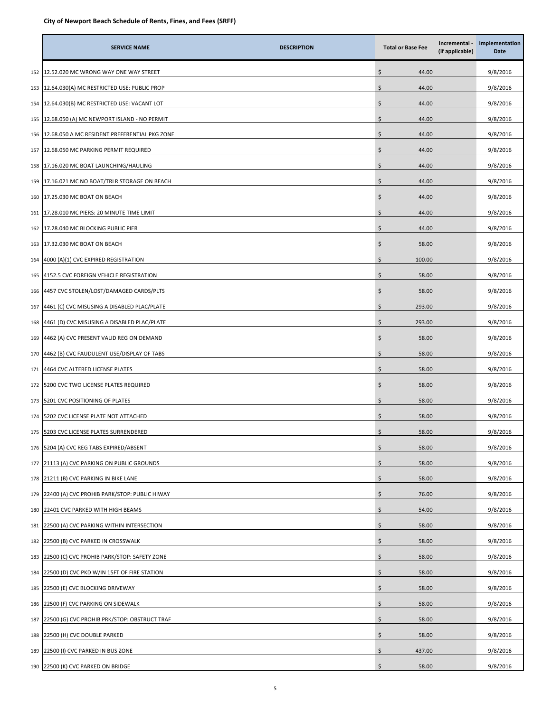|     | <b>SERVICE NAME</b>                           | <b>DESCRIPTION</b> | <b>Total or Base Fee</b> | Incremental -<br>(if applicable) | Implementation<br>Date |
|-----|-----------------------------------------------|--------------------|--------------------------|----------------------------------|------------------------|
| 152 | 12.52.020 MC WRONG WAY ONE WAY STREET         |                    | \$<br>44.00              |                                  | 9/8/2016               |
| 153 | 12.64.030(A) MC RESTRICTED USE: PUBLIC PROP   |                    | \$<br>44.00              |                                  | 9/8/2016               |
| 154 | 12.64.030(B) MC RESTRICTED USE: VACANT LOT    |                    | 44.00<br>\$              |                                  | 9/8/2016               |
| 155 | 12.68.050 (A) MC NEWPORT ISLAND - NO PERMIT   |                    | \$<br>44.00              |                                  | 9/8/2016               |
| 156 | 12.68.050 A MC RESIDENT PREFERENTIAL PKG ZONE |                    | \$<br>44.00              |                                  | 9/8/2016               |
| 157 | 12.68.050 MC PARKING PERMIT REQUIRED          |                    | \$<br>44.00              |                                  | 9/8/2016               |
| 158 | 17.16.020 MC BOAT LAUNCHING/HAULING           |                    | \$<br>44.00              |                                  | 9/8/2016               |
| 159 | 17.16.021 MC NO BOAT/TRLR STORAGE ON BEACH    |                    | \$<br>44.00              |                                  | 9/8/2016               |
| 160 | 17.25.030 MC BOAT ON BEACH                    |                    | Ś<br>44.00               |                                  | 9/8/2016               |
| 161 | 17.28.010 MC PIERS: 20 MINUTE TIME LIMIT      |                    | Ś<br>44.00               |                                  | 9/8/2016               |
| 162 | 17.28.040 MC BLOCKING PUBLIC PIER             |                    | 44.00<br>\$              |                                  | 9/8/2016               |
| 163 | 17.32.030 MC BOAT ON BEACH                    |                    | \$<br>58.00              |                                  | 9/8/2016               |
| 164 | 4000 (A)(1) CVC EXPIRED REGISTRATION          |                    | 100.00<br>\$             |                                  | 9/8/2016               |
| 165 | 4152.5 CVC FOREIGN VEHICLE REGISTRATION       |                    | \$<br>58.00              |                                  | 9/8/2016               |
| 166 | 4457 CVC STOLEN/LOST/DAMAGED CARDS/PLTS       |                    | \$<br>58.00              |                                  | 9/8/2016               |
| 167 | 4461 (C) CVC MISUSING A DISABLED PLAC/PLATE   |                    | \$<br>293.00             |                                  | 9/8/2016               |
| 168 | 4461 (D) CVC MISUSING A DISABLED PLAC/PLATE   |                    | \$<br>293.00             |                                  | 9/8/2016               |
| 169 | 4462 (A) CVC PRESENT VALID REG ON DEMAND      |                    | \$<br>58.00              |                                  | 9/8/2016               |
| 170 | 4462 (B) CVC FAUDULENT USE/DISPLAY OF TABS    |                    | Ś<br>58.00               |                                  | 9/8/2016               |
| 171 | 4464 CVC ALTERED LICENSE PLATES               |                    | \$<br>58.00              |                                  | 9/8/2016               |
| 172 | 5200 CVC TWO LICENSE PLATES REQUIRED          |                    | 58.00<br>\$              |                                  | 9/8/2016               |
| 173 | 5201 CVC POSITIONING OF PLATES                |                    | \$<br>58.00              |                                  | 9/8/2016               |
| 174 | 5202 CVC LICENSE PLATE NOT ATTACHED           |                    | \$<br>58.00              |                                  | 9/8/2016               |
| 175 | 5203 CVC LICENSE PLATES SURRENDERED           |                    | \$<br>58.00              |                                  | 9/8/2016               |
| 176 | 5204 (A) CVC REG TABS EXPIRED/ABSENT          |                    | \$<br>58.00              |                                  | 9/8/2016               |
| 177 | 21113 (A) CVC PARKING ON PUBLIC GROUNDS       |                    | \$<br>58.00              |                                  | 9/8/2016               |
| 178 | 21211 (B) CVC PARKING IN BIKE LANE            |                    | \$<br>58.00              |                                  | 9/8/2016               |
| 179 | 22400 (A) CVC PROHIB PARK/STOP: PUBLIC HIWAY  |                    | \$<br>76.00              |                                  | 9/8/2016               |
| 180 | 22401 CVC PARKED WITH HIGH BEAMS              |                    | \$<br>54.00              |                                  | 9/8/2016               |
| 181 | 22500 (A) CVC PARKING WITHIN INTERSECTION     |                    | \$<br>58.00              |                                  | 9/8/2016               |
| 182 | 22500 (B) CVC PARKED IN CROSSWALK             |                    | \$<br>58.00              |                                  | 9/8/2016               |
| 183 | 22500 (C) CVC PROHIB PARK/STOP: SAFETY ZONE   |                    | \$<br>58.00              |                                  | 9/8/2016               |
| 184 | 22500 (D) CVC PKD W/IN 15FT OF FIRE STATION   |                    | \$<br>58.00              |                                  | 9/8/2016               |
| 185 | 22500 (E) CVC BLOCKING DRIVEWAY               |                    | \$<br>58.00              |                                  | 9/8/2016               |
| 186 | 22500 (F) CVC PARKING ON SIDEWALK             |                    | \$<br>58.00              |                                  | 9/8/2016               |
| 187 | 22500 (G) CVC PROHIB PRK/STOP: OBSTRUCT TRAF  |                    | \$<br>58.00              |                                  | 9/8/2016               |
| 188 | 22500 (H) CVC DOUBLE PARKED                   |                    | \$<br>58.00              |                                  | 9/8/2016               |
| 189 | 22500 (I) CVC PARKED IN BUS ZONE              |                    | \$<br>437.00             |                                  | 9/8/2016               |
|     | 190 22500 (K) CVC PARKED ON BRIDGE            |                    | Ŝ.<br>58.00              |                                  | 9/8/2016               |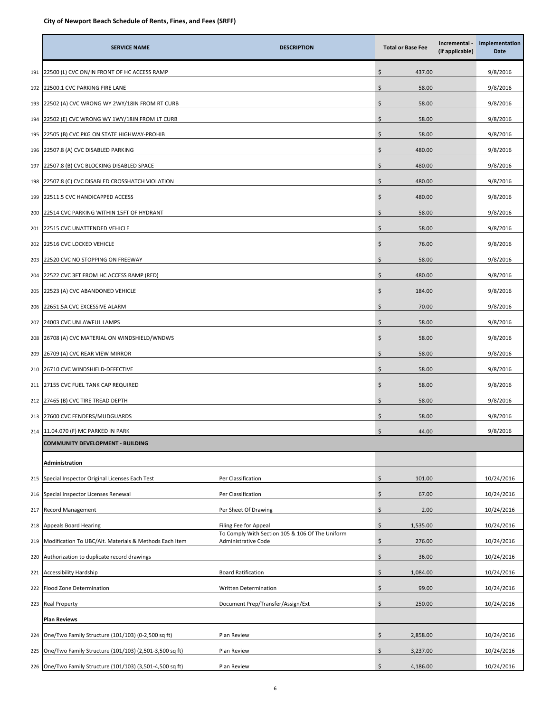|     | <b>SERVICE NAME</b>                                        | <b>DESCRIPTION</b>                                                            |    | <b>Total or Base Fee</b> | Incremental -<br>(if applicable) | Implementation<br>Date |
|-----|------------------------------------------------------------|-------------------------------------------------------------------------------|----|--------------------------|----------------------------------|------------------------|
| 191 | 22500 (L) CVC ON/IN FRONT OF HC ACCESS RAMP                |                                                                               | \$ | 437.00                   |                                  | 9/8/2016               |
| 192 | 22500.1 CVC PARKING FIRE LANE                              |                                                                               | \$ | 58.00                    |                                  | 9/8/2016               |
| 193 | 22502 (A) CVC WRONG WY 2WY/18IN FROM RT CURB               |                                                                               | \$ | 58.00                    |                                  | 9/8/2016               |
| 194 | 22502 (E) CVC WRONG WY 1WY/18IN FROM LT CURB               |                                                                               | \$ | 58.00                    |                                  | 9/8/2016               |
| 195 | 22505 (B) CVC PKG ON STATE HIGHWAY-PROHIB                  |                                                                               | \$ | 58.00                    |                                  | 9/8/2016               |
| 196 | 22507.8 (A) CVC DISABLED PARKING                           |                                                                               | \$ | 480.00                   |                                  | 9/8/2016               |
| 197 | 22507.8 (B) CVC BLOCKING DISABLED SPACE                    |                                                                               | \$ | 480.00                   |                                  | 9/8/2016               |
| 198 | 22507.8 (C) CVC DISABLED CROSSHATCH VIOLATION              |                                                                               | \$ | 480.00                   |                                  | 9/8/2016               |
| 199 | 22511.5 CVC HANDICAPPED ACCESS                             |                                                                               | Ś  | 480.00                   |                                  | 9/8/2016               |
| 200 | 22514 CVC PARKING WITHIN 15FT OF HYDRANT                   |                                                                               | \$ | 58.00                    |                                  | 9/8/2016               |
| 201 | 22515 CVC UNATTENDED VEHICLE                               |                                                                               | \$ | 58.00                    |                                  | 9/8/2016               |
| 202 | 22516 CVC LOCKED VEHICLE                                   |                                                                               | \$ | 76.00                    |                                  | 9/8/2016               |
| 203 | 22520 CVC NO STOPPING ON FREEWAY                           |                                                                               | \$ | 58.00                    |                                  | 9/8/2016               |
| 204 | 22522 CVC 3FT FROM HC ACCESS RAMP (RED)                    |                                                                               | \$ | 480.00                   |                                  | 9/8/2016               |
| 205 | 22523 (A) CVC ABANDONED VEHICLE                            |                                                                               | \$ | 184.00                   |                                  | 9/8/2016               |
| 206 | 22651.5A CVC EXCESSIVE ALARM                               |                                                                               | \$ | 70.00                    |                                  | 9/8/2016               |
| 207 | 24003 CVC UNLAWFUL LAMPS                                   |                                                                               | \$ | 58.00                    |                                  | 9/8/2016               |
| 208 | 26708 (A) CVC MATERIAL ON WINDSHIELD/WNDWS                 |                                                                               | \$ | 58.00                    |                                  | 9/8/2016               |
| 209 | 26709 (A) CVC REAR VIEW MIRROR                             |                                                                               | \$ | 58.00                    |                                  | 9/8/2016               |
| 210 | 26710 CVC WINDSHIELD-DEFECTIVE                             |                                                                               | \$ | 58.00                    |                                  | 9/8/2016               |
| 211 | 27155 CVC FUEL TANK CAP REQUIRED                           |                                                                               | \$ | 58.00                    |                                  | 9/8/2016               |
| 212 | 27465 (B) CVC TIRE TREAD DEPTH                             |                                                                               | \$ | 58.00                    |                                  | 9/8/2016               |
| 213 | 27600 CVC FENDERS/MUDGUARDS                                |                                                                               | \$ | 58.00                    |                                  | 9/8/2016               |
| 214 | 11.04.070 (F) MC PARKED IN PARK                            |                                                                               | \$ | 44.00                    |                                  | 9/8/2016               |
|     | <b>COMMUNITY DEVELOPMENT - BUILDING</b>                    |                                                                               |    |                          |                                  |                        |
|     | Administration                                             |                                                                               |    |                          |                                  |                        |
| 215 | Special Inspector Original Licenses Each Test              | Per Classification                                                            | \$ | 101.00                   |                                  | 10/24/2016             |
| 216 | Special Inspector Licenses Renewal                         | Per Classification                                                            | \$ | 67.00                    |                                  | 10/24/2016             |
| 217 | <b>Record Management</b>                                   | Per Sheet Of Drawing                                                          | \$ | 2.00                     |                                  | 10/24/2016             |
| 218 | <b>Appeals Board Hearing</b>                               | Filing Fee for Appeal                                                         | \$ | 1,535.00                 |                                  | 10/24/2016             |
| 219 | Modification To UBC/Alt. Materials & Methods Each Item     | To Comply With Section 105 & 106 Of The Uniform<br><b>Administrative Code</b> | \$ | 276.00                   |                                  | 10/24/2016             |
| 220 | Authorization to duplicate record drawings                 |                                                                               | \$ | 36.00                    |                                  | 10/24/2016             |
| 221 | <b>Accessibility Hardship</b>                              | <b>Board Ratification</b>                                                     | \$ | 1,084.00                 |                                  | 10/24/2016             |
| 222 | Flood Zone Determination                                   | Written Determination                                                         | \$ | 99.00                    |                                  | 10/24/2016             |
| 223 | <b>Real Property</b>                                       | Document Prep/Transfer/Assign/Ext                                             | \$ | 250.00                   |                                  | 10/24/2016             |
|     | <b>Plan Reviews</b>                                        |                                                                               |    |                          |                                  |                        |
| 224 | One/Two Family Structure (101/103) (0-2,500 sq ft)         | Plan Review                                                                   | \$ | 2,858.00                 |                                  | 10/24/2016             |
| 225 | One/Two Family Structure (101/103) (2,501-3,500 sq ft)     | Plan Review                                                                   | \$ | 3,237.00                 |                                  | 10/24/2016             |
|     | 226 One/Two Family Structure (101/103) (3,501-4,500 sq ft) | Plan Review                                                                   | \$ | 4,186.00                 |                                  | 10/24/2016             |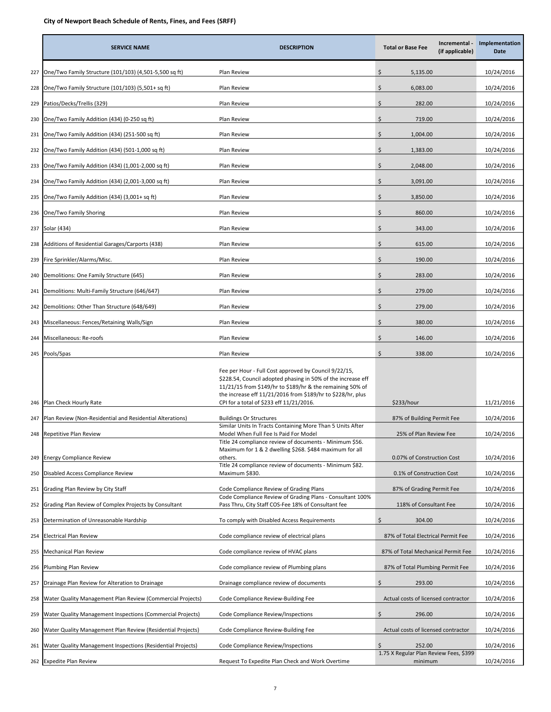|     | <b>SERVICE NAME</b>                                         | <b>DESCRIPTION</b>                                                                                                                                                                                                                                                                            | <b>Total or Base Fee</b>                          | Incremental -<br>(if applicable) | Implementation<br>Date |
|-----|-------------------------------------------------------------|-----------------------------------------------------------------------------------------------------------------------------------------------------------------------------------------------------------------------------------------------------------------------------------------------|---------------------------------------------------|----------------------------------|------------------------|
| 227 | One/Two Family Structure (101/103) (4,501-5,500 sq ft)      | Plan Review                                                                                                                                                                                                                                                                                   | \$<br>5,135.00                                    |                                  | 10/24/2016             |
| 228 | One/Two Family Structure (101/103) (5,501+ sq ft)           | Plan Review                                                                                                                                                                                                                                                                                   | \$<br>6,083.00                                    |                                  | 10/24/2016             |
| 229 | Patios/Decks/Trellis (329)                                  | Plan Review                                                                                                                                                                                                                                                                                   | \$<br>282.00                                      |                                  | 10/24/2016             |
| 230 | One/Two Family Addition (434) (0-250 sq ft)                 | Plan Review                                                                                                                                                                                                                                                                                   | \$<br>719.00                                      |                                  | 10/24/2016             |
| 231 | One/Two Family Addition (434) (251-500 sq ft)               | Plan Review                                                                                                                                                                                                                                                                                   | \$<br>1,004.00                                    |                                  | 10/24/2016             |
| 232 | One/Two Family Addition (434) (501-1,000 sq ft)             | Plan Review                                                                                                                                                                                                                                                                                   | \$<br>1,383.00                                    |                                  | 10/24/2016             |
| 233 | One/Two Family Addition (434) (1,001-2,000 sq ft)           | Plan Review                                                                                                                                                                                                                                                                                   | \$<br>2,048.00                                    |                                  | 10/24/2016             |
| 234 | One/Two Family Addition (434) (2,001-3,000 sq ft)           | Plan Review                                                                                                                                                                                                                                                                                   | \$.<br>3,091.00                                   |                                  | 10/24/2016             |
| 235 | One/Two Family Addition (434) (3,001+ sq ft)                | Plan Review                                                                                                                                                                                                                                                                                   | \$<br>3,850.00                                    |                                  | 10/24/2016             |
|     | 236 One/Two Family Shoring                                  | Plan Review                                                                                                                                                                                                                                                                                   | \$<br>860.00                                      |                                  | 10/24/2016             |
| 237 | Solar (434)                                                 | Plan Review                                                                                                                                                                                                                                                                                   | \$<br>343.00                                      |                                  | 10/24/2016             |
| 238 | Additions of Residential Garages/Carports (438)             | Plan Review                                                                                                                                                                                                                                                                                   | \$<br>615.00                                      |                                  | 10/24/2016             |
| 239 | Fire Sprinkler/Alarms/Misc.                                 | Plan Review                                                                                                                                                                                                                                                                                   | \$<br>190.00                                      |                                  | 10/24/2016             |
| 240 | Demolitions: One Family Structure (645)                     | Plan Review                                                                                                                                                                                                                                                                                   | \$<br>283.00                                      |                                  | 10/24/2016             |
| 241 | Demolitions: Multi-Family Structure (646/647)               | Plan Review                                                                                                                                                                                                                                                                                   | \$<br>279.00                                      |                                  | 10/24/2016             |
| 242 | Demolitions: Other Than Structure (648/649)                 | Plan Review                                                                                                                                                                                                                                                                                   | \$<br>279.00                                      |                                  | 10/24/2016             |
| 243 | Miscellaneous: Fences/Retaining Walls/Sign                  | Plan Review                                                                                                                                                                                                                                                                                   | \$<br>380.00                                      |                                  | 10/24/2016             |
| 244 | Miscellaneous: Re-roofs                                     | Plan Review                                                                                                                                                                                                                                                                                   | \$<br>146.00                                      |                                  | 10/24/2016             |
|     | 245 Pools/Spas                                              | Plan Review                                                                                                                                                                                                                                                                                   | Ś.<br>338.00                                      |                                  | 10/24/2016             |
| 246 | Plan Check Hourly Rate                                      | Fee per Hour - Full Cost approved by Council 9/22/15,<br>\$228.54, Council adopted phasing in 50% of the increase eff<br>11/21/15 from \$149/hr to \$189/hr & the remaining 50% of<br>the increase eff 11/21/2016 from \$189/hr to \$228/hr, plus<br>CPI for a total of \$233 eff 11/21/2016. | \$233/hour                                        |                                  |                        |
| 247 | Plan Review (Non-Residential and Residential Alterations)   | <b>Buildings Or Structures</b>                                                                                                                                                                                                                                                                | 87% of Building Permit Fee                        |                                  | 10/24/2016             |
|     | 248 Repetitive Plan Review                                  | Similar Units In Tracts Containing More Than 5 Units After<br>Model When Full Fee Is Paid For Model                                                                                                                                                                                           | 25% of Plan Review Fee                            |                                  | 10/24/2016             |
| 249 | <b>Energy Compliance Review</b>                             | Title 24 compliance review of documents - Minimum \$56.<br>Maximum for 1 & 2 dwelling \$268. \$484 maximum for all<br>others.                                                                                                                                                                 | 0.07% of Construction Cost                        |                                  | 10/24/2016             |
| 250 | Disabled Access Compliance Review                           | Title 24 compliance review of documents - Minimum \$82.<br>Maximum \$830.                                                                                                                                                                                                                     | 0.1% of Construction Cost                         |                                  | 10/24/2016             |
| 251 | Grading Plan Review by City Staff                           | Code Compliance Review of Grading Plans                                                                                                                                                                                                                                                       | 87% of Grading Permit Fee                         |                                  | 10/24/2016             |
| 252 | Grading Plan Review of Complex Projects by Consultant       | Code Compliance Review of Grading Plans - Consultant 100%<br>Pass Thru, City Staff COS-Fee 18% of Consultant fee                                                                                                                                                                              | 118% of Consultant Fee                            |                                  | 10/24/2016             |
| 253 | Determination of Unreasonable Hardship                      | To comply with Disabled Access Requirements                                                                                                                                                                                                                                                   | \$<br>304.00                                      |                                  | 10/24/2016             |
| 254 | Electrical Plan Review                                      | Code compliance review of electrical plans                                                                                                                                                                                                                                                    | 87% of Total Electrical Permit Fee                |                                  | 10/24/2016             |
| 255 | Mechanical Plan Review                                      | Code compliance review of HVAC plans                                                                                                                                                                                                                                                          | 87% of Total Mechanical Permit Fee                |                                  | 10/24/2016             |
| 256 | Plumbing Plan Review                                        | Code compliance review of Plumbing plans                                                                                                                                                                                                                                                      | 87% of Total Plumbing Permit Fee                  |                                  | 10/24/2016             |
| 257 | Drainage Plan Review for Alteration to Drainage             | Drainage compliance review of documents                                                                                                                                                                                                                                                       | \$<br>293.00                                      |                                  | 10/24/2016             |
| 258 | Water Quality Management Plan Review (Commercial Projects)  | Code Compliance Review-Building Fee                                                                                                                                                                                                                                                           | Actual costs of licensed contractor               |                                  | 10/24/2016             |
| 259 | Water Quality Management Inspections (Commercial Projects)  | Code Compliance Review/Inspections                                                                                                                                                                                                                                                            | \$<br>296.00                                      |                                  | 10/24/2016             |
| 260 | Water Quality Management Plan Review (Residential Projects) | Code Compliance Review-Building Fee                                                                                                                                                                                                                                                           | Actual costs of licensed contractor               |                                  | 10/24/2016             |
| 261 | Water Quality Management Inspections (Residential Projects) | Code Compliance Review/Inspections                                                                                                                                                                                                                                                            | 252.00                                            |                                  | 10/24/2016             |
|     | 262 Expedite Plan Review                                    | Request To Expedite Plan Check and Work Overtime                                                                                                                                                                                                                                              | 1.75 X Regular Plan Review Fees, \$399<br>minimum |                                  | 10/24/2016             |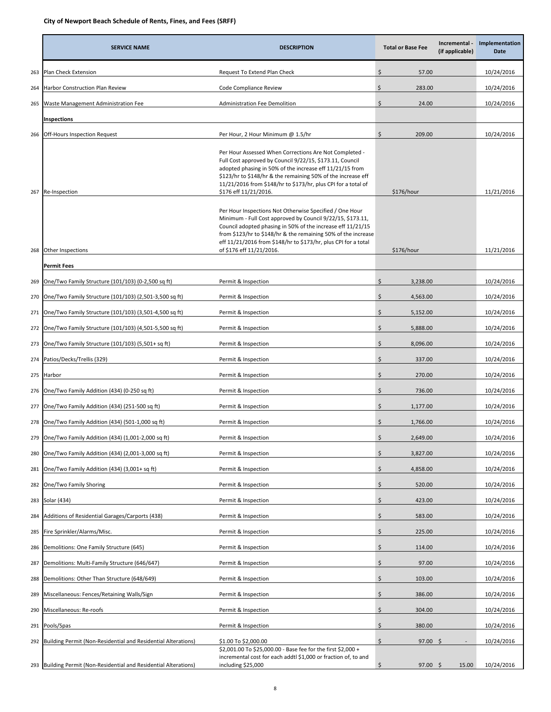|     | <b>SERVICE NAME</b>                                           | <b>DESCRIPTION</b>                                                                                                                                                                                                                                                                                                                                  | <b>Total or Base Fee</b> | Incremental -<br>(if applicable) | Implementation<br>Date |
|-----|---------------------------------------------------------------|-----------------------------------------------------------------------------------------------------------------------------------------------------------------------------------------------------------------------------------------------------------------------------------------------------------------------------------------------------|--------------------------|----------------------------------|------------------------|
| 263 | Plan Check Extension                                          | Request To Extend Plan Check                                                                                                                                                                                                                                                                                                                        | \$<br>57.00              |                                  | 10/24/2016             |
| 264 | <b>Harbor Construction Plan Review</b>                        | Code Compliance Review                                                                                                                                                                                                                                                                                                                              | \$<br>283.00             |                                  | 10/24/2016             |
| 265 | Waste Management Administration Fee                           | <b>Administration Fee Demolition</b>                                                                                                                                                                                                                                                                                                                | \$<br>24.00              |                                  | 10/24/2016             |
|     | Inspections                                                   |                                                                                                                                                                                                                                                                                                                                                     |                          |                                  |                        |
| 266 | Off-Hours Inspection Request                                  | Per Hour, 2 Hour Minimum @ 1.5/hr                                                                                                                                                                                                                                                                                                                   | \$<br>209.00             |                                  | 10/24/2016             |
| 267 | Re-Inspection                                                 | Per Hour Assessed When Corrections Are Not Completed -<br>Full Cost approved by Council 9/22/15, \$173.11, Council<br>adopted phasing in 50% of the increase eff 11/21/15 from<br>\$123/hr to \$148/hr & the remaining 50% of the increase eff<br>11/21/2016 from \$148/hr to \$173/hr, plus CPI for a total of<br>\$176 eff 11/21/2016.            | \$176/hour               |                                  |                        |
| 268 | Other Inspections                                             | Per Hour Inspections Not Otherwise Specified / One Hour<br>Minimum - Full Cost approved by Council 9/22/15, \$173.11,<br>Council adopted phasing in 50% of the increase eff 11/21/15<br>from \$123/hr to \$148/hr & the remaining 50% of the increase<br>eff 11/21/2016 from \$148/hr to \$173/hr, plus CPI for a total<br>of \$176 eff 11/21/2016. | \$176/hour               |                                  | 11/21/2016             |
|     | <b>Permit Fees</b>                                            |                                                                                                                                                                                                                                                                                                                                                     |                          |                                  |                        |
| 269 | One/Two Family Structure (101/103) (0-2,500 sq ft)            | Permit & Inspection                                                                                                                                                                                                                                                                                                                                 | Ś<br>3,238.00            |                                  | 10/24/2016             |
| 270 | One/Two Family Structure (101/103) (2,501-3,500 sq ft)        | Permit & Inspection                                                                                                                                                                                                                                                                                                                                 | \$<br>4,563.00           |                                  | 10/24/2016             |
| 271 | One/Two Family Structure (101/103) (3,501-4,500 sq ft)        | Permit & Inspection                                                                                                                                                                                                                                                                                                                                 | \$<br>5,152.00           |                                  | 10/24/2016             |
| 272 | One/Two Family Structure (101/103) (4,501-5,500 sq ft)        | Permit & Inspection                                                                                                                                                                                                                                                                                                                                 | \$<br>5,888.00           |                                  | 10/24/2016             |
| 273 | One/Two Family Structure (101/103) (5,501+ sq ft)             | Permit & Inspection                                                                                                                                                                                                                                                                                                                                 | \$<br>8,096.00           |                                  | 10/24/2016             |
| 274 | Patios/Decks/Trellis (329)                                    | Permit & Inspection                                                                                                                                                                                                                                                                                                                                 | \$<br>337.00             |                                  | 10/24/2016             |
| 275 | Harbor                                                        | Permit & Inspection                                                                                                                                                                                                                                                                                                                                 | \$<br>270.00             |                                  | 10/24/2016             |
| 276 | One/Two Family Addition (434) (0-250 sq ft)                   | Permit & Inspection                                                                                                                                                                                                                                                                                                                                 | \$<br>736.00             |                                  | 10/24/2016             |
| 277 | One/Two Family Addition (434) (251-500 sq ft)                 | Permit & Inspection                                                                                                                                                                                                                                                                                                                                 | Ś<br>1,177.00            |                                  | 10/24/2016             |
| 278 | One/Two Family Addition (434) (501-1,000 sq ft)               | Permit & Inspection                                                                                                                                                                                                                                                                                                                                 | Ś<br>1,766.00            |                                  | 10/24/2016             |
| 279 | One/Two Family Addition (434) (1,001-2,000 sq ft)             | Permit & Inspection                                                                                                                                                                                                                                                                                                                                 | 2,649.00                 |                                  | 10/24/2016             |
| 280 | One/Two Family Addition (434) (2,001-3,000 sq ft)             | Permit & Inspection                                                                                                                                                                                                                                                                                                                                 | Ś<br>3,827.00            |                                  | 10/24/2016             |
| 281 | One/Two Family Addition (434) (3,001+ sq ft)                  | Permit & Inspection                                                                                                                                                                                                                                                                                                                                 | \$<br>4,858.00           |                                  | 10/24/2016             |
| 282 | One/Two Family Shoring                                        | Permit & Inspection                                                                                                                                                                                                                                                                                                                                 | \$<br>520.00             |                                  | 10/24/2016             |
| 283 | Solar (434)                                                   | Permit & Inspection                                                                                                                                                                                                                                                                                                                                 | \$<br>423.00             |                                  | 10/24/2016             |
| 284 | Additions of Residential Garages/Carports (438)               | Permit & Inspection                                                                                                                                                                                                                                                                                                                                 | \$<br>583.00             |                                  | 10/24/2016             |
| 285 | Fire Sprinkler/Alarms/Misc.                                   | Permit & Inspection                                                                                                                                                                                                                                                                                                                                 | \$<br>225.00             |                                  | 10/24/2016             |
| 286 | Demolitions: One Family Structure (645)                       | Permit & Inspection                                                                                                                                                                                                                                                                                                                                 | \$<br>114.00             |                                  | 10/24/2016             |
| 287 | Demolitions: Multi-Family Structure (646/647)                 | Permit & Inspection                                                                                                                                                                                                                                                                                                                                 | \$<br>97.00              |                                  | 10/24/2016             |
| 288 | Demolitions: Other Than Structure (648/649)                   | Permit & Inspection                                                                                                                                                                                                                                                                                                                                 | \$<br>103.00             |                                  | 10/24/2016             |
| 289 | Miscellaneous: Fences/Retaining Walls/Sign                    | Permit & Inspection                                                                                                                                                                                                                                                                                                                                 | \$<br>386.00             |                                  | 10/24/2016             |
| 290 | Miscellaneous: Re-roofs                                       | Permit & Inspection                                                                                                                                                                                                                                                                                                                                 | \$<br>304.00             |                                  | 10/24/2016             |
| 291 | Pools/Spas                                                    | Permit & Inspection                                                                                                                                                                                                                                                                                                                                 | \$<br>380.00             |                                  | 10/24/2016             |
| 292 | Building Permit (Non-Residential and Residential Alterations) | \$1.00 To \$2,000.00                                                                                                                                                                                                                                                                                                                                | \$<br>$97.00$ \$         |                                  | 10/24/2016             |
| 293 | Building Permit (Non-Residential and Residential Alterations) | \$2,001.00 To \$25,000.00 - Base fee for the first \$2,000 +<br>incremental cost for each addtl \$1,000 or fraction of, to and<br>including \$25,000                                                                                                                                                                                                | \$<br>97.00%             | 15.00                            | 10/24/2016             |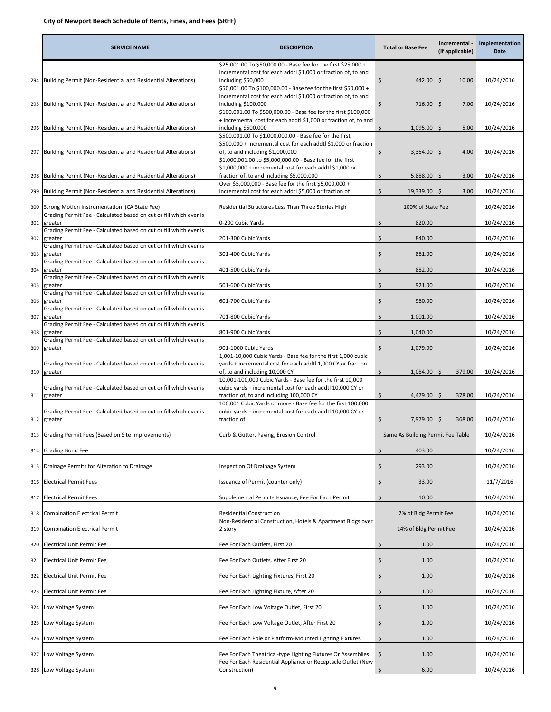|     | <b>SERVICE NAME</b>                                                           | <b>DESCRIPTION</b>                                                                                                                  | <b>Total or Base Fee</b>          | Incremental -<br>(if applicable) | Implementation<br>Date |
|-----|-------------------------------------------------------------------------------|-------------------------------------------------------------------------------------------------------------------------------------|-----------------------------------|----------------------------------|------------------------|
|     |                                                                               | \$25,001.00 To \$50,000.00 - Base fee for the first \$25,000 +                                                                      |                                   |                                  |                        |
| 294 | Building Permit (Non-Residential and Residential Alterations)                 | incremental cost for each addtl \$1,000 or fraction of, to and<br>including \$50,000                                                | 442.00 \$<br>\$                   | 10.00                            | 10/24/2016             |
|     |                                                                               | \$50,001.00 To \$100,000.00 - Base fee for the first \$50,000 +                                                                     |                                   |                                  |                        |
| 295 | Building Permit (Non-Residential and Residential Alterations)                 | incremental cost for each addtl \$1,000 or fraction of, to and<br>including \$100,000                                               | \$<br>$716.00$ \$                 | 7.00                             | 10/24/2016             |
|     |                                                                               | \$100,001.00 To \$500,000.00 - Base fee for the first \$100,000<br>+ incremental cost for each addtl \$1,000 or fraction of, to and |                                   |                                  |                        |
| 296 | Building Permit (Non-Residential and Residential Alterations)                 | including \$500,000                                                                                                                 | \$<br>$1,095.00$ \$               | 5.00                             | 10/24/2016             |
|     |                                                                               | \$500,001.00 To \$1,000,000.00 - Base fee for the first<br>\$500,000 + incremental cost for each addtl \$1,000 or fraction          |                                   |                                  |                        |
| 297 | Building Permit (Non-Residential and Residential Alterations)                 | of, to and including \$1,000,000                                                                                                    | \$<br>$3,354.00$ \$               | 4.00                             | 10/24/2016             |
|     |                                                                               | \$1,000,001.00 to \$5,000,000.00 - Base fee for the first<br>$$1,000,000 +$ incremental cost for each addtl $$1,000$ or             |                                   |                                  |                        |
| 298 | Building Permit (Non-Residential and Residential Alterations)                 | fraction of, to and including \$5,000,000                                                                                           | \$<br>$5,888.00$ \$               | 3.00                             | 10/24/2016             |
| 299 | Building Permit (Non-Residential and Residential Alterations)                 | Over \$5,000,000 - Base fee for the first \$5,000,000 +<br>incremental cost for each addtl \$5,000 or fraction of                   | \$<br>19,339.00 \$                | 3.00                             | 10/24/2016             |
| 300 | Strong Motion Instrumentation (CA State Fee)                                  | Residential Structures Less Than Three Stories High                                                                                 | 100% of State Fee                 |                                  | 10/24/2016             |
|     | Grading Permit Fee - Calculated based on cut or fill which ever is            |                                                                                                                                     |                                   |                                  |                        |
| 301 | greater<br>Grading Permit Fee - Calculated based on cut or fill which ever is | 0-200 Cubic Yards                                                                                                                   | \$<br>820.00                      |                                  | 10/24/2016             |
| 302 | greater<br>Grading Permit Fee - Calculated based on cut or fill which ever is | 201-300 Cubic Yards                                                                                                                 | \$<br>840.00                      |                                  | 10/24/2016             |
| 303 | greater                                                                       | 301-400 Cubic Yards                                                                                                                 | Ś<br>861.00                       |                                  | 10/24/2016             |
| 304 | Grading Permit Fee - Calculated based on cut or fill which ever is<br>greater | 401-500 Cubic Yards                                                                                                                 | \$<br>882.00                      |                                  | 10/24/2016             |
| 305 | Grading Permit Fee - Calculated based on cut or fill which ever is<br>greater | 501-600 Cubic Yards                                                                                                                 | \$<br>921.00                      |                                  | 10/24/2016             |
|     | Grading Permit Fee - Calculated based on cut or fill which ever is            |                                                                                                                                     |                                   |                                  |                        |
| 306 | greater<br>Grading Permit Fee - Calculated based on cut or fill which ever is | 601-700 Cubic Yards                                                                                                                 | \$<br>960.00                      |                                  | 10/24/2016             |
| 307 | greater<br>Grading Permit Fee - Calculated based on cut or fill which ever is | 701-800 Cubic Yards                                                                                                                 | \$<br>1,001.00                    |                                  | 10/24/2016             |
| 308 | greater                                                                       | 801-900 Cubic Yards                                                                                                                 | \$<br>1,040.00                    |                                  | 10/24/2016             |
| 309 | Grading Permit Fee - Calculated based on cut or fill which ever is<br>greater | 901-1000 Cubic Yards                                                                                                                | Ŝ.<br>1,079.00                    |                                  | 10/24/2016             |
|     | Grading Permit Fee - Calculated based on cut or fill which ever is            | 1,001-10,000 Cubic Yards - Base fee for the first 1,000 cubic<br>yards + incremental cost for each addtl 1,000 CY or fraction       |                                   |                                  |                        |
| 310 | greater                                                                       | of, to and including 10,000 CY                                                                                                      | \$<br>$1,084.00$ \$               | 379.00                           | 10/24/2016             |
|     | Grading Permit Fee - Calculated based on cut or fill which ever is            | 10,001-100,000 Cubic Yards - Base fee for the first 10,000<br>cubic yards + incremental cost for each addtl 10,000 CY or            |                                   |                                  |                        |
| 311 | greater                                                                       | fraction of, to and including 100,000 CY                                                                                            | \$<br>4,479.00 \$                 | 378.00                           | 10/24/2016             |
|     | Grading Permit Fee - Calculated based on cut or fill which ever is            | 100,001 Cubic Yards or more - Base fee for the first 100,000<br>cubic yards + incremental cost for each addtl 10,000 CY or          |                                   |                                  |                        |
| 312 | greater                                                                       | fraction of                                                                                                                         | \$<br>7,979.00 \$                 | 368.00                           | 10/24/2016             |
|     | 313 Grading Permit Fees (Based on Site Improvements)                          | Curb & Gutter, Paving, Erosion Control                                                                                              | Same As Building Permit Fee Table |                                  | 10/24/2016             |
| 314 | <b>Grading Bond Fee</b>                                                       |                                                                                                                                     | Ś<br>403.00                       |                                  | 10/24/2016             |
| 315 | Drainage Permits for Alteration to Drainage                                   | Inspection Of Drainage System                                                                                                       | $\zeta$<br>293.00                 |                                  | 10/24/2016             |
| 316 | Electrical Permit Fees                                                        | Issuance of Permit (counter only)                                                                                                   | \$<br>33.00                       |                                  | 11/7/2016              |
| 317 | <b>Electrical Permit Fees</b>                                                 | Supplemental Permits Issuance, Fee For Each Permit                                                                                  | \$<br>10.00                       |                                  | 10/24/2016             |
|     |                                                                               |                                                                                                                                     |                                   |                                  |                        |
| 318 | <b>Combination Electrical Permit</b>                                          | <b>Residential Construction</b><br>Non-Residential Construction, Hotels & Apartment Bldgs over                                      | 7% of Bldg Permit Fee             |                                  | 10/24/2016             |
| 319 | <b>Combination Electrical Permit</b>                                          | 2 story                                                                                                                             | 14% of Bldg Permit Fee            |                                  | 10/24/2016             |
| 320 | Electrical Unit Permit Fee                                                    | Fee For Each Outlets, First 20                                                                                                      | \$<br>1.00                        |                                  | 10/24/2016             |
| 321 | Electrical Unit Permit Fee                                                    | Fee For Each Outlets, After First 20                                                                                                | \$<br>1.00                        |                                  | 10/24/2016             |
| 322 | Electrical Unit Permit Fee                                                    | Fee For Each Lighting Fixtures, First 20                                                                                            | \$<br>1.00                        |                                  | 10/24/2016             |
| 323 | Electrical Unit Permit Fee                                                    | Fee For Each Lighting Fixture, After 20                                                                                             | \$<br>1.00                        |                                  | 10/24/2016             |
| 324 | Low Voltage System                                                            | Fee For Each Low Voltage Outlet, First 20                                                                                           | \$<br>1.00                        |                                  | 10/24/2016             |
| 325 | ow Voltage System.                                                            | Fee For Each Low Voltage Outlet, After First 20                                                                                     | \$<br>1.00                        |                                  | 10/24/2016             |
| 326 | ow Voltage System                                                             | Fee For Each Pole or Platform-Mounted Lighting Fixtures                                                                             | \$<br>1.00                        |                                  | 10/24/2016             |
| 327 | ow Voltage System.                                                            | Fee For Each Theatrical-type Lighting Fixtures Or Assemblies                                                                        | \$<br>1.00                        |                                  | 10/24/2016             |
|     |                                                                               | Fee For Each Residential Appliance or Receptacle Outlet (New                                                                        |                                   |                                  |                        |
|     | 328 Low Voltage System                                                        | Construction)                                                                                                                       | 6.00<br>Ŝ                         |                                  | 10/24/2016             |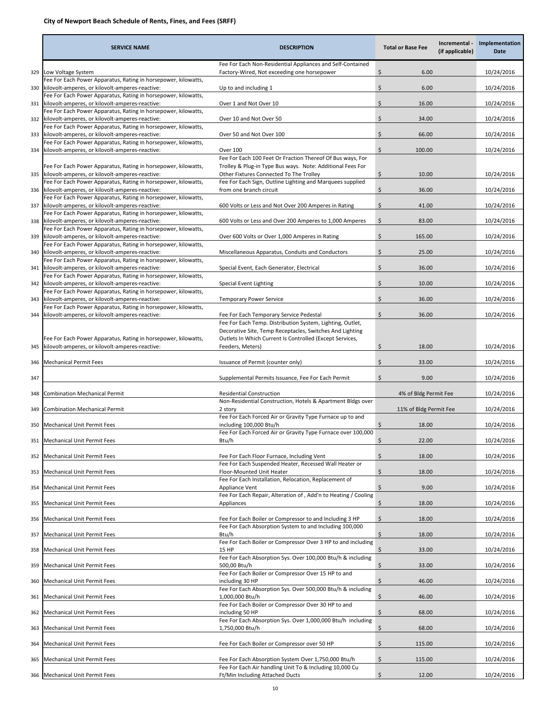|     | <b>SERVICE NAME</b>                                                                                                   | <b>DESCRIPTION</b>                                                                                                       | <b>Total or Base Fee</b>     | Incremental -<br>(if applicable) | Implementation<br>Date |
|-----|-----------------------------------------------------------------------------------------------------------------------|--------------------------------------------------------------------------------------------------------------------------|------------------------------|----------------------------------|------------------------|
| 329 | Low Voltage System                                                                                                    | Fee For Each Non-Residential Appliances and Self-Contained<br>Factory-Wired, Not exceeding one horsepower                | \$                           | 6.00                             | 10/24/2016             |
| 330 | Fee For Each Power Apparatus, Rating in horsepower, kilowatts,<br>kilovolt-amperes, or kilovolt-amperes-reactive:     | Up to and including 1                                                                                                    | \$                           | 6.00                             | 10/24/2016             |
| 331 | Fee For Each Power Apparatus, Rating in horsepower, kilowatts,<br>kilovolt-amperes, or kilovolt-amperes-reactive:     | Over 1 and Not Over 10                                                                                                   | \$                           | 16.00                            | 10/24/2016             |
|     | Fee For Each Power Apparatus, Rating in horsepower, kilowatts,<br>332 kilovolt-amperes, or kilovolt-amperes-reactive: | Over 10 and Not Over 50                                                                                                  | \$                           | 34.00                            | 10/24/2016             |
| 333 | Fee For Each Power Apparatus, Rating in horsepower, kilowatts,<br>kilovolt-amperes, or kilovolt-amperes-reactive:     | Over 50 and Not Over 100                                                                                                 | \$                           | 66.00                            | 10/24/2016             |
| 334 | Fee For Each Power Apparatus, Rating in horsepower, kilowatts,<br>kilovolt-amperes, or kilovolt-amperes-reactive:     | <b>Over 100</b>                                                                                                          | $\mathsf{\hat{S}}$<br>100.00 |                                  | 10/24/2016             |
|     | Fee For Each Power Apparatus, Rating in horsepower, kilowatts,                                                        | Fee For Each 100 Feet Or Fraction Thereof Of Bus ways, For<br>Trolley & Plug-in Type Bus ways. Note: Additional Fees For |                              |                                  |                        |
| 335 | kilovolt-amperes, or kilovolt-amperes-reactive:<br>Fee For Each Power Apparatus, Rating in horsepower, kilowatts,     | Other Fixtures Connected To The Trolley<br>Fee For Each Sign, Outline Lighting and Marquees supplied                     | \$                           | 10.00                            | 10/24/2016             |
|     | 336 kilovolt-amperes, or kilovolt-amperes-reactive:<br>Fee For Each Power Apparatus, Rating in horsepower, kilowatts, | from one branch circuit                                                                                                  | \$                           | 36.00                            | 10/24/2016             |
| 337 | kilovolt-amperes, or kilovolt-amperes-reactive:<br>Fee For Each Power Apparatus, Rating in horsepower, kilowatts,     | 600 Volts or Less and Not Over 200 Amperes in Rating                                                                     | \$                           | 41.00                            | 10/24/2016             |
| 338 | kilovolt-amperes, or kilovolt-amperes-reactive:<br>Fee For Each Power Apparatus, Rating in horsepower, kilowatts,     | 600 Volts or Less and Over 200 Amperes to 1,000 Amperes                                                                  | \$                           | 83.00                            | 10/24/2016             |
| 339 | kilovolt-amperes, or kilovolt-amperes-reactive:<br>Fee For Each Power Apparatus, Rating in horsepower, kilowatts,     | Over 600 Volts or Over 1,000 Amperes in Rating                                                                           | \$<br>165.00                 |                                  | 10/24/2016             |
| 340 | kilovolt-amperes, or kilovolt-amperes-reactive:<br>Fee For Each Power Apparatus, Rating in horsepower, kilowatts,     | Miscellaneous Apparatus, Conduits and Conductors                                                                         | Ŝ.                           | 25.00                            | 10/24/2016             |
| 341 | kilovolt-amperes, or kilovolt-amperes-reactive:<br>Fee For Each Power Apparatus, Rating in horsepower, kilowatts,     | Special Event, Each Generator, Electrical                                                                                | \$                           | 36.00                            | 10/24/2016             |
| 342 | kilovolt-amperes, or kilovolt-amperes-reactive:<br>Fee For Each Power Apparatus, Rating in horsepower, kilowatts,     | Special Event Lighting                                                                                                   | \$                           | 10.00                            | 10/24/2016             |
| 343 | kilovolt-amperes, or kilovolt-amperes-reactive:<br>Fee For Each Power Apparatus, Rating in horsepower, kilowatts,     | <b>Temporary Power Service</b>                                                                                           | Ś                            | 36.00                            | 10/24/2016             |
| 344 | kilovolt-amperes, or kilovolt-amperes-reactive:                                                                       | Fee For Each Temporary Service Pedestal<br>Fee For Each Temp. Distribution System, Lighting, Outlet,                     | \$                           | 36.00                            | 10/24/2016             |
|     | Fee For Each Power Apparatus, Rating in horsepower, kilowatts,                                                        | Decorative Site, Temp Receptacles, Switches And Lighting<br>Outlets In Which Current Is Controlled (Except Services,     |                              |                                  |                        |
| 345 | kilovolt-amperes, or kilovolt-amperes-reactive:                                                                       | Feeders, Meters)                                                                                                         | S                            | 18.00                            | 10/24/2016             |
| 346 | <b>Mechanical Permit Fees</b>                                                                                         | Issuance of Permit (counter only)                                                                                        | \$                           | 33.00                            | 10/24/2016             |
| 347 |                                                                                                                       | Supplemental Permits Issuance, Fee For Each Permit                                                                       | \$                           | 9.00                             | 10/24/2016             |
| 348 | <b>Combination Mechanical Permit</b>                                                                                  | <b>Residential Construction</b><br>Non-Residential Construction, Hotels & Apartment Bldgs over                           |                              | 4% of Bldg Permit Fee            | 10/24/2016             |
| 349 | <b>Combination Mechanical Permit</b>                                                                                  | 2 story<br>Fee For Each Forced Air or Gravity Type Furnace up to and                                                     |                              | 11% of Bldg Permit Fee           | 10/24/2016             |
| 350 | <b>Mechanical Unit Permit Fees</b>                                                                                    | including 100,000 Btu/h<br>Fee For Each Forced Air or Gravity Type Furnace over 100,000                                  |                              | 18.00                            | 10/24/2016             |
| 351 | Mechanical Unit Permit Fees                                                                                           | Btu/h                                                                                                                    | $\ddot{ }$                   | 22.00                            | 10/24/2016             |
| 352 | <b>Mechanical Unit Permit Fees</b>                                                                                    | Fee For Each Floor Furnace, Including Vent<br>Fee For Each Suspended Heater, Recessed Wall Heater or                     | \$                           | 18.00                            | 10/24/2016             |
| 353 | <b>Mechanical Unit Permit Fees</b>                                                                                    | Floor-Mounted Unit Heater<br>Fee For Each Installation, Relocation, Replacement of                                       | \$                           | 18.00                            | 10/24/2016             |
| 354 | Mechanical Unit Permit Fees                                                                                           | Appliance Vent<br>Fee For Each Repair, Alteration of, Add'n to Heating / Cooling                                         | \$                           | 9.00                             | 10/24/2016             |
| 355 | <b>Mechanical Unit Permit Fees</b>                                                                                    | Appliances                                                                                                               | \$                           | 18.00                            | 10/24/2016             |
| 356 | Mechanical Unit Permit Fees                                                                                           | Fee For Each Boiler or Compressor to and Including 3 HP<br>Fee For Each Absorption System to and Including 100,000       | \$                           | 18.00                            | 10/24/2016             |
| 357 | Mechanical Unit Permit Fees                                                                                           | Btu/h<br>Fee For Each Boiler or Compressor Over 3 HP to and including                                                    | \$                           | 18.00                            | 10/24/2016             |
| 358 | <b>Mechanical Unit Permit Fees</b>                                                                                    | 15 HP<br>Fee For Each Absorption Sys. Over 100,000 Btu/h & including                                                     | \$                           | 33.00                            | 10/24/2016             |
| 359 | Mechanical Unit Permit Fees                                                                                           | 500,00 Btu/h                                                                                                             | \$                           | 33.00                            | 10/24/2016             |
| 360 | Mechanical Unit Permit Fees                                                                                           | Fee For Each Boiler or Compressor Over 15 HP to and<br>including 30 HP                                                   | \$                           | 46.00                            | 10/24/2016             |
| 361 | Mechanical Unit Permit Fees                                                                                           | Fee For Each Absorption Sys. Over 500,000 Btu/h & including<br>1,000,000 Btu/h                                           | \$                           | 46.00                            | 10/24/2016             |
| 362 | <b>Mechanical Unit Permit Fees</b>                                                                                    | Fee For Each Boiler or Compressor Over 30 HP to and<br>including 50 HP                                                   | \$                           | 68.00                            | 10/24/2016             |
| 363 | Mechanical Unit Permit Fees                                                                                           | Fee For Each Absorption Sys. Over 1,000,000 Btu/h including<br>1,750,000 Btu/h                                           | \$                           | 68.00                            | 10/24/2016             |
| 364 | Mechanical Unit Permit Fees                                                                                           | Fee For Each Boiler or Compressor over 50 HP                                                                             | \$<br>115.00                 |                                  | 10/24/2016             |
| 365 | Mechanical Unit Permit Fees                                                                                           | Fee For Each Absorption System Over 1,750,000 Btu/h                                                                      | \$<br>115.00                 |                                  | 10/24/2016             |
|     | 366 Mechanical Unit Permit Fees                                                                                       | Fee For Each Air handling Unit To & Including 10,000 Cu<br>Ft/Min Including Attached Ducts                               | \$                           | 12.00                            | 10/24/2016             |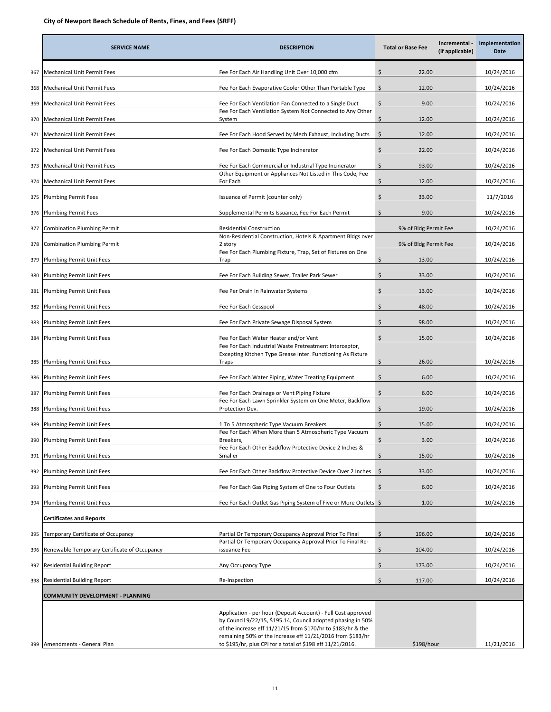|     | <b>SERVICE NAME</b>                           | <b>DESCRIPTION</b>                                                                                                                                                                                                                                          | <b>Total or Base Fee</b> | Incremental -<br>(if applicable) | Implementation<br><b>Date</b> |
|-----|-----------------------------------------------|-------------------------------------------------------------------------------------------------------------------------------------------------------------------------------------------------------------------------------------------------------------|--------------------------|----------------------------------|-------------------------------|
| 367 | Mechanical Unit Permit Fees                   | Fee For Each Air Handling Unit Over 10,000 cfm                                                                                                                                                                                                              | \$<br>22.00              |                                  | 10/24/2016                    |
| 368 | Mechanical Unit Permit Fees                   | Fee For Each Evaporative Cooler Other Than Portable Type                                                                                                                                                                                                    | \$<br>12.00              |                                  | 10/24/2016                    |
| 369 | Mechanical Unit Permit Fees                   | Fee For Each Ventilation Fan Connected to a Single Duct                                                                                                                                                                                                     | Ś.<br>9.00               |                                  | 10/24/2016                    |
| 370 | Mechanical Unit Permit Fees<br>System         | Fee For Each Ventilation System Not Connected to Any Other                                                                                                                                                                                                  | \$<br>12.00              |                                  | 10/24/2016                    |
| 371 | Mechanical Unit Permit Fees                   | Fee For Each Hood Served by Mech Exhaust, Including Ducts                                                                                                                                                                                                   | \$<br>12.00              |                                  | 10/24/2016                    |
| 372 | Mechanical Unit Permit Fees                   | Fee For Each Domestic Type Incinerator                                                                                                                                                                                                                      | 22.00<br>\$              |                                  | 10/24/2016                    |
| 373 | Mechanical Unit Permit Fees                   | Fee For Each Commercial or Industrial Type Incinerator                                                                                                                                                                                                      | \$<br>93.00              |                                  | 10/24/2016                    |
| 374 | Mechanical Unit Permit Fees                   | Other Equipment or Appliances Not Listed in This Code, Fee<br>For Each                                                                                                                                                                                      | \$<br>12.00              |                                  | 10/24/2016                    |
| 375 | <b>Plumbing Permit Fees</b>                   | Issuance of Permit (counter only)                                                                                                                                                                                                                           | \$<br>33.00              |                                  | 11/7/2016                     |
| 376 | <b>Plumbing Permit Fees</b>                   | Supplemental Permits Issuance, Fee For Each Permit                                                                                                                                                                                                          | \$<br>9.00               |                                  | 10/24/2016                    |
| 377 | <b>Combination Plumbing Permit</b>            | <b>Residential Construction</b>                                                                                                                                                                                                                             | 9% of Bldg Permit Fee    |                                  | 10/24/2016                    |
| 378 | <b>Combination Plumbing Permit</b><br>2 story | Non-Residential Construction, Hotels & Apartment Bldgs over                                                                                                                                                                                                 | 9% of Bldg Permit Fee    |                                  | 10/24/2016                    |
| 379 | Plumbing Permit Unit Fees<br>Trap             | Fee For Each Plumbing Fixture, Trap, Set of Fixtures on One                                                                                                                                                                                                 | \$<br>13.00              |                                  | 10/24/2016                    |
| 380 | Plumbing Permit Unit Fees                     | Fee For Each Building Sewer, Trailer Park Sewer                                                                                                                                                                                                             | Ś<br>33.00               |                                  | 10/24/2016                    |
| 381 | Plumbing Permit Unit Fees                     | Fee Per Drain In Rainwater Systems                                                                                                                                                                                                                          | \$<br>13.00              |                                  | 10/24/2016                    |
| 382 | Plumbing Permit Unit Fees                     | Fee For Each Cesspool                                                                                                                                                                                                                                       | \$<br>48.00              |                                  | 10/24/2016                    |
| 383 | Plumbing Permit Unit Fees                     | Fee For Each Private Sewage Disposal System                                                                                                                                                                                                                 | Ś.<br>98.00              |                                  | 10/24/2016                    |
| 384 | Plumbing Permit Unit Fees                     | Fee For Each Water Heater and/or Vent                                                                                                                                                                                                                       | \$<br>15.00              |                                  | 10/24/2016                    |
|     |                                               | Fee For Each Industrial Waste Pretreatment Interceptor,<br>Excepting Kitchen Type Grease Inter. Functioning As Fixture                                                                                                                                      |                          |                                  |                               |
| 385 | Plumbing Permit Unit Fees<br>Traps            |                                                                                                                                                                                                                                                             | \$<br>26.00              |                                  | 10/24/2016                    |
| 386 | Plumbing Permit Unit Fees                     | Fee For Each Water Piping, Water Treating Equipment                                                                                                                                                                                                         | \$<br>6.00               |                                  | 10/24/2016                    |
| 387 | Plumbing Permit Unit Fees                     | Fee For Each Drainage or Vent Piping Fixture<br>Fee For Each Lawn Sprinkler System on One Meter, Backflow                                                                                                                                                   | \$<br>6.00               |                                  | 10/24/2016                    |
| 388 | Plumbing Permit Unit Fees                     | Protection Dev.                                                                                                                                                                                                                                             | \$<br>19.00              |                                  | 10/24/2016                    |
| 389 | Plumbing Permit Unit Fees                     | 1 To 5 Atmospheric Type Vacuum Breakers<br>Fee For Each When More than 5 Atmospheric Type Vacuum                                                                                                                                                            | \$<br>15.00              |                                  | 10/24/2016                    |
| 390 | Plumbing Permit Unit Fees                     | Breakers,                                                                                                                                                                                                                                                   | \$<br>3.00               |                                  | 10/24/2016                    |
| 391 | Plumbing Permit Unit Fees<br>Smaller          | Fee For Each Other Backflow Protective Device 2 Inches &                                                                                                                                                                                                    | Ś<br>15.00               |                                  | 10/24/2016                    |
| 392 | Plumbing Permit Unit Fees                     | Fee For Each Other Backflow Protective Device Over 2 Inches                                                                                                                                                                                                 | -\$<br>33.00             |                                  | 10/24/2016                    |
| 393 | Plumbing Permit Unit Fees                     | Fee For Each Gas Piping System of One to Four Outlets                                                                                                                                                                                                       | \$<br>6.00               |                                  | 10/24/2016                    |
| 394 | Plumbing Permit Unit Fees                     | Fee For Each Outlet Gas Piping System of Five or More Outlets \$                                                                                                                                                                                            | 1.00                     |                                  | 10/24/2016                    |
|     | <b>Certificates and Reports</b>               |                                                                                                                                                                                                                                                             |                          |                                  |                               |
| 395 | Temporary Certificate of Occupancy            | Partial Or Temporary Occupancy Approval Prior To Final                                                                                                                                                                                                      | Ŝ.<br>196.00             |                                  | 10/24/2016                    |
| 396 | Renewable Temporary Certificate of Occupancy  | Partial Or Temporary Occupancy Approval Prior To Final Re-<br>issuance Fee                                                                                                                                                                                  | \$<br>104.00             |                                  | 10/24/2016                    |
| 397 | Residential Building Report                   | Any Occupancy Type                                                                                                                                                                                                                                          | \$<br>173.00             |                                  | 10/24/2016                    |
| 398 | Residential Building Report                   | Re-Inspection                                                                                                                                                                                                                                               | \$<br>117.00             |                                  | 10/24/2016                    |
|     | COMMUNITY DEVELOPMENT - PLANNING              |                                                                                                                                                                                                                                                             |                          |                                  |                               |
|     |                                               | Application - per hour (Deposit Account) - Full Cost approved<br>by Council 9/22/15, \$195.14, Council adopted phasing in 50%<br>of the increase eff 11/21/15 from \$170/hr to \$183/hr & the<br>remaining 50% of the increase eff 11/21/2016 from \$183/hr |                          |                                  |                               |
| 399 | Amendments - General Plan                     | to \$195/hr, plus CPI for a total of \$198 eff 11/21/2016.                                                                                                                                                                                                  | \$198/hour               |                                  | 11/21/2016                    |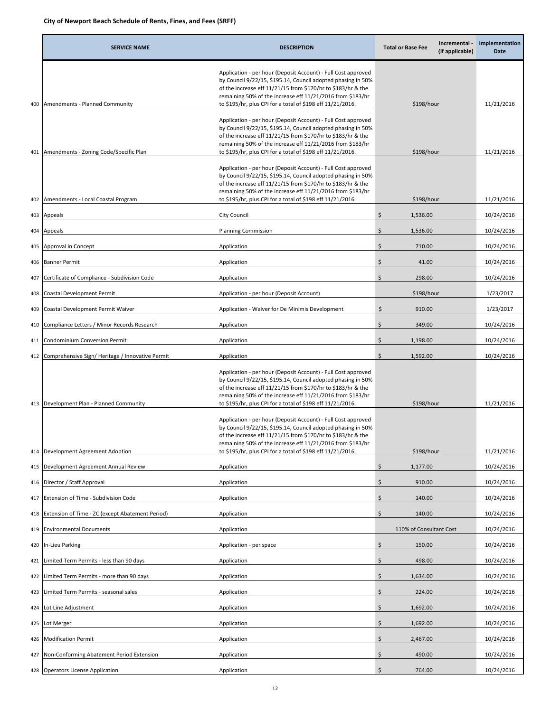|     | <b>SERVICE NAME</b>                                 | <b>DESCRIPTION</b>                                                                                                                                                                                                                                                                                                        | <b>Total or Base Fee</b> | Incremental -<br>(if applicable) | Implementation<br>Date   |
|-----|-----------------------------------------------------|---------------------------------------------------------------------------------------------------------------------------------------------------------------------------------------------------------------------------------------------------------------------------------------------------------------------------|--------------------------|----------------------------------|--------------------------|
|     | 400 Amendments - Planned Community                  | Application - per hour (Deposit Account) - Full Cost approved<br>by Council 9/22/15, \$195.14, Council adopted phasing in 50%<br>of the increase eff 11/21/15 from \$170/hr to \$183/hr & the<br>remaining 50% of the increase eff 11/21/2016 from \$183/hr<br>to \$195/hr, plus CPI for a total of \$198 eff 11/21/2016. | \$198/hour               |                                  |                          |
|     | 401 Amendments - Zoning Code/Specific Plan          | Application - per hour (Deposit Account) - Full Cost approved<br>by Council 9/22/15, \$195.14, Council adopted phasing in 50%<br>of the increase eff 11/21/15 from \$170/hr to \$183/hr & the<br>remaining 50% of the increase eff 11/21/2016 from \$183/hr<br>to \$195/hr, plus CPI for a total of \$198 eff 11/21/2016. | \$198/hour               |                                  |                          |
| 402 | Amendments - Local Coastal Program                  | Application - per hour (Deposit Account) - Full Cost approved<br>by Council 9/22/15, \$195.14, Council adopted phasing in 50%<br>of the increase eff 11/21/15 from \$170/hr to \$183/hr & the<br>remaining 50% of the increase eff 11/21/2016 from \$183/hr<br>to \$195/hr, plus CPI for a total of \$198 eff 11/21/2016. | \$198/hour               |                                  |                          |
|     |                                                     | City Council                                                                                                                                                                                                                                                                                                              | \$<br>1,536.00           |                                  | 11/21/2016<br>10/24/2016 |
| 403 | Appeals                                             |                                                                                                                                                                                                                                                                                                                           |                          |                                  |                          |
| 404 | Appeals                                             | Planning Commission                                                                                                                                                                                                                                                                                                       | Ś<br>1,536.00            |                                  | 10/24/2016               |
| 405 | Approval in Concept                                 | Application                                                                                                                                                                                                                                                                                                               | \$<br>710.00             |                                  | 10/24/2016               |
| 406 | <b>Banner Permit</b>                                | Application                                                                                                                                                                                                                                                                                                               | \$<br>41.00              |                                  | 10/24/2016               |
| 407 | Certificate of Compliance - Subdivision Code        | Application                                                                                                                                                                                                                                                                                                               | \$<br>298.00             |                                  | 10/24/2016               |
| 408 | Coastal Development Permit                          | Application - per hour (Deposit Account)                                                                                                                                                                                                                                                                                  | \$198/hour               |                                  | 1/23/2017                |
| 409 | Coastal Development Permit Waiver                   | Application - Waiver for De Minimis Development                                                                                                                                                                                                                                                                           | \$<br>910.00             |                                  | 1/23/2017                |
| 410 | Compliance Letters / Minor Records Research         | Application                                                                                                                                                                                                                                                                                                               | \$<br>349.00             |                                  | 10/24/2016               |
| 411 | Condominium Conversion Permit                       | Application                                                                                                                                                                                                                                                                                                               | \$<br>1,198.00           |                                  | 10/24/2016               |
|     | 412 Comprehensive Sign/Heritage / Innovative Permit | Application                                                                                                                                                                                                                                                                                                               | Ś.<br>1,592.00           |                                  | 10/24/2016               |
|     | 413 Development Plan - Planned Community            | Application - per hour (Deposit Account) - Full Cost approved<br>by Council 9/22/15, \$195.14, Council adopted phasing in 50%<br>of the increase eff 11/21/15 from \$170/hr to \$183/hr & the<br>remaining 50% of the increase eff 11/21/2016 from \$183/hr<br>to \$195/hr, plus CPI for a total of \$198 eff 11/21/2016. | \$198/hour               |                                  | 11/21/2016               |
| 414 | Development Agreement Adoption                      | Application - per hour (Deposit Account) - Full Cost approved<br>by Council 9/22/15, \$195.14, Council adopted phasing in 50%<br>of the increase eff 11/21/15 from \$170/hr to \$183/hr & the<br>remaining 50% of the increase eff 11/21/2016 from \$183/hr<br>to \$195/hr, plus CPI for a total of \$198 eff 11/21/2016. | \$198/hour               |                                  | 11/21/2016               |
| 415 | Development Agreement Annual Review                 | Application                                                                                                                                                                                                                                                                                                               | \$<br>1,177.00           |                                  | 10/24/2016               |
| 416 | Director / Staff Approval                           | Application                                                                                                                                                                                                                                                                                                               | \$<br>910.00             |                                  | 10/24/2016               |
| 417 | Extension of Time - Subdivision Code                | Application                                                                                                                                                                                                                                                                                                               | Ś<br>140.00              |                                  | 10/24/2016               |
| 418 | Extension of Time - ZC (except Abatement Period)    | Application                                                                                                                                                                                                                                                                                                               | \$<br>140.00             |                                  | 10/24/2016               |
| 419 | <b>Environmental Documents</b>                      | Application                                                                                                                                                                                                                                                                                                               | 110% of Consultant Cost  |                                  | 10/24/2016               |
| 420 | In-Lieu Parking                                     | Application - per space                                                                                                                                                                                                                                                                                                   | Ś<br>150.00              |                                  | 10/24/2016               |
| 421 | Limited Term Permits - less than 90 days            | Application                                                                                                                                                                                                                                                                                                               | 498.00<br>\$             |                                  | 10/24/2016               |
| 422 | Limited Term Permits - more than 90 days            | Application                                                                                                                                                                                                                                                                                                               | \$<br>1,634.00           |                                  |                          |
| 423 | Limited Term Permits - seasonal sales               | Application                                                                                                                                                                                                                                                                                                               | \$<br>224.00             |                                  | 10/24/2016<br>10/24/2016 |
| 424 | Lot Line Adjustment                                 | Application                                                                                                                                                                                                                                                                                                               | \$<br>1,692.00           |                                  | 10/24/2016               |
| 425 | Lot Merger                                          | Application                                                                                                                                                                                                                                                                                                               | Ś<br>1,692.00            |                                  | 10/24/2016               |
|     |                                                     |                                                                                                                                                                                                                                                                                                                           | Ś                        |                                  |                          |
| 426 | Modification Permit                                 | Application                                                                                                                                                                                                                                                                                                               | 2,467.00                 |                                  | 10/24/2016               |
| 427 | Non-Conforming Abatement Period Extension           | Application                                                                                                                                                                                                                                                                                                               | Ś<br>490.00              |                                  | 10/24/2016               |
|     | 428 Operators License Application                   | Application                                                                                                                                                                                                                                                                                                               | \$<br>764.00             |                                  | 10/24/2016               |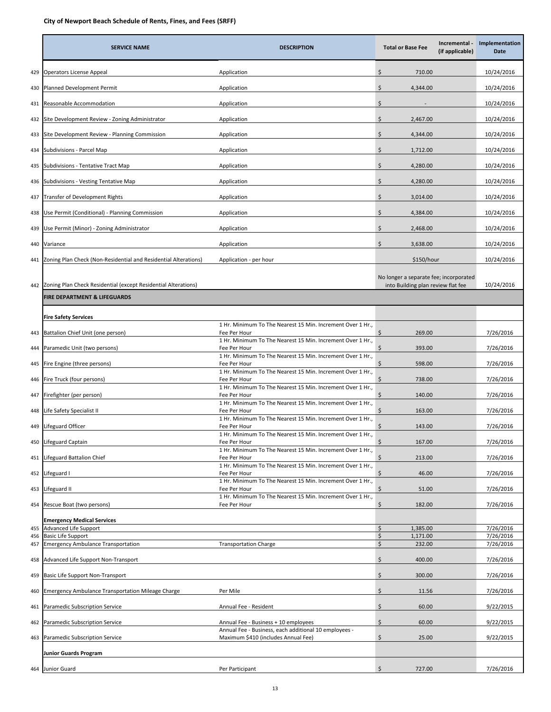|            | <b>SERVICE NAME</b>                                             | <b>DESCRIPTION</b>                                                                            | <b>Total or Base Fee</b>                                                     | Incremental -<br>(if applicable) | Implementation<br>Date |
|------------|-----------------------------------------------------------------|-----------------------------------------------------------------------------------------------|------------------------------------------------------------------------------|----------------------------------|------------------------|
| 429        | Operators License Appeal                                        | Application                                                                                   | \$<br>710.00                                                                 |                                  | 10/24/2016             |
| 430        | Planned Development Permit                                      | Application                                                                                   | \$<br>4,344.00                                                               |                                  | 10/24/2016             |
| 431        | Reasonable Accommodation                                        | Application                                                                                   | \$                                                                           |                                  | 10/24/2016             |
| 432        | Site Development Review - Zoning Administrator                  | Application                                                                                   | \$<br>2,467.00                                                               |                                  | 10/24/2016             |
| 433        | Site Development Review - Planning Commission                   | Application                                                                                   | \$<br>4,344.00                                                               |                                  | 10/24/2016             |
| 434        | Subdivisions - Parcel Map                                       | Application                                                                                   | \$<br>1,712.00                                                               |                                  | 10/24/2016             |
| 435        | Subdivisions - Tentative Tract Map                              | Application                                                                                   | \$<br>4,280.00                                                               |                                  | 10/24/2016             |
| 436        | Subdivisions - Vesting Tentative Map                            | Application                                                                                   | \$<br>4,280.00                                                               |                                  | 10/24/2016             |
| 437        | Transfer of Development Rights                                  | Application                                                                                   | \$<br>3,014.00                                                               |                                  | 10/24/2016             |
| 438        | Use Permit (Conditional) - Planning Commission                  | Application                                                                                   | \$<br>4,384.00                                                               |                                  | 10/24/2016             |
| 439        | Use Permit (Minor) - Zoning Administrator                       | Application                                                                                   | \$<br>2,468.00                                                               |                                  | 10/24/2016             |
| 440        | Variance                                                        | Application                                                                                   | \$<br>3,638.00                                                               |                                  | 10/24/2016             |
| 441        | Zoning Plan Check (Non-Residential and Residential Alterations) | Application - per hour                                                                        | \$150/hour                                                                   |                                  | 10/24/2016             |
| 442        | Zoning Plan Check Residential (except Residential Alterations)  |                                                                                               | No longer a separate fee; incorporated<br>into Building plan review flat fee |                                  | 10/24/2016             |
|            | <b>FIRE DEPARTMENT &amp; LIFEGUARDS</b>                         |                                                                                               |                                                                              |                                  |                        |
|            | <b>Fire Safety Services</b>                                     |                                                                                               |                                                                              |                                  |                        |
| 443        | Battalion Chief Unit (one person)                               | 1 Hr. Minimum To The Nearest 15 Min. Increment Over 1 Hr.,<br>Fee Per Hour                    | Ś.<br>269.00                                                                 |                                  | 7/26/2016              |
| 444        | Paramedic Unit (two persons)                                    | 1 Hr. Minimum To The Nearest 15 Min. Increment Over 1 Hr.,<br>Fee Per Hour                    | 393.00<br>\$                                                                 |                                  | 7/26/2016              |
| 445        | Fire Engine (three persons)                                     | 1 Hr. Minimum To The Nearest 15 Min. Increment Over 1 Hr.,<br>Fee Per Hour                    | \$<br>598.00                                                                 |                                  | 7/26/2016              |
| 446        | Fire Truck (four persons)                                       | 1 Hr. Minimum To The Nearest 15 Min. Increment Over 1 Hr.,<br>Fee Per Hour                    | 738.00<br>Ŝ                                                                  |                                  | 7/26/2016              |
| 447        | Firefighter (per person)                                        | 1 Hr. Minimum To The Nearest 15 Min. Increment Over 1 Hr.,<br>Fee Per Hour                    | Ŝ.<br>140.00                                                                 |                                  | 7/26/2016              |
| 448        | ife Safety Specialist II.                                       | 1 Hr. Minimum To The Nearest 15 Min. Increment Over 1 Hr.,<br>Fee Per Hour                    | \$.<br>163.00                                                                |                                  | 7/26/2016              |
| 449        | Lifeguard Officer                                               | 1 Hr. Minimum To The Nearest 15 Min. Increment Over 1 Hr.,<br>Fee Per Hour                    | 143.00<br>\$                                                                 |                                  | 7/26/2016              |
| 450        | Lifeguard Captain                                               | 1 Hr. Minimum To The Nearest 15 Min. Increment Over 1 Hr.,<br>Fee Per Hour                    | \$<br>167.00                                                                 |                                  | 7/26/2016              |
| 451        | Lifeguard Battalion Chief                                       | 1 Hr. Minimum To The Nearest 15 Min. Increment Over 1 Hr.,<br>Fee Per Hour                    | \$<br>213.00                                                                 |                                  | 7/26/2016              |
| 452        | Lifeguard I                                                     | 1 Hr. Minimum To The Nearest 15 Min. Increment Over 1 Hr.,<br>Fee Per Hour                    | \$<br>46.00                                                                  |                                  | 7/26/2016              |
| 453        | Lifeguard II                                                    | 1 Hr. Minimum To The Nearest 15 Min. Increment Over 1 Hr.,<br>Fee Per Hour                    | \$<br>51.00                                                                  |                                  | 7/26/2016              |
| 454        | Rescue Boat (two persons)                                       | 1 Hr. Minimum To The Nearest 15 Min. Increment Over 1 Hr.,<br>Fee Per Hour                    | \$<br>182.00                                                                 |                                  | 7/26/2016              |
|            | <b>Emergency Medical Services</b><br>Advanced Life Support      |                                                                                               | \$<br>1,385.00                                                               |                                  | 7/26/2016              |
| 455<br>456 | <b>Basic Life Support</b>                                       |                                                                                               | \$<br>1,171.00                                                               |                                  | 7/26/2016              |
| 457        | <b>Emergency Ambulance Transportation</b>                       | <b>Transportation Charge</b>                                                                  | 232.00<br>\$                                                                 |                                  | 7/26/2016              |
| 458        | Advanced Life Support Non-Transport                             |                                                                                               | Ś<br>400.00                                                                  |                                  | 7/26/2016              |
| 459        | Basic Life Support Non-Transport                                |                                                                                               | \$<br>300.00                                                                 |                                  | 7/26/2016              |
| 460        | <b>Emergency Ambulance Transportation Mileage Charge</b>        | Per Mile                                                                                      | \$<br>11.56                                                                  |                                  | 7/26/2016              |
| 461        | Paramedic Subscription Service                                  | Annual Fee - Resident                                                                         | \$<br>60.00                                                                  |                                  | 9/22/2015              |
| 462        | Paramedic Subscription Service                                  | Annual Fee - Business + 10 employees<br>Annual Fee - Business, each additional 10 employees - | \$<br>60.00                                                                  |                                  | 9/22/2015              |
| 463        | Paramedic Subscription Service                                  | Maximum \$410 (includes Annual Fee)                                                           | Ś.<br>25.00                                                                  |                                  | 9/22/2015              |
|            | <b>Junior Guards Program</b>                                    |                                                                                               |                                                                              |                                  |                        |
|            | 464 Junior Guard                                                | Per Participant                                                                               | \$<br>727.00                                                                 |                                  | 7/26/2016              |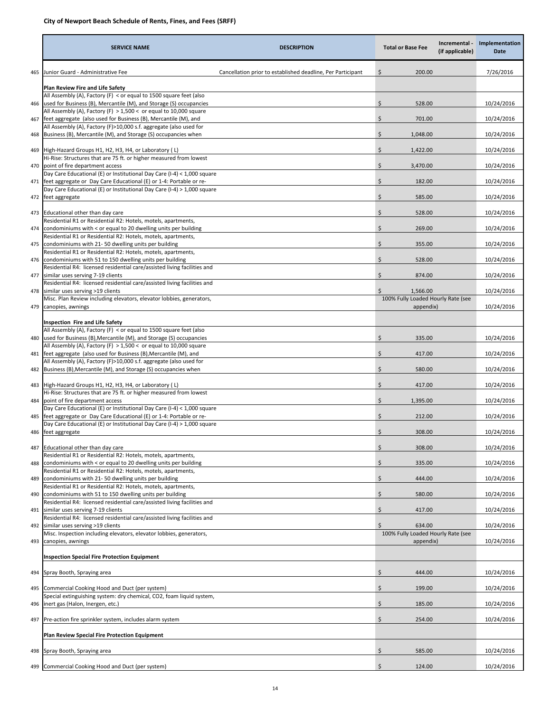|     | <b>SERVICE NAME</b>                                                                                                                           | <b>DESCRIPTION</b>                                          | <b>Total or Base Fee</b>                        | Incremental -<br>(if applicable) | Implementation<br>Date |
|-----|-----------------------------------------------------------------------------------------------------------------------------------------------|-------------------------------------------------------------|-------------------------------------------------|----------------------------------|------------------------|
| 465 | Junior Guard - Administrative Fee                                                                                                             | Cancellation prior to established deadline, Per Participant | \$<br>200.00                                    |                                  | 7/26/2016              |
|     | Plan Review Fire and Life Safety                                                                                                              |                                                             |                                                 |                                  |                        |
| 466 | All Assembly (A), Factory (F) < or equal to 1500 square feet (also<br>used for Business (B), Mercantile (M), and Storage (S) occupancies      |                                                             | \$<br>528.00                                    |                                  | 10/24/2016             |
| 467 | All Assembly (A), Factory (F) $> 1,500 <$ or equal to 10,000 square<br>feet aggregate (also used for Business (B), Mercantile (M), and        |                                                             | \$<br>701.00                                    |                                  | 10/24/2016             |
|     | All Assembly (A), Factory (F)>10,000 s.f. aggregate (also used for                                                                            |                                                             |                                                 |                                  |                        |
| 468 | Business (B), Mercantile (M), and Storage (S) occupancies when                                                                                |                                                             | \$<br>1,048.00                                  |                                  | 10/24/2016             |
| 469 | High-Hazard Groups H1, H2, H3, H4, or Laboratory (L)<br>Hi-Rise: Structures that are 75 ft. or higher measured from lowest                    |                                                             | \$<br>1,422.00                                  |                                  | 10/24/2016             |
| 470 | point of fire department access<br>Day Care Educational (E) or Institutional Day Care (I-4) < 1,000 square                                    |                                                             | \$<br>3,470.00                                  |                                  | 10/24/2016             |
| 471 | feet aggregate or Day Care Educational (E) or 1-4: Portable or re-                                                                            |                                                             | \$<br>182.00                                    |                                  | 10/24/2016             |
|     | Day Care Educational (E) or Institutional Day Care (I-4) > 1,000 square<br>472 feet aggregate                                                 |                                                             | \$<br>585.00                                    |                                  | 10/24/2016             |
|     | 473 Educational other than day care                                                                                                           |                                                             | \$<br>528.00                                    |                                  | 10/24/2016             |
|     | Residential R1 or Residential R2: Hotels, motels, apartments,                                                                                 |                                                             | \$                                              |                                  |                        |
| 474 | condominiums with < or equal to 20 dwelling units per building<br>Residential R1 or Residential R2: Hotels, motels, apartments,               |                                                             | 269.00                                          |                                  | 10/24/2016             |
| 475 | condominiums with 21-50 dwelling units per building<br>Residential R1 or Residential R2: Hotels, motels, apartments,                          |                                                             | \$<br>355.00                                    |                                  | 10/24/2016             |
| 476 | condominiums with 51 to 150 dwelling units per building<br>Residential R4: licensed residential care/assisted living facilities and           |                                                             | \$<br>528.00                                    |                                  | 10/24/2016             |
| 477 | similar uses serving 7-19 clients                                                                                                             |                                                             | \$<br>874.00                                    |                                  | 10/24/2016             |
| 478 | Residential R4: licensed residential care/assisted living facilities and<br>similar uses serving >19 clients                                  |                                                             | \$<br>1,566.00                                  |                                  | 10/24/2016             |
| 479 | Misc. Plan Review including elevators, elevator lobbies, generators,<br>canopies, awnings                                                     |                                                             | 100% Fully Loaded Hourly Rate (see<br>appendix) |                                  | 10/24/2016             |
|     |                                                                                                                                               |                                                             |                                                 |                                  |                        |
|     | <b>Inspection Fire and Life Safety</b><br>All Assembly (A), Factory (F) < or equal to 1500 square feet (also                                  |                                                             |                                                 |                                  |                        |
| 480 | used for Business (B), Mercantile (M), and Storage (S) occupancies<br>All Assembly (A), Factory (F) $> 1,500 <$ or equal to 10,000 square     |                                                             | \$<br>335.00                                    |                                  | 10/24/2016             |
| 481 | feet aggregate (also used for Business (B), Mercantile (M), and<br>All Assembly (A), Factory (F)>10,000 s.f. aggregate (also used for         |                                                             | \$<br>417.00                                    |                                  | 10/24/2016             |
| 482 | Business (B), Mercantile (M), and Storage (S) occupancies when                                                                                |                                                             | \$<br>580.00                                    |                                  | 10/24/2016             |
|     | 483 High-Hazard Groups H1, H2, H3, H4, or Laboratory (L)                                                                                      |                                                             | Ś.<br>417.00                                    |                                  | 10/24/2016             |
| 484 | Hi-Rise: Structures that are 75 ft. or higher measured from lowest<br>point of fire department access                                         |                                                             | \$<br>1,395.00                                  |                                  | 10/24/2016             |
| 485 | Day Care Educational (E) or Institutional Day Care (I-4) < 1,000 square<br>feet aggregate or Day Care Educational (E) or 1-4: Portable or re- |                                                             | \$<br>212.00                                    |                                  | 10/24/2016             |
| 486 | Day Care Educational (E) or Institutional Day Care (I-4) > 1,000 square<br>feet aggregate                                                     |                                                             | \$<br>308.00                                    |                                  | 10/24/2016             |
| 487 | Educational other than day care                                                                                                               |                                                             | \$<br>308.00                                    |                                  | 10/24/2016             |
|     | Residential R1 or Residential R2: Hotels, motels, apartments,                                                                                 |                                                             |                                                 |                                  |                        |
| 488 | condominiums with < or equal to 20 dwelling units per building<br>Residential R1 or Residential R2: Hotels, motels, apartments,               |                                                             | \$<br>335.00                                    |                                  | 10/24/2016             |
| 489 | condominiums with 21-50 dwelling units per building<br>Residential R1 or Residential R2: Hotels, motels, apartments,                          |                                                             | \$<br>444.00                                    |                                  | 10/24/2016             |
| 490 | condominiums with 51 to 150 dwelling units per building                                                                                       |                                                             | \$<br>580.00                                    |                                  | 10/24/2016             |
| 491 | Residential R4: licensed residential care/assisted living facilities and<br>similar uses serving 7-19 clients                                 |                                                             | \$<br>417.00                                    |                                  | 10/24/2016             |
| 492 | Residential R4: licensed residential care/assisted living facilities and<br>similar uses serving >19 clients                                  |                                                             | 634.00                                          |                                  | 10/24/2016             |
| 493 | Misc. Inspection including elevators, elevator lobbies, generators,<br>canopies, awnings                                                      |                                                             | 100% Fully Loaded Hourly Rate (see<br>appendix) |                                  | 10/24/2016             |
|     |                                                                                                                                               |                                                             |                                                 |                                  |                        |
|     | <b>Inspection Special Fire Protection Equipment</b>                                                                                           |                                                             |                                                 |                                  |                        |
| 494 | Spray Booth, Spraying area                                                                                                                    |                                                             | \$<br>444.00                                    |                                  | 10/24/2016             |
| 495 | Commercial Cooking Hood and Duct (per system)<br>Special extinguishing system: dry chemical, CO2, foam liquid system,                         |                                                             | \$<br>199.00                                    |                                  | 10/24/2016             |
| 496 | inert gas (Halon, Inergen, etc.)                                                                                                              |                                                             | \$<br>185.00                                    |                                  | 10/24/2016             |
| 497 | Pre-action fire sprinkler system, includes alarm system                                                                                       |                                                             | Ś.<br>254.00                                    |                                  | 10/24/2016             |
|     | <b>Plan Review Special Fire Protection Equipment</b>                                                                                          |                                                             |                                                 |                                  |                        |
| 498 | Spray Booth, Spraying area                                                                                                                    |                                                             | \$<br>585.00                                    |                                  | 10/24/2016             |
| 499 | Commercial Cooking Hood and Duct (per system)                                                                                                 |                                                             | \$<br>124.00                                    |                                  | 10/24/2016             |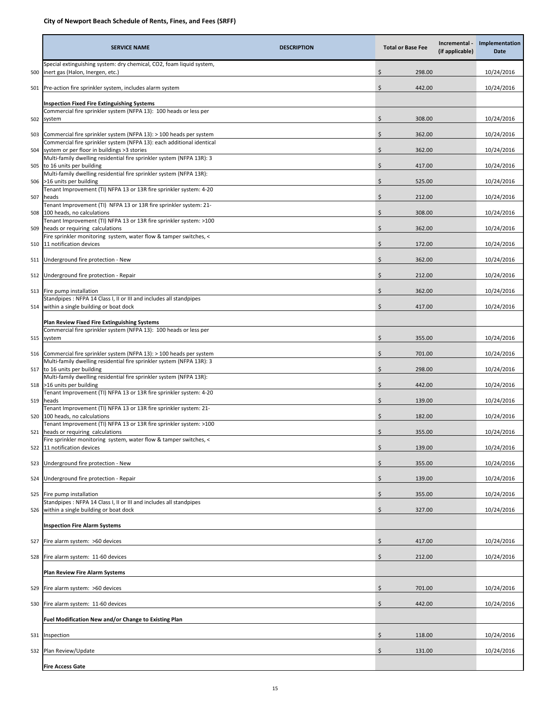|     | <b>SERVICE NAME</b><br><b>DESCRIPTION</b>                                                                                                       |    | <b>Total or Base Fee</b> | Incremental -<br>(if applicable) | Implementation<br>Date |
|-----|-------------------------------------------------------------------------------------------------------------------------------------------------|----|--------------------------|----------------------------------|------------------------|
| 500 | Special extinguishing system: dry chemical, CO2, foam liquid system,<br>inert gas (Halon, Inergen, etc.)                                        | Ś  | 298.00                   |                                  | 10/24/2016             |
| 501 | Pre-action fire sprinkler system, includes alarm system                                                                                         | \$ | 442.00                   |                                  | 10/24/2016             |
|     | <b>Inspection Fixed Fire Extinguishing Systems</b><br>Commercial fire sprinkler system (NFPA 13): 100 heads or less per                         |    |                          |                                  |                        |
| 502 | system                                                                                                                                          | \$ | 308.00                   |                                  | 10/24/2016             |
| 503 | Commercial fire sprinkler system (NFPA 13): > 100 heads per system<br>Commercial fire sprinkler system (NFPA 13): each additional identical     | \$ | 362.00                   |                                  | 10/24/2016             |
| 504 | system or per floor in buildings >3 stories<br>Multi-family dwelling residential fire sprinkler system (NFPA 13R): 3                            | \$ | 362.00                   |                                  | 10/24/2016             |
|     | 505 to 16 units per building<br>Multi-family dwelling residential fire sprinkler system (NFPA 13R):                                             | \$ | 417.00                   |                                  | 10/24/2016             |
|     | 506 >16 units per building<br>Tenant Improvement (TI) NFPA 13 or 13R fire sprinkler system: 4-20                                                | \$ | 525.00                   |                                  | 10/24/2016             |
| 507 | heads<br>Tenant Improvement (TI) NFPA 13 or 13R fire sprinkler system: 21-                                                                      | \$ | 212.00                   |                                  | 10/24/2016             |
| 508 | 100 heads, no calculations<br>Tenant Improvement (TI) NFPA 13 or 13R fire sprinkler system: >100                                                | \$ | 308.00                   |                                  | 10/24/2016             |
| 509 | heads or requiring calculations                                                                                                                 | \$ | 362.00                   |                                  | 10/24/2016             |
| 510 | Fire sprinkler monitoring system, water flow & tamper switches, <<br>11 notification devices                                                    | \$ | 172.00                   |                                  | 10/24/2016             |
| 511 | Underground fire protection - New                                                                                                               | \$ | 362.00                   |                                  | 10/24/2016             |
|     | 512 Underground fire protection - Repair                                                                                                        | \$ | 212.00                   |                                  | 10/24/2016             |
| 513 | Fire pump installation<br>Standpipes: NFPA 14 Class I, II or III and includes all standpipes                                                    | \$ | 362.00                   |                                  | 10/24/2016             |
|     | 514 within a single building or boat dock                                                                                                       | \$ | 417.00                   |                                  | 10/24/2016             |
|     | <b>Plan Review Fixed Fire Extinguishing Systems</b><br>Commercial fire sprinkler system (NFPA 13): 100 heads or less per                        |    |                          |                                  |                        |
| 515 | system                                                                                                                                          | \$ | 355.00                   |                                  | 10/24/2016             |
|     | 516 Commercial fire sprinkler system (NFPA 13): > 100 heads per system<br>Multi-family dwelling residential fire sprinkler system (NFPA 13R): 3 | \$ | 701.00                   |                                  | 10/24/2016             |
|     | 517 to 16 units per building<br>Multi-family dwelling residential fire sprinkler system (NFPA 13R):                                             | \$ | 298.00                   |                                  | 10/24/2016             |
|     | 518 >16 units per building<br>Tenant Improvement (TI) NFPA 13 or 13R fire sprinkler system: 4-20                                                | \$ | 442.00                   |                                  | 10/24/2016             |
| 519 | heads<br>Tenant Improvement (TI) NFPA 13 or 13R fire sprinkler system: 21-                                                                      | \$ | 139.00                   |                                  | 10/24/2016             |
| 520 | 100 heads, no calculations                                                                                                                      | \$ | 182.00                   |                                  | 10/24/2016             |
| 521 | Tenant Improvement (TI) NFPA 13 or 13R fire sprinkler system: >100<br>heads or requiring calculations                                           | \$ | 355.00                   |                                  | 10/24/2016             |
| 522 | Fire sprinkler monitoring system, water flow & tamper switches, <<br>11 notification devices                                                    | \$ | 139.00                   |                                  | 10/24/2016             |
| 523 | Underground fire protection - New                                                                                                               | \$ | 355.00                   |                                  | 10/24/2016             |
| 524 | Underground fire protection - Repair                                                                                                            | \$ | 139.00                   |                                  | 10/24/2016             |
| 525 | Fire pump installation                                                                                                                          | \$ | 355.00                   |                                  | 10/24/2016             |
| 526 | Standpipes: NFPA 14 Class I, II or III and includes all standpipes<br>within a single building or boat dock                                     | \$ | 327.00                   |                                  | 10/24/2016             |
|     | <b>Inspection Fire Alarm Systems</b>                                                                                                            |    |                          |                                  |                        |
| 527 | Fire alarm system: >60 devices                                                                                                                  | Ś  | 417.00                   |                                  | 10/24/2016             |
| 528 | Fire alarm system: 11-60 devices                                                                                                                | \$ | 212.00                   |                                  | 10/24/2016             |
|     | <b>Plan Review Fire Alarm Systems</b>                                                                                                           |    |                          |                                  |                        |
| 529 | Fire alarm system: >60 devices                                                                                                                  | Ś  | 701.00                   |                                  | 10/24/2016             |
| 530 | Fire alarm system: 11-60 devices                                                                                                                | \$ | 442.00                   |                                  | 10/24/2016             |
|     | Fuel Modification New and/or Change to Existing Plan                                                                                            |    |                          |                                  |                        |
| 531 | Inspection                                                                                                                                      | \$ | 118.00                   |                                  | 10/24/2016             |
| 532 | Plan Review/Update                                                                                                                              | \$ | 131.00                   |                                  | 10/24/2016             |
|     | <b>Fire Access Gate</b>                                                                                                                         |    |                          |                                  |                        |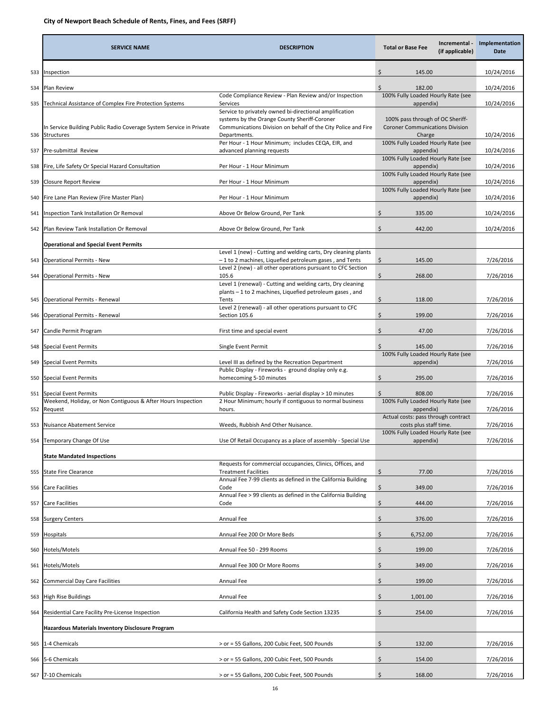|     | <b>SERVICE NAME</b>                                                                   | <b>DESCRIPTION</b>                                                                                                                                                                       | Incremental -<br><b>Total or Base Fee</b><br>(if applicable)                                        | Implementation<br>Date |
|-----|---------------------------------------------------------------------------------------|------------------------------------------------------------------------------------------------------------------------------------------------------------------------------------------|-----------------------------------------------------------------------------------------------------|------------------------|
| 533 | Inspection                                                                            |                                                                                                                                                                                          | \$.<br>145.00                                                                                       | 10/24/2016             |
| 534 | Plan Review                                                                           |                                                                                                                                                                                          | Ś.<br>182.00                                                                                        | 10/24/2016             |
| 535 | Technical Assistance of Complex Fire Protection Systems                               | Code Compliance Review - Plan Review and/or Inspection<br>Services                                                                                                                       | 100% Fully Loaded Hourly Rate (see<br>appendix)                                                     | 10/24/2016             |
|     | In Service Building Public Radio Coverage System Service in Private<br>536 Structures | Service to privately owned bi-directional amplification<br>systems by the Orange County Sheriff-Coroner<br>Communications Division on behalf of the City Police and Fire<br>Departments. | 100% pass through of OC Sheriff-<br><b>Coroner Communications Division</b><br>Charge                | 10/24/2016             |
|     | 537 Pre-submittal Review                                                              | Per Hour - 1 Hour Minimum; includes CEQA, EIR, and<br>advanced planning requests                                                                                                         | 100% Fully Loaded Hourly Rate (see<br>appendix)                                                     | 10/24/2016             |
|     |                                                                                       |                                                                                                                                                                                          | 100% Fully Loaded Hourly Rate (see<br>appendix)                                                     |                        |
| 538 | Fire, Life Safety Or Special Hazard Consultation                                      | Per Hour - 1 Hour Minimum                                                                                                                                                                | 100% Fully Loaded Hourly Rate (see                                                                  | 10/24/2016             |
| 539 | Closure Report Review                                                                 | Per Hour - 1 Hour Minimum                                                                                                                                                                | appendix)<br>100% Fully Loaded Hourly Rate (see                                                     | 10/24/2016             |
| 540 | Fire Lane Plan Review (Fire Master Plan)                                              | Per Hour - 1 Hour Minimum                                                                                                                                                                | appendix)                                                                                           | 10/24/2016             |
| 541 | nspection Tank Installation Or Removal                                                | Above Or Below Ground, Per Tank                                                                                                                                                          | \$<br>335.00                                                                                        | 10/24/2016             |
| 542 | Plan Review Tank Installation Or Removal                                              | Above Or Below Ground, Per Tank                                                                                                                                                          | \$<br>442.00                                                                                        | 10/24/2016             |
|     | <b>Operational and Special Event Permits</b>                                          | Level 1 (new) - Cutting and welding carts, Dry cleaning plants                                                                                                                           |                                                                                                     |                        |
| 543 | <b>Operational Permits - New</b>                                                      | -1 to 2 machines, Liquefied petroleum gases, and Tents                                                                                                                                   | \$<br>145.00                                                                                        | 7/26/2016              |
| 544 | Operational Permits - New                                                             | Level 2 (new) - all other operations pursuant to CFC Section<br>105.6                                                                                                                    | \$<br>268.00                                                                                        | 7/26/2016              |
| 545 | Operational Permits - Renewal                                                         | Level 1 (renewal) - Cutting and welding carts, Dry cleaning<br>plants - 1 to 2 machines, Liquefied petroleum gases, and<br>Tents                                                         | \$<br>118.00                                                                                        | 7/26/2016              |
| 546 | Operational Permits - Renewal                                                         | Level 2 (renewal) - all other operations pursuant to CFC<br>Section 105.6                                                                                                                | \$<br>199.00                                                                                        | 7/26/2016              |
| 547 | Candle Permit Program                                                                 | First time and special event                                                                                                                                                             | \$<br>47.00                                                                                         | 7/26/2016              |
| 548 | <b>Special Event Permits</b>                                                          | Single Event Permit                                                                                                                                                                      | Ś.<br>145.00                                                                                        | 7/26/2016              |
| 549 | <b>Special Event Permits</b>                                                          | Level III as defined by the Recreation Department                                                                                                                                        | 100% Fully Loaded Hourly Rate (see<br>appendix)                                                     | 7/26/2016              |
| 550 | <b>Special Event Permits</b>                                                          | Public Display - Fireworks - ground display only e.g.<br>homecoming 5-10 minutes                                                                                                         | \$<br>295.00                                                                                        | 7/26/2016              |
|     | 551 Special Event Permits                                                             | Public Display - Fireworks - aerial display > 10 minutes                                                                                                                                 | \$<br>808.00                                                                                        | 7/26/2016              |
|     | Weekend, Holiday, or Non Contiguous & After Hours Inspection<br>552 Request           | 2 Hour Minimum; hourly if contiguous to normal business<br>hours.                                                                                                                        | 100% Fully Loaded Hourly Rate (see<br>appendix)                                                     | 7/26/2016              |
| 553 | Nuisance Abatement Service                                                            | Weeds, Rubbish And Other Nuisance.                                                                                                                                                       | Actual costs: pass through contract<br>costs plus staff time.<br>100% Fully Loaded Hourly Rate (see | 7/26/2016              |
|     | 554 Temporary Change Of Use                                                           | Use Of Retail Occupancy as a place of assembly - Special Use                                                                                                                             | appendix)                                                                                           | 7/26/2016              |
|     | <b>State Mandated Inspections</b>                                                     |                                                                                                                                                                                          |                                                                                                     |                        |
| 555 | <b>State Fire Clearance</b>                                                           | Requests for commercial occupancies, Clinics, Offices, and<br><b>Treatment Facilities</b>                                                                                                | \$<br>77.00                                                                                         | 7/26/2016              |
| 556 | are Facilities                                                                        | Annual Fee 7-99 clients as defined in the California Building<br>Code                                                                                                                    | \$<br>349.00                                                                                        | 7/26/2016              |
| 557 | Care Facilities                                                                       | Annual Fee > 99 clients as defined in the California Building<br>Code                                                                                                                    | \$<br>444.00                                                                                        | 7/26/2016              |
| 558 | Surgery Centers                                                                       | Annual Fee                                                                                                                                                                               | \$<br>376.00                                                                                        | 7/26/2016              |
| 559 | Hospitals                                                                             | Annual Fee 200 Or More Beds                                                                                                                                                              | Ś<br>6,752.00                                                                                       | 7/26/2016              |
| 560 | Hotels/Motels                                                                         | Annual Fee 50 - 299 Rooms                                                                                                                                                                | \$<br>199.00                                                                                        | 7/26/2016              |
| 561 | Hotels/Motels                                                                         | Annual Fee 300 Or More Rooms                                                                                                                                                             | \$<br>349.00                                                                                        | 7/26/2016              |
| 562 | Commercial Day Care Facilities                                                        | Annual Fee                                                                                                                                                                               | \$<br>199.00                                                                                        | 7/26/2016              |
| 563 | <b>High Rise Buildings</b>                                                            | Annual Fee                                                                                                                                                                               | \$.<br>1,001.00                                                                                     | 7/26/2016              |
| 564 | Residential Care Facility Pre-License Inspection                                      | California Health and Safety Code Section 13235                                                                                                                                          | \$<br>254.00                                                                                        | 7/26/2016              |
|     | Hazardous Materials Inventory Disclosure Program                                      |                                                                                                                                                                                          |                                                                                                     |                        |
| 565 | 1-4 Chemicals                                                                         | > or = 55 Gallons, 200 Cubic Feet, 500 Pounds                                                                                                                                            | \$<br>132.00                                                                                        | 7/26/2016              |
| 566 | -6 Chemicals                                                                          | > or = 55 Gallons, 200 Cubic Feet, 500 Pounds                                                                                                                                            | Ś<br>154.00                                                                                         | 7/26/2016              |
|     | 567 7-10 Chemicals                                                                    | > or = 55 Gallons, 200 Cubic Feet, 500 Pounds                                                                                                                                            | 168.00<br>Ś                                                                                         | 7/26/2016              |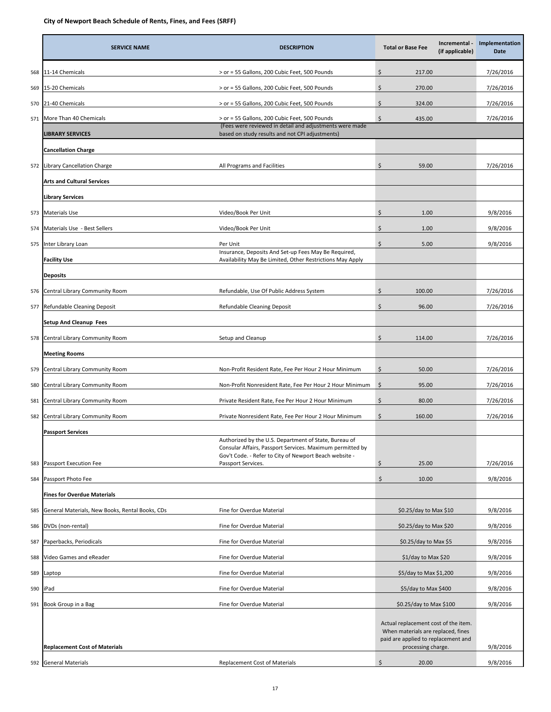|     | <b>SERVICE NAME</b>                             | <b>DESCRIPTION</b>                                                                                                 | <b>Total or Base Fee</b>                                                                                                                | Incremental -<br>(if applicable) | Implementation<br><b>Date</b> |
|-----|-------------------------------------------------|--------------------------------------------------------------------------------------------------------------------|-----------------------------------------------------------------------------------------------------------------------------------------|----------------------------------|-------------------------------|
| 568 | 11-14 Chemicals                                 | > or = 55 Gallons, 200 Cubic Feet, 500 Pounds                                                                      | Ś<br>217.00                                                                                                                             |                                  | 7/26/2016                     |
| 569 | 15-20 Chemicals                                 | > or = 55 Gallons, 200 Cubic Feet, 500 Pounds                                                                      | \$<br>270.00                                                                                                                            |                                  | 7/26/2016                     |
| 570 | 21-40 Chemicals                                 | > or = 55 Gallons, 200 Cubic Feet, 500 Pounds                                                                      | \$<br>324.00                                                                                                                            |                                  | 7/26/2016                     |
| 571 | More Than 40 Chemicals                          | > or = 55 Gallons, 200 Cubic Feet, 500 Pounds                                                                      | \$<br>435.00                                                                                                                            |                                  | 7/26/2016                     |
|     | <b>LIBRARY SERVICES</b>                         | (Fees were reviewed in detail and adjustments were made<br>based on study results and not CPI adjustments)         |                                                                                                                                         |                                  |                               |
|     | <b>Cancellation Charge</b>                      |                                                                                                                    |                                                                                                                                         |                                  |                               |
| 572 | <b>Library Cancellation Charge</b>              | All Programs and Facilities                                                                                        | \$<br>59.00                                                                                                                             |                                  | 7/26/2016                     |
|     | <b>Arts and Cultural Services</b>               |                                                                                                                    |                                                                                                                                         |                                  |                               |
|     | <b>Library Services</b>                         |                                                                                                                    |                                                                                                                                         |                                  |                               |
| 573 | <b>Materials Use</b>                            | Video/Book Per Unit                                                                                                | \$<br>1.00                                                                                                                              |                                  | 9/8/2016                      |
| 574 | Materials Use - Best Sellers                    | Video/Book Per Unit                                                                                                | Ś<br>1.00                                                                                                                               |                                  | 9/8/2016                      |
| 575 | Inter Library Loan                              | Per Unit                                                                                                           | \$<br>5.00                                                                                                                              |                                  | 9/8/2016                      |
|     | <b>Facility Use</b>                             | Insurance, Deposits And Set-up Fees May Be Required,<br>Availability May Be Limited, Other Restrictions May Apply  |                                                                                                                                         |                                  |                               |
|     | <b>Deposits</b>                                 |                                                                                                                    |                                                                                                                                         |                                  |                               |
| 576 | Central Library Community Room                  | Refundable, Use Of Public Address System                                                                           | \$<br>100.00                                                                                                                            |                                  | 7/26/2016                     |
| 577 | Refundable Cleaning Deposit                     | Refundable Cleaning Deposit                                                                                        | Ś<br>96.00                                                                                                                              |                                  | 7/26/2016                     |
|     | <b>Setup And Cleanup Fees</b>                   |                                                                                                                    |                                                                                                                                         |                                  |                               |
| 578 | Central Library Community Room                  | Setup and Cleanup                                                                                                  | \$<br>114.00                                                                                                                            |                                  | 7/26/2016                     |
|     | <b>Meeting Rooms</b>                            |                                                                                                                    |                                                                                                                                         |                                  |                               |
| 579 | Central Library Community Room                  | Non-Profit Resident Rate, Fee Per Hour 2 Hour Minimum                                                              | \$<br>50.00                                                                                                                             |                                  | 7/26/2016                     |
| 580 | Central Library Community Room                  | Non-Profit Nonresident Rate, Fee Per Hour 2 Hour Minimum                                                           | \$<br>95.00                                                                                                                             |                                  | 7/26/2016                     |
| 581 | Central Library Community Room                  | Private Resident Rate, Fee Per Hour 2 Hour Minimum                                                                 | \$<br>80.00                                                                                                                             |                                  | 7/26/2016                     |
| 582 | Central Library Community Room                  | Private Nonresident Rate, Fee Per Hour 2 Hour Minimum                                                              | \$<br>160.00                                                                                                                            |                                  | 7/26/2016                     |
|     | <b>Passport Services</b>                        |                                                                                                                    |                                                                                                                                         |                                  |                               |
|     |                                                 | Authorized by the U.S. Department of State, Bureau of<br>Consular Affairs, Passport Services. Maximum permitted by |                                                                                                                                         |                                  |                               |
| 583 | Passport Execution Fee                          | Gov't Code. - Refer to City of Newport Beach website -<br>Passport Services.                                       | \$<br>25.00                                                                                                                             |                                  | 7/26/2016                     |
| 584 | Passport Photo Fee                              |                                                                                                                    | \$<br>10.00                                                                                                                             |                                  | 9/8/2016                      |
|     | <b>Fines for Overdue Materials</b>              |                                                                                                                    |                                                                                                                                         |                                  |                               |
| 585 | General Materials, New Books, Rental Books, CDs | Fine for Overdue Material                                                                                          | \$0.25/day to Max \$10                                                                                                                  |                                  | 9/8/2016                      |
| 586 | DVDs (non-rental)                               | Fine for Overdue Material                                                                                          | \$0.25/day to Max \$20                                                                                                                  |                                  | 9/8/2016                      |
| 587 | Paperbacks, Periodicals                         | Fine for Overdue Material                                                                                          | \$0.25/day to Max \$5                                                                                                                   |                                  | 9/8/2016                      |
| 588 | Video Games and eReader                         | Fine for Overdue Material                                                                                          | \$1/day to Max \$20                                                                                                                     |                                  | 9/8/2016                      |
| 589 | Laptop                                          | Fine for Overdue Material                                                                                          | \$5/day to Max \$1,200                                                                                                                  |                                  | 9/8/2016                      |
| 590 | iPad                                            | Fine for Overdue Material                                                                                          | \$5/day to Max \$400                                                                                                                    |                                  | 9/8/2016                      |
| 591 | Book Group in a Bag                             | Fine for Overdue Material                                                                                          | \$0.25/day to Max \$100                                                                                                                 |                                  | 9/8/2016                      |
|     | <b>Replacement Cost of Materials</b>            |                                                                                                                    | Actual replacement cost of the item.<br>When materials are replaced, fines<br>paid are applied to replacement and<br>processing charge. |                                  | 9/8/2016                      |
|     | 592 General Materials                           | Replacement Cost of Materials                                                                                      | \$<br>20.00                                                                                                                             |                                  | 9/8/2016                      |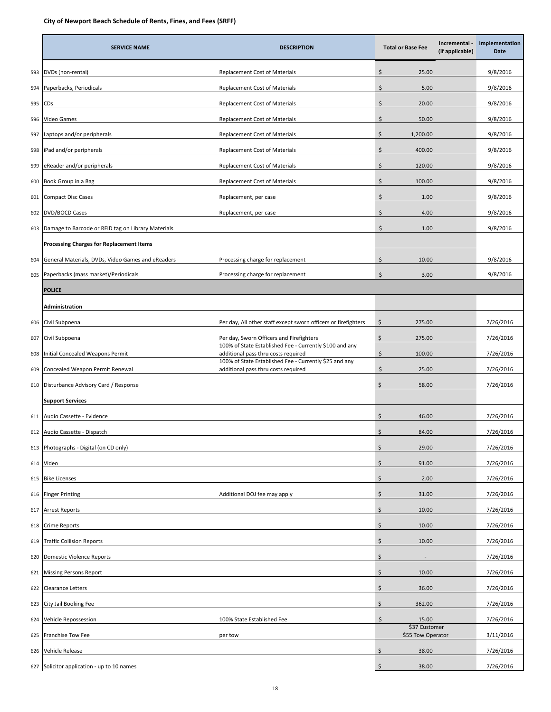|     | <b>SERVICE NAME</b>                                | <b>DESCRIPTION</b>                                                                             |    | <b>Total or Base Fee</b>           | Incremental -<br>(if applicable) | Implementation<br>Date |
|-----|----------------------------------------------------|------------------------------------------------------------------------------------------------|----|------------------------------------|----------------------------------|------------------------|
| 593 | DVDs (non-rental)                                  | Replacement Cost of Materials                                                                  | \$ | 25.00                              |                                  | 9/8/2016               |
| 594 | Paperbacks, Periodicals                            | Replacement Cost of Materials                                                                  | \$ | 5.00                               |                                  | 9/8/2016               |
| 595 | CDs                                                | Replacement Cost of Materials                                                                  | \$ | 20.00                              |                                  | 9/8/2016               |
| 596 | Video Games                                        | Replacement Cost of Materials                                                                  | Ś. | 50.00                              |                                  | 9/8/2016               |
| 597 | aptops and/or peripherals                          | Replacement Cost of Materials                                                                  | \$ | 1,200.00                           |                                  | 9/8/2016               |
| 598 | iPad and/or peripherals                            | Replacement Cost of Materials                                                                  | \$ | 400.00                             |                                  | 9/8/2016               |
| 599 | eReader and/or peripherals                         | Replacement Cost of Materials                                                                  | \$ | 120.00                             |                                  | 9/8/2016               |
| 600 | Book Group in a Bag                                | Replacement Cost of Materials                                                                  | \$ | 100.00                             |                                  | 9/8/2016               |
| 601 | <b>Compact Disc Cases</b>                          | Replacement, per case                                                                          | \$ | 1.00                               |                                  | 9/8/2016               |
| 602 | <b>DVD/BOCD Cases</b>                              | Replacement, per case                                                                          | \$ | 4.00                               |                                  | 9/8/2016               |
| 603 | Damage to Barcode or RFID tag on Library Materials |                                                                                                | \$ | 1.00                               |                                  | 9/8/2016               |
|     | <b>Processing Charges for Replacement Items</b>    |                                                                                                |    |                                    |                                  |                        |
| 604 | General Materials, DVDs, Video Games and eReaders  | Processing charge for replacement                                                              | \$ | 10.00                              |                                  | 9/8/2016               |
| 605 | Paperbacks (mass market)/Periodicals               | Processing charge for replacement                                                              | \$ | 3.00                               |                                  | 9/8/2016               |
|     | <b>POLICE</b>                                      |                                                                                                |    |                                    |                                  |                        |
|     | Administration                                     |                                                                                                |    |                                    |                                  |                        |
| 606 | Civil Subpoena                                     | Per day, All other staff except sworn officers or firefighters                                 | \$ | 275.00                             |                                  | 7/26/2016              |
| 607 | Civil Subpoena                                     | Per day, Sworn Officers and Firefighters                                                       | \$ | 275.00                             |                                  | 7/26/2016              |
| 608 | Initial Concealed Weapons Permit                   | 100% of State Established Fee - Currently \$100 and any<br>additional pass thru costs required | Ś. | 100.00                             |                                  | 7/26/2016              |
| 609 | Concealed Weapon Permit Renewal                    | 100% of State Established Fee - Currently \$25 and any<br>additional pass thru costs required  | \$ | 25.00                              |                                  | 7/26/2016              |
| 610 | Disturbance Advisory Card / Response               |                                                                                                | \$ | 58.00                              |                                  | 7/26/2016              |
|     | <b>Support Services</b>                            |                                                                                                |    |                                    |                                  |                        |
| 611 | Audio Cassette - Evidence                          |                                                                                                | \$ | 46.00                              |                                  | 7/26/2016              |
| 612 | Audio Cassette - Dispatch                          |                                                                                                | \$ | 84.00                              |                                  | 7/26/2016              |
| 613 | Photographs - Digital (on CD only)                 |                                                                                                | \$ | 29.00                              |                                  | 7/26/2016              |
| 614 | Video                                              |                                                                                                | \$ | 91.00                              |                                  | 7/26/2016              |
| 615 | Bike Licenses                                      |                                                                                                | \$ | 2.00                               |                                  | 7/26/2016              |
| 616 | <b>Finger Printing</b>                             | Additional DOJ fee may apply                                                                   | \$ | 31.00                              |                                  | 7/26/2016              |
| 617 | Arrest Reports                                     |                                                                                                | \$ | 10.00                              |                                  | 7/26/2016              |
| 618 | Crime Reports                                      |                                                                                                | \$ | 10.00                              |                                  | 7/26/2016              |
| 619 | Traffic Collision Reports                          |                                                                                                | Ś  | 10.00                              |                                  | 7/26/2016              |
| 620 | Domestic Violence Reports                          |                                                                                                | \$ |                                    |                                  | 7/26/2016              |
| 621 | <b>Missing Persons Report</b>                      |                                                                                                | \$ | 10.00                              |                                  | 7/26/2016              |
| 622 | Clearance Letters                                  |                                                                                                | \$ | 36.00                              |                                  | 7/26/2016              |
| 623 | City Jail Booking Fee                              |                                                                                                | \$ | 362.00                             |                                  | 7/26/2016              |
| 624 | Vehicle Repossession                               | 100% State Established Fee                                                                     | \$ | 15.00                              |                                  | 7/26/2016              |
| 625 | Franchise Tow Fee                                  | per tow                                                                                        |    | \$37 Customer<br>\$55 Tow Operator |                                  | 3/11/2016              |
| 626 | Vehicle Release                                    |                                                                                                | \$ | 38.00                              |                                  | 7/26/2016              |
|     | 627 Solicitor application - up to 10 names         |                                                                                                | \$ | 38.00                              |                                  | 7/26/2016              |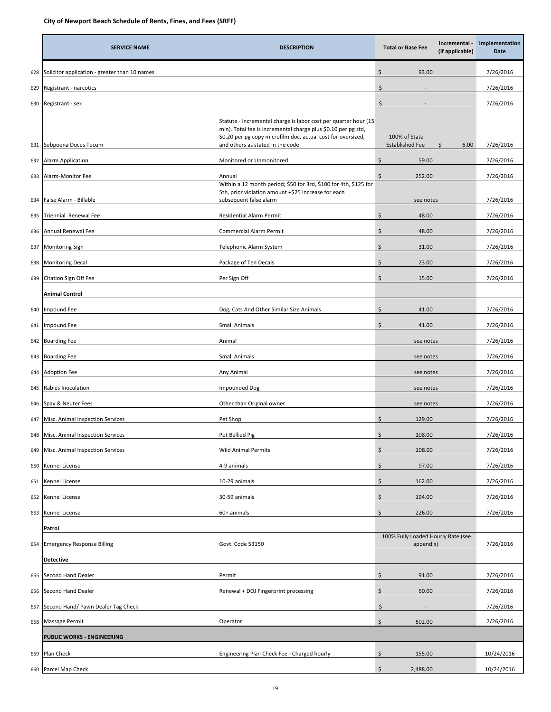|     | <b>SERVICE NAME</b>                           | <b>DESCRIPTION</b>                                                                                                                                                                                                                   | Incremental -<br><b>Total or Base Fee</b><br>(if applicable) | Implementation<br>Date |  |
|-----|-----------------------------------------------|--------------------------------------------------------------------------------------------------------------------------------------------------------------------------------------------------------------------------------------|--------------------------------------------------------------|------------------------|--|
| 628 | Solicitor application - greater than 10 names |                                                                                                                                                                                                                                      | \$<br>93.00                                                  | 7/26/2016              |  |
| 629 | Registrant - narcotics                        |                                                                                                                                                                                                                                      | \$                                                           | 7/26/2016              |  |
| 630 | Registrant - sex                              |                                                                                                                                                                                                                                      | \$                                                           | 7/26/2016              |  |
| 631 | Subpoena Duces Tecum                          | Statute - Incremental charge is labor cost per quarter hour (15<br>min). Total fee is incremental charge plus \$0.10 per pg std,<br>\$0.20 per pg copy microfilm doc, actual cost for oversized,<br>and others as stated in the code | 100% of State<br><b>Established Fee</b><br>\$<br>6.00        | 7/26/2016              |  |
| 632 | <b>Alarm Application</b>                      | Monitored or Unmonitored                                                                                                                                                                                                             | \$<br>59.00                                                  | 7/26/2016              |  |
|     |                                               |                                                                                                                                                                                                                                      | \$<br>252.00                                                 |                        |  |
| 633 | Alarm-Monitor Fee                             | Annual<br>Within a 12 month period; \$50 for 3rd, \$100 for 4th, \$125 for<br>5th, prior violation amount +\$25 increase for each                                                                                                    |                                                              | 7/26/2016              |  |
| 634 | False Alarm - Billable                        | subsequent false alarm                                                                                                                                                                                                               | see notes                                                    | 7/26/2016              |  |
| 635 | Triennial Renewal Fee                         | <b>Residential Alarm Permit</b>                                                                                                                                                                                                      | \$<br>48.00                                                  | 7/26/2016              |  |
| 636 | Annual Renewal Fee                            | Commercial Alarm Permit                                                                                                                                                                                                              | \$<br>48.00                                                  | 7/26/2016              |  |
| 637 | <b>Monitoring Sign</b>                        | Telephonic Alarm System                                                                                                                                                                                                              | \$<br>31.00                                                  | 7/26/2016              |  |
| 638 | <b>Monitoring Decal</b>                       | Package of Ten Decals                                                                                                                                                                                                                | \$<br>23.00                                                  | 7/26/2016              |  |
| 639 | Citation Sign Off Fee                         | Per Sign Off                                                                                                                                                                                                                         | \$<br>15.00                                                  | 7/26/2016              |  |
|     | <b>Animal Control</b>                         |                                                                                                                                                                                                                                      |                                                              |                        |  |
| 640 | Impound Fee                                   | Dog, Cats And Other Similar Size Animals                                                                                                                                                                                             | \$<br>41.00                                                  | 7/26/2016              |  |
| 641 | mpound Fee                                    | Small Animals                                                                                                                                                                                                                        | \$<br>41.00                                                  | 7/26/2016              |  |
| 642 | <b>Boarding Fee</b>                           | Animal                                                                                                                                                                                                                               | see notes                                                    | 7/26/2016              |  |
| 643 | <b>Boarding Fee</b>                           | <b>Small Animals</b>                                                                                                                                                                                                                 | see notes                                                    | 7/26/2016              |  |
| 644 | <b>Adoption Fee</b>                           | Any Animal                                                                                                                                                                                                                           | see notes                                                    | 7/26/2016              |  |
| 645 | Rabies Inoculation                            | Impounded Dog                                                                                                                                                                                                                        | see notes                                                    | 7/26/2016              |  |
| 646 | Spay & Neuter Fees                            | Other than Original owner                                                                                                                                                                                                            | see notes                                                    | 7/26/2016              |  |
| 647 | Misc. Animal Inspection Services              | Pet Shop                                                                                                                                                                                                                             | \$<br>129.00                                                 | 7/26/2016              |  |
|     | 648 Misc. Animal Inspection Services          | Pot Bellied Pig                                                                                                                                                                                                                      | \$<br>108.00                                                 | 7/26/2016              |  |
| 649 | Misc. Animal Inspection Services              | <b>Wild Animal Permits</b>                                                                                                                                                                                                           | \$<br>108.00                                                 | 7/26/2016              |  |
| 650 | Kennel License                                | 4-9 animals                                                                                                                                                                                                                          | \$<br>97.00                                                  | 7/26/2016              |  |
| 651 | Kennel License                                | 10-29 animals                                                                                                                                                                                                                        | \$<br>162.00                                                 | 7/26/2016              |  |
| 652 | Kennel License                                | 30-59 animals                                                                                                                                                                                                                        | \$<br>194.00                                                 | 7/26/2016              |  |
| 653 | Kennel License                                | 60+ animals                                                                                                                                                                                                                          | \$<br>226.00                                                 | 7/26/2016              |  |
|     | Patrol                                        |                                                                                                                                                                                                                                      |                                                              |                        |  |
| 654 | <b>Emergency Response Billing</b>             | Govt. Code 53150                                                                                                                                                                                                                     | 100% Fully Loaded Hourly Rate (see<br>appendix)              | 7/26/2016              |  |
|     | <b>Detective</b>                              |                                                                                                                                                                                                                                      |                                                              |                        |  |
| 655 | Second Hand Dealer                            | Permit                                                                                                                                                                                                                               | \$<br>91.00                                                  | 7/26/2016              |  |
| 656 | Second Hand Dealer                            | Renewal + DOJ Fingerprint processing                                                                                                                                                                                                 | \$<br>60.00                                                  | 7/26/2016              |  |
| 657 | Second Hand/ Pawn Dealer Tag Check            |                                                                                                                                                                                                                                      | \$                                                           | 7/26/2016              |  |
| 658 | Massage Permit                                | Operator                                                                                                                                                                                                                             | \$<br>502.00                                                 | 7/26/2016              |  |
|     | PUBLIC WORKS - ENGINEERING                    |                                                                                                                                                                                                                                      |                                                              |                        |  |
| 659 | Plan Check                                    | Engineering Plan Check Fee - Charged hourly                                                                                                                                                                                          | \$<br>155.00                                                 | 10/24/2016             |  |
| 660 | Parcel Map Check                              |                                                                                                                                                                                                                                      | \$<br>2,488.00                                               | 10/24/2016             |  |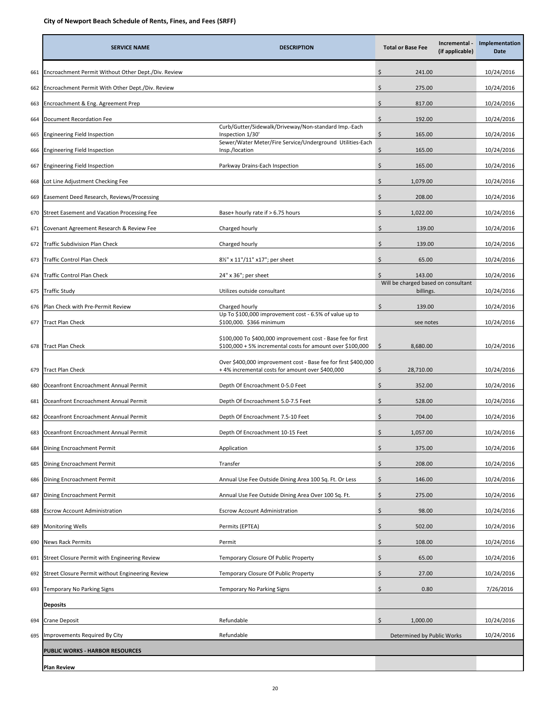|     | <b>SERVICE NAME</b>                                 | <b>DESCRIPTION</b>                                                                                                         |    | <b>Total or Base Fee</b>                         | Incremental -<br>(if applicable) | Implementation<br>Date |
|-----|-----------------------------------------------------|----------------------------------------------------------------------------------------------------------------------------|----|--------------------------------------------------|----------------------------------|------------------------|
| 661 | Encroachment Permit Without Other Dept./Div. Review |                                                                                                                            | Ś  | 241.00                                           |                                  | 10/24/2016             |
| 662 | Encroachment Permit With Other Dept./Div. Review    |                                                                                                                            | \$ | 275.00                                           |                                  | 10/24/2016             |
| 663 | Encroachment & Eng. Agreement Prep                  |                                                                                                                            | \$ | 817.00                                           |                                  | 10/24/2016             |
| 664 | Document Recordation Fee                            |                                                                                                                            | \$ | 192.00                                           |                                  | 10/24/2016             |
| 665 | Engineering Field Inspection                        | Curb/Gutter/Sidewalk/Driveway/Non-standard Imp.-Each<br>Inspection 1/30'                                                   | \$ | 165.00                                           |                                  | 10/24/2016             |
| 666 | Engineering Field Inspection                        | Sewer/Water Meter/Fire Service/Underground Utilities-Each<br>Insp./location                                                | \$ | 165.00                                           |                                  | 10/24/2016             |
| 667 | Engineering Field Inspection                        | Parkway Drains-Each Inspection                                                                                             | \$ | 165.00                                           |                                  | 10/24/2016             |
| 668 | Lot Line Adjustment Checking Fee                    |                                                                                                                            | Ś  | 1,079.00                                         |                                  | 10/24/2016             |
| 669 | Easement Deed Research, Reviews/Processing          |                                                                                                                            | Ś  | 208.00                                           |                                  | 10/24/2016             |
| 670 | Street Easement and Vacation Processing Fee         | Base+ hourly rate if $> 6.75$ hours                                                                                        | Ś  | 1,022.00                                         |                                  | 10/24/2016             |
| 671 | Covenant Agreement Research & Review Fee            | Charged hourly                                                                                                             | \$ | 139.00                                           |                                  | 10/24/2016             |
| 672 | Traffic Subdivision Plan Check                      | Charged hourly                                                                                                             | \$ | 139.00                                           |                                  | 10/24/2016             |
| 673 | <b>Traffic Control Plan Check</b>                   | 8½" x 11"/11" x17"; per sheet                                                                                              | Ś  | 65.00                                            |                                  | 10/24/2016             |
| 674 | Traffic Control Plan Check                          | 24" x 36"; per sheet                                                                                                       | \$ | 143.00                                           |                                  | 10/24/2016             |
| 675 | Fraffic Study                                       | Utilizes outside consultant                                                                                                |    | Will be charged based on consultant<br>billings. |                                  | 10/24/2016             |
| 676 | Plan Check with Pre-Permit Review                   | Charged hourly                                                                                                             | \$ | 139.00                                           |                                  | 10/24/2016             |
| 677 | <b>Tract Plan Check</b>                             | Up To \$100,000 improvement cost - 6.5% of value up to<br>\$100,000. \$366 minimum                                         |    | see notes                                        |                                  | 10/24/2016             |
| 678 | <b>Tract Plan Check</b>                             | \$100,000 To \$400,000 improvement cost - Base fee for first<br>\$100,000 + 5% incremental costs for amount over \$100,000 | \$ | 8,680.00                                         |                                  | 10/24/2016             |
| 679 | <b>Tract Plan Check</b>                             | Over \$400,000 improvement cost - Base fee for first \$400,000<br>+4% incremental costs for amount over \$400,000          | Ś  | 28,710.00                                        |                                  | 10/24/2016             |
| 680 | Oceanfront Encroachment Annual Permit               | Depth Of Encroachment 0-5.0 Feet                                                                                           | Ś  | 352.00                                           |                                  | 10/24/2016             |
| 681 | Oceanfront Encroachment Annual Permit               | Depth Of Encroachment 5.0-7.5 Feet                                                                                         | \$ | 528.00                                           |                                  | 10/24/2016             |
| 682 | Oceanfront Encroachment Annual Permit               | Depth Of Encroachment 7.5-10 Feet                                                                                          | \$ | 704.00                                           |                                  | 10/24/2016             |
| 683 | Oceanfront Encroachment Annual Permit               | Depth Of Encroachment 10-15 Feet                                                                                           | Ś  | 1,057.00                                         |                                  | 10/24/2016             |
| 684 | Dining Encroachment Permit                          | Application                                                                                                                | Ś  | 375.00                                           |                                  | 10/24/2016             |
| 685 | Dining Encroachment Permit                          | Transfer                                                                                                                   | \$ | 208.00                                           |                                  | 10/24/2016             |
| 686 | Dining Encroachment Permit                          | Annual Use Fee Outside Dining Area 100 Sq. Ft. Or Less                                                                     | \$ | 146.00                                           |                                  | 10/24/2016             |
| 687 | Dining Encroachment Permit                          | Annual Use Fee Outside Dining Area Over 100 Sq. Ft.                                                                        | \$ | 275.00                                           |                                  | 10/24/2016             |
| 688 | Escrow Account Administration                       | <b>Escrow Account Administration</b>                                                                                       | Ś  | 98.00                                            |                                  | 10/24/2016             |
| 689 | Monitoring Wells                                    | Permits (EPTEA)                                                                                                            | \$ | 502.00                                           |                                  | 10/24/2016             |
| 690 | News Rack Permits                                   | Permit                                                                                                                     | \$ | 108.00                                           |                                  | 10/24/2016             |
| 691 | Street Closure Permit with Engineering Review       | Temporary Closure Of Public Property                                                                                       | \$ | 65.00                                            |                                  | 10/24/2016             |
| 692 | Street Closure Permit without Engineering Review    | Temporary Closure Of Public Property                                                                                       | \$ | 27.00                                            |                                  | 10/24/2016             |
| 693 | Temporary No Parking Signs                          | Temporary No Parking Signs                                                                                                 | Ś  | 0.80                                             |                                  | 7/26/2016              |
|     | <b>Deposits</b>                                     |                                                                                                                            |    |                                                  |                                  |                        |
| 694 | Crane Deposit                                       | Refundable                                                                                                                 | \$ | 1,000.00                                         |                                  | 10/24/2016             |
| 695 | mprovements Required By City                        | Refundable                                                                                                                 |    | Determined by Public Works                       |                                  | 10/24/2016             |
|     | <b>PUBLIC WORKS - HARBOR RESOURCES</b>              |                                                                                                                            |    |                                                  |                                  |                        |
|     | <b>Plan Review</b>                                  |                                                                                                                            |    |                                                  |                                  |                        |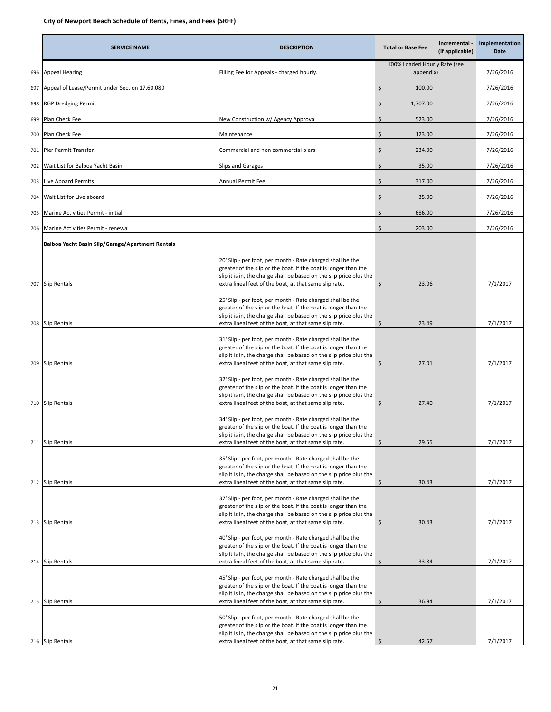|     | <b>SERVICE NAME</b>                              | <b>DESCRIPTION</b>                                                                                                                                                                                                                                                                                                       | <b>Total or Base Fee</b>                  | Incremental -<br>(if applicable) | Implementation<br>Date |
|-----|--------------------------------------------------|--------------------------------------------------------------------------------------------------------------------------------------------------------------------------------------------------------------------------------------------------------------------------------------------------------------------------|-------------------------------------------|----------------------------------|------------------------|
| 696 | <b>Appeal Hearing</b>                            | Filling Fee for Appeals - charged hourly.                                                                                                                                                                                                                                                                                | 100% Loaded Hourly Rate (see<br>appendix) |                                  | 7/26/2016              |
| 697 | Appeal of Lease/Permit under Section 17.60.080   |                                                                                                                                                                                                                                                                                                                          | \$.<br>100.00                             |                                  | 7/26/2016              |
| 698 | RGP Dredging Permit                              |                                                                                                                                                                                                                                                                                                                          | \$<br>1,707.00                            |                                  | 7/26/2016              |
| 699 | Plan Check Fee                                   | New Construction w/ Agency Approval                                                                                                                                                                                                                                                                                      | \$<br>523.00                              |                                  | 7/26/2016              |
| 700 | Plan Check Fee                                   | Maintenance                                                                                                                                                                                                                                                                                                              | \$<br>123.00                              |                                  | 7/26/2016              |
| 701 | Pier Permit Transfer                             | Commercial and non commercial piers                                                                                                                                                                                                                                                                                      | Ś.<br>234.00                              |                                  | 7/26/2016              |
| 702 | Wait List for Balboa Yacht Basin                 | Slips and Garages                                                                                                                                                                                                                                                                                                        | \$<br>35.00                               |                                  | 7/26/2016              |
| 703 | Live Aboard Permits                              | Annual Permit Fee                                                                                                                                                                                                                                                                                                        | \$<br>317.00                              |                                  | 7/26/2016              |
| 704 | Wait List for Live aboard                        |                                                                                                                                                                                                                                                                                                                          | \$<br>35.00                               |                                  | 7/26/2016              |
| 705 | Marine Activities Permit - initial               |                                                                                                                                                                                                                                                                                                                          | \$<br>686.00                              |                                  | 7/26/2016              |
| 706 | Marine Activities Permit - renewal               |                                                                                                                                                                                                                                                                                                                          | \$<br>203.00                              |                                  | 7/26/2016              |
|     | Balboa Yacht Basin Slip/Garage/Apartment Rentals |                                                                                                                                                                                                                                                                                                                          |                                           |                                  |                        |
| 707 |                                                  | 20' Slip - per foot, per month - Rate charged shall be the<br>greater of the slip or the boat. If the boat is longer than the<br>slip it is in, the charge shall be based on the slip price plus the<br>extra lineal feet of the boat, at that same slip rate.                                                           | \$<br>23.06                               |                                  | 7/1/2017               |
|     | Slip Rentals                                     | 25' Slip - per foot, per month - Rate charged shall be the<br>greater of the slip or the boat. If the boat is longer than the<br>slip it is in, the charge shall be based on the slip price plus the                                                                                                                     |                                           |                                  |                        |
| 709 | 708 Slip Rentals<br><b>Slip Rentals</b>          | extra lineal feet of the boat, at that same slip rate.<br>31' Slip - per foot, per month - Rate charged shall be the<br>greater of the slip or the boat. If the boat is longer than the<br>slip it is in, the charge shall be based on the slip price plus the<br>extra lineal feet of the boat, at that same slip rate. | \$<br>23.49<br>\$<br>27.01                |                                  | 7/1/2017<br>7/1/2017   |
|     | 710 Slip Rentals                                 | 32' Slip - per foot, per month - Rate charged shall be the<br>greater of the slip or the boat. If the boat is longer than the<br>slip it is in, the charge shall be based on the slip price plus the<br>extra lineal feet of the boat, at that same slip rate.                                                           | 27.40<br>\$.                              |                                  | 7/1/2017               |
|     | 711 Slip Rentals                                 | 34' Slip - per foot, per month - Rate charged shall be the<br>greater of the slip or the boat. If the boat is longer than the<br>slip it is in, the charge shall be based on the slip price plus the<br>extra lineal feet of the boat, at that same slip rate.                                                           | \$<br>29.55                               |                                  | 7/1/2017               |
|     | 712 Slip Rentals                                 | 35' Slip - per foot, per month - Rate charged shall be the<br>greater of the slip or the boat. If the boat is longer than the<br>slip it is in, the charge shall be based on the slip price plus the<br>extra lineal feet of the boat, at that same slip rate.                                                           | \$<br>30.43                               |                                  | 7/1/2017               |
|     | 713 Slip Rentals                                 | 37' Slip - per foot, per month - Rate charged shall be the<br>greater of the slip or the boat. If the boat is longer than the<br>slip it is in, the charge shall be based on the slip price plus the<br>extra lineal feet of the boat, at that same slip rate.                                                           | \$<br>30.43                               |                                  | 7/1/2017               |
|     | 714 Slip Rentals                                 | 40' Slip - per foot, per month - Rate charged shall be the<br>greater of the slip or the boat. If the boat is longer than the<br>slip it is in, the charge shall be based on the slip price plus the<br>extra lineal feet of the boat, at that same slip rate.                                                           | \$<br>33.84                               |                                  | 7/1/2017               |
| 715 | Slip Rentals                                     | 45' Slip - per foot, per month - Rate charged shall be the<br>greater of the slip or the boat. If the boat is longer than the<br>slip it is in, the charge shall be based on the slip price plus the<br>extra lineal feet of the boat, at that same slip rate.                                                           | \$<br>36.94                               |                                  | 7/1/2017               |
|     |                                                  | 50' Slip - per foot, per month - Rate charged shall be the<br>greater of the slip or the boat. If the boat is longer than the<br>slip it is in, the charge shall be based on the slip price plus the                                                                                                                     |                                           |                                  |                        |
|     | 716 Slip Rentals                                 | extra lineal feet of the boat, at that same slip rate.                                                                                                                                                                                                                                                                   | 42.57<br>Ŝ                                |                                  | 7/1/2017               |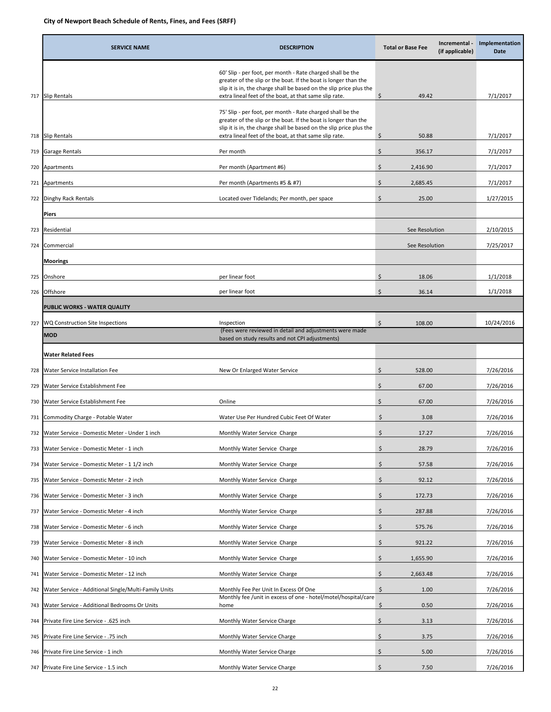|     | <b>SERVICE NAME</b>                                  | <b>DESCRIPTION</b>                                                                                                                                                                                                                                             | <b>Total or Base Fee</b> | Incremental -<br>(if applicable) | Implementation<br>Date |
|-----|------------------------------------------------------|----------------------------------------------------------------------------------------------------------------------------------------------------------------------------------------------------------------------------------------------------------------|--------------------------|----------------------------------|------------------------|
|     | 717 Slip Rentals                                     | 60' Slip - per foot, per month - Rate charged shall be the<br>greater of the slip or the boat. If the boat is longer than the<br>slip it is in, the charge shall be based on the slip price plus the<br>extra lineal feet of the boat, at that same slip rate. | \$<br>49.42              |                                  | 7/1/2017               |
|     | 718 Slip Rentals                                     | 75' Slip - per foot, per month - Rate charged shall be the<br>greater of the slip or the boat. If the boat is longer than the<br>slip it is in, the charge shall be based on the slip price plus the<br>extra lineal feet of the boat, at that same slip rate. | \$<br>50.88              |                                  | 7/1/2017               |
| 719 | Garage Rentals                                       | Per month                                                                                                                                                                                                                                                      | \$<br>356.17             |                                  | 7/1/2017               |
| 720 | Apartments                                           | Per month (Apartment #6)                                                                                                                                                                                                                                       | Ś.<br>2,416.90           |                                  | 7/1/2017               |
| 721 | Apartments                                           | Per month (Apartments #5 & #7)                                                                                                                                                                                                                                 | \$<br>2,685.45           |                                  | 7/1/2017               |
|     | 722 Dinghy Rack Rentals                              | Located over Tidelands; Per month, per space                                                                                                                                                                                                                   | \$<br>25.00              |                                  | 1/27/2015              |
|     | <b>Piers</b>                                         |                                                                                                                                                                                                                                                                |                          |                                  |                        |
| 723 | Residential                                          |                                                                                                                                                                                                                                                                | See Resolution           |                                  | 2/10/2015              |
| 724 | Commercial                                           |                                                                                                                                                                                                                                                                | See Resolution           |                                  | 7/25/2017              |
|     | <b>Moorings</b>                                      |                                                                                                                                                                                                                                                                |                          |                                  |                        |
| 725 | Onshore                                              | per linear foot                                                                                                                                                                                                                                                | \$<br>18.06              |                                  | 1/1/2018               |
| 726 | Offshore                                             | per linear foot                                                                                                                                                                                                                                                | \$<br>36.14              |                                  | 1/1/2018               |
|     | PUBLIC WORKS - WATER QUALITY                         |                                                                                                                                                                                                                                                                |                          |                                  |                        |
| 727 | WQ Construction Site Inspections                     | Inspection                                                                                                                                                                                                                                                     | \$<br>108.00             |                                  | 10/24/2016             |
|     | <b>MOD</b>                                           | (Fees were reviewed in detail and adjustments were made<br>based on study results and not CPI adjustments)                                                                                                                                                     |                          |                                  |                        |
|     | <b>Water Related Fees</b>                            |                                                                                                                                                                                                                                                                |                          |                                  |                        |
| 728 | Water Service Installation Fee                       | New Or Enlarged Water Service                                                                                                                                                                                                                                  | \$<br>528.00             |                                  | 7/26/2016              |
| 729 | Water Service Establishment Fee                      |                                                                                                                                                                                                                                                                | \$<br>67.00              |                                  | 7/26/2016              |
| 730 | Water Service Establishment Fee<br>Online            |                                                                                                                                                                                                                                                                | \$<br>67.00              |                                  | 7/26/2016              |
|     | 731 Commodity Charge - Potable Water                 | Water Use Per Hundred Cubic Feet Of Water                                                                                                                                                                                                                      | \$<br>3.08               |                                  | 7/26/2016              |
|     | 732 Water Service - Domestic Meter - Under 1 inch    | Monthly Water Service Charge                                                                                                                                                                                                                                   | \$<br>17.27              |                                  | 7/26/2016              |
| 733 | Water Service - Domestic Meter - 1 inch              | Monthly Water Service Charge                                                                                                                                                                                                                                   | \$<br>28.79              |                                  | 7/26/2016              |
| 734 | Water Service - Domestic Meter - 1 1/2 inch          | Monthly Water Service Charge                                                                                                                                                                                                                                   | \$<br>57.58              |                                  | 7/26/2016              |
| 735 | Water Service - Domestic Meter - 2 inch              | Monthly Water Service Charge                                                                                                                                                                                                                                   | \$<br>92.12              |                                  | 7/26/2016              |
| 736 | Water Service - Domestic Meter - 3 inch              | Monthly Water Service Charge                                                                                                                                                                                                                                   | \$<br>172.73             |                                  | 7/26/2016              |
| 737 | Nater Service - Domestic Meter - 4 inch              | Monthly Water Service Charge                                                                                                                                                                                                                                   | \$<br>287.88             |                                  | 7/26/2016              |
| 738 | Water Service - Domestic Meter - 6 inch              | Monthly Water Service Charge                                                                                                                                                                                                                                   | \$<br>575.76             |                                  | 7/26/2016              |
| 739 | Water Service - Domestic Meter - 8 inch              | Monthly Water Service Charge                                                                                                                                                                                                                                   | \$<br>921.22             |                                  | 7/26/2016              |
| 740 | Water Service - Domestic Meter - 10 inch             | Monthly Water Service Charge                                                                                                                                                                                                                                   | \$<br>1,655.90           |                                  | 7/26/2016              |
| 741 | Water Service - Domestic Meter - 12 inch             | Monthly Water Service Charge                                                                                                                                                                                                                                   | \$<br>2,663.48           |                                  | 7/26/2016              |
| 742 | Water Service - Additional Single/Multi-Family Units | Monthly Fee Per Unit In Excess Of One                                                                                                                                                                                                                          | \$<br>1.00               |                                  | 7/26/2016              |
| 743 | Water Service - Additional Bedrooms Or Units<br>home | Monthly fee /unit in excess of one - hotel/motel/hospital/care                                                                                                                                                                                                 | \$<br>0.50               |                                  | 7/26/2016              |
| 744 | Private Fire Line Service - .625 inch                | Monthly Water Service Charge                                                                                                                                                                                                                                   | \$<br>3.13               |                                  | 7/26/2016              |
| 745 | Private Fire Line Service - .75 inch                 | Monthly Water Service Charge                                                                                                                                                                                                                                   | \$<br>3.75               |                                  | 7/26/2016              |
| 746 | Private Fire Line Service - 1 inch                   | Monthly Water Service Charge                                                                                                                                                                                                                                   | \$<br>5.00               |                                  | 7/26/2016              |
|     | 747 Private Fire Line Service - 1.5 inch             | Monthly Water Service Charge                                                                                                                                                                                                                                   | \$<br>7.50               |                                  | 7/26/2016              |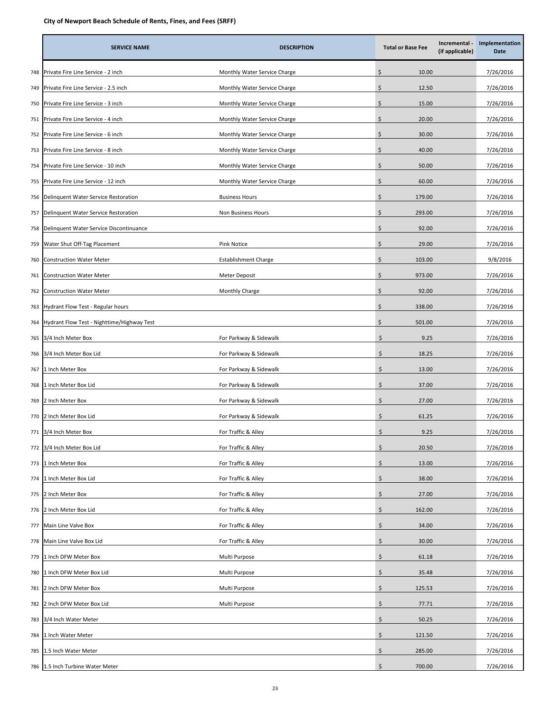|     | <b>SERVICE NAME</b>                        | <b>DESCRIPTION</b>           | <b>Total or Base Fee</b>   | Incremental -<br>(if applicable) | Implementation<br>Date |
|-----|--------------------------------------------|------------------------------|----------------------------|----------------------------------|------------------------|
| 748 | Private Fire Line Service - 2 inch         | Monthly Water Service Charge | \$<br>10.00                |                                  | 7/26/2016              |
| 749 | Private Fire Line Service - 2.5 inch       | Monthly Water Service Charge | \$<br>12.50                |                                  | 7/26/2016              |
| 750 | Private Fire Line Service - 3 inch         | Monthly Water Service Charge | \$<br>15.00                |                                  | 7/26/2016              |
| 751 | Private Fire Line Service - 4 inch         | Monthly Water Service Charge | Ś<br>20.00                 |                                  | 7/26/2016              |
| 752 | Private Fire Line Service - 6 inch         | Monthly Water Service Charge | \$<br>30.00                |                                  | 7/26/2016              |
| 753 | Private Fire Line Service - 8 inch         | Monthly Water Service Charge | \$<br>40.00                |                                  | 7/26/2016              |
| 754 | Private Fire Line Service - 10 inch        | Monthly Water Service Charge | \$<br>50.00                |                                  | 7/26/2016              |
| 755 | Private Fire Line Service - 12 inch        | Monthly Water Service Charge | Ś<br>60.00                 |                                  | 7/26/2016              |
| 756 | Delinquent Water Service Restoration       | <b>Business Hours</b>        | \$<br>179.00               |                                  | 7/26/2016              |
| 757 | Delinquent Water Service Restoration       | Non Business Hours           | \$<br>293.00               |                                  | 7/26/2016              |
| 758 | Delinquent Water Service Discontinuance    |                              | \$<br>92.00                |                                  | 7/26/2016              |
| 759 | Water Shut Off-Tag Placement               | Pink Notice                  | \$<br>29.00                |                                  | 7/26/2016              |
| 760 | Construction Water Meter                   | <b>Establishment Charge</b>  | \$<br>103.00               |                                  | 9/8/2016               |
| 761 | Construction Water Meter                   | Meter Deposit                | \$<br>973.00               |                                  | 7/26/2016              |
| 762 | Construction Water Meter                   | Monthly Charge               | \$<br>92.00                |                                  | 7/26/2016              |
| 763 | Hydrant Flow Test - Regular hours          |                              | \$<br>338.00               |                                  | 7/26/2016              |
| 764 | Hydrant Flow Test - Nighttime/Highway Test |                              | \$<br>501.00               |                                  | 7/26/2016              |
| 765 | 3/4 Inch Meter Box                         | For Parkway & Sidewalk       | $\mathsf{\dot{S}}$<br>9.25 |                                  | 7/26/2016              |
| 766 | 3/4 Inch Meter Box Lid                     | For Parkway & Sidewalk       | Ś.<br>18.25                |                                  | 7/26/2016              |
| 767 | 1 Inch Meter Box                           | For Parkway & Sidewalk       | \$<br>13.00                |                                  | 7/26/2016              |
| 768 | 1 Inch Meter Box Lid                       | For Parkway & Sidewalk       | \$<br>37.00                |                                  | 7/26/2016              |
| 769 | 2 Inch Meter Box                           | For Parkway & Sidewalk       | \$<br>27.00                |                                  | 7/26/2016              |
| 770 | 2 Inch Meter Box Lid                       | For Parkway & Sidewalk       | Ś.<br>61.25                |                                  | 7/26/2016              |
| 771 | 3/4 Inch Meter Box                         | For Traffic & Alley          | Ś.<br>9.25                 |                                  | 7/26/2016              |
| 772 | 3/4 Inch Meter Box Lid                     | For Traffic & Alley          | \$<br>20.50                |                                  | 7/26/2016              |
| 773 | Inch Meter Box                             | For Traffic & Alley          | \$<br>13.00                |                                  | 7/26/2016              |
| 774 | Inch Meter Box Lid                         | For Traffic & Alley          | \$<br>38.00                |                                  | 7/26/2016              |
| 775 | 2 Inch Meter Box                           | For Traffic & Alley          | Ś.<br>27.00                |                                  | 7/26/2016              |
| 776 | 2 Inch Meter Box Lid                       | For Traffic & Alley          | \$<br>162.00               |                                  | 7/26/2016              |
| 777 | Main Line Valve Box                        | For Traffic & Alley          | \$<br>34.00                |                                  | 7/26/2016              |
| 778 | Main Line Valve Box Lid                    | For Traffic & Alley          | \$<br>30.00                |                                  | 7/26/2016              |
| 779 | Inch DFW Meter Box                         | Multi Purpose                | \$<br>61.18                |                                  | 7/26/2016              |
| 780 | Inch DFW Meter Box Lid                     | Multi Purpose                | \$<br>35.48                |                                  | 7/26/2016              |
| 781 | ! Inch DFW Meter Box                       | Multi Purpose                | \$<br>125.53               |                                  | 7/26/2016              |
| 782 | 2 Inch DFW Meter Box Lid                   | Multi Purpose                | \$<br>77.71                |                                  | 7/26/2016              |
| 783 | 3/4 Inch Water Meter                       |                              | \$<br>50.25                |                                  | 7/26/2016              |
| 784 | Inch Water Meter                           |                              | \$<br>121.50               |                                  | 7/26/2016              |
| 785 | .5 Inch Water Meter                        |                              | Ś<br>285.00                |                                  | 7/26/2016              |
|     | 786 1.5 Inch Turbine Water Meter           |                              | Ś<br>700.00                |                                  | 7/26/2016              |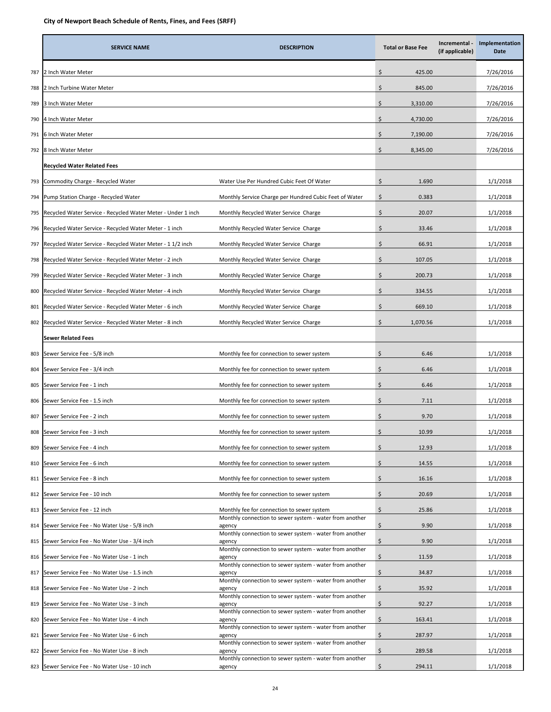|     | <b>SERVICE NAME</b>                                          | <b>DESCRIPTION</b>                                                | <b>Total or Base Fee</b> | Incremental -<br>(if applicable) | Implementation<br><b>Date</b> |
|-----|--------------------------------------------------------------|-------------------------------------------------------------------|--------------------------|----------------------------------|-------------------------------|
| 787 | 2 Inch Water Meter                                           |                                                                   | Ś<br>425.00              |                                  | 7/26/2016                     |
| 788 | 2 Inch Turbine Water Meter                                   |                                                                   | \$<br>845.00             |                                  | 7/26/2016                     |
| 789 | 3 Inch Water Meter                                           |                                                                   | \$<br>3,310.00           |                                  | 7/26/2016                     |
| 790 | 4 Inch Water Meter                                           |                                                                   | \$<br>4,730.00           |                                  | 7/26/2016                     |
| 791 | 6 Inch Water Meter                                           |                                                                   | \$<br>7,190.00           |                                  | 7/26/2016                     |
| 792 | 8 Inch Water Meter                                           |                                                                   | \$<br>8,345.00           |                                  | 7/26/2016                     |
|     | <b>Recycled Water Related Fees</b>                           |                                                                   |                          |                                  |                               |
| 793 | Commodity Charge - Recycled Water                            | Water Use Per Hundred Cubic Feet Of Water                         | \$<br>1.690              |                                  | 1/1/2018                      |
| 794 | Pump Station Charge - Recycled Water                         | Monthly Service Charge per Hundred Cubic Feet of Water            | \$<br>0.383              |                                  | 1/1/2018                      |
| 795 | Recycled Water Service - Recycled Water Meter - Under 1 inch | Monthly Recycled Water Service Charge                             | \$<br>20.07              |                                  | 1/1/2018                      |
| 796 | Recycled Water Service - Recycled Water Meter - 1 inch       | Monthly Recycled Water Service Charge                             | Ś<br>33.46               |                                  | 1/1/2018                      |
| 797 | Recycled Water Service - Recycled Water Meter - 1 1/2 inch   | Monthly Recycled Water Service Charge                             | \$<br>66.91              |                                  | 1/1/2018                      |
| 798 | Recycled Water Service - Recycled Water Meter - 2 inch       | Monthly Recycled Water Service Charge                             | \$<br>107.05             |                                  | 1/1/2018                      |
| 799 | Recycled Water Service - Recycled Water Meter - 3 inch       | Monthly Recycled Water Service Charge                             | Ś<br>200.73              |                                  | 1/1/2018                      |
| 800 | Recycled Water Service - Recycled Water Meter - 4 inch       | Monthly Recycled Water Service Charge                             | \$<br>334.55             |                                  | 1/1/2018                      |
| 801 | Recycled Water Service - Recycled Water Meter - 6 inch       | Monthly Recycled Water Service Charge                             | \$<br>669.10             |                                  | 1/1/2018                      |
| 802 | Recycled Water Service - Recycled Water Meter - 8 inch       | Monthly Recycled Water Service Charge                             | \$<br>1,070.56           |                                  | 1/1/2018                      |
|     | <b>Sewer Related Fees</b>                                    |                                                                   |                          |                                  |                               |
| 803 | Sewer Service Fee - 5/8 inch                                 | Monthly fee for connection to sewer system                        | Ś<br>6.46                |                                  | 1/1/2018                      |
| 804 | Sewer Service Fee - 3/4 inch                                 | Monthly fee for connection to sewer system                        | \$<br>6.46               |                                  | 1/1/2018                      |
| 805 | Sewer Service Fee - 1 inch                                   | Monthly fee for connection to sewer system                        | \$<br>6.46               |                                  | 1/1/2018                      |
| 806 | Sewer Service Fee - 1.5 inch                                 | Monthly fee for connection to sewer system                        | \$<br>7.11               |                                  | 1/1/2018                      |
| 807 | Sewer Service Fee - 2 inch                                   | Monthly fee for connection to sewer system                        | Ŝ.<br>9.70               |                                  | 1/1/2018                      |
| 808 | Sewer Service Fee - 3 inch                                   | Monthly fee for connection to sewer system                        | \$<br>10.99              |                                  | 1/1/2018                      |
| 809 | Sewer Service Fee - 4 inch                                   | Monthly fee for connection to sewer system                        | \$<br>12.93              |                                  | 1/1/2018                      |
| 810 | Sewer Service Fee - 6 inch                                   | Monthly fee for connection to sewer system                        | \$<br>14.55              |                                  | 1/1/2018                      |
| 811 | Sewer Service Fee - 8 inch                                   | Monthly fee for connection to sewer system                        | \$<br>16.16              |                                  | 1/1/2018                      |
| 812 | Sewer Service Fee - 10 inch                                  | Monthly fee for connection to sewer system                        | \$<br>20.69              |                                  | 1/1/2018                      |
| 813 | Sewer Service Fee - 12 inch                                  | Monthly fee for connection to sewer system                        | \$<br>25.86              |                                  | 1/1/2018                      |
| 814 | Sewer Service Fee - No Water Use - 5/8 inch                  | Monthly connection to sewer system - water from another<br>agency | \$<br>9.90               |                                  | 1/1/2018                      |
| 815 | Sewer Service Fee - No Water Use - 3/4 inch                  | Monthly connection to sewer system - water from another<br>agency | \$<br>9.90               |                                  | 1/1/2018                      |
| 816 | Sewer Service Fee - No Water Use - 1 inch                    | Monthly connection to sewer system - water from another<br>agency | \$<br>11.59              |                                  | 1/1/2018                      |
| 817 | Sewer Service Fee - No Water Use - 1.5 inch                  | Monthly connection to sewer system - water from another<br>agency | \$<br>34.87              |                                  | 1/1/2018                      |
| 818 | Sewer Service Fee - No Water Use - 2 inch                    | Monthly connection to sewer system - water from another<br>agency | \$<br>35.92              |                                  | 1/1/2018                      |
| 819 | Sewer Service Fee - No Water Use - 3 inch                    | Monthly connection to sewer system - water from another<br>agency | \$<br>92.27              |                                  | 1/1/2018                      |
| 820 | Sewer Service Fee - No Water Use - 4 inch                    | Monthly connection to sewer system - water from another<br>agency | \$<br>163.41             |                                  | 1/1/2018                      |
| 821 | Sewer Service Fee - No Water Use - 6 inch                    | Monthly connection to sewer system - water from another<br>agency | \$<br>287.97             |                                  | 1/1/2018                      |
| 822 | Sewer Service Fee - No Water Use - 8 inch                    | Monthly connection to sewer system - water from another<br>agency | \$<br>289.58             |                                  | 1/1/2018                      |
| 823 | Sewer Service Fee - No Water Use - 10 inch                   | Monthly connection to sewer system - water from another<br>agency | Ś.<br>294.11             |                                  | 1/1/2018                      |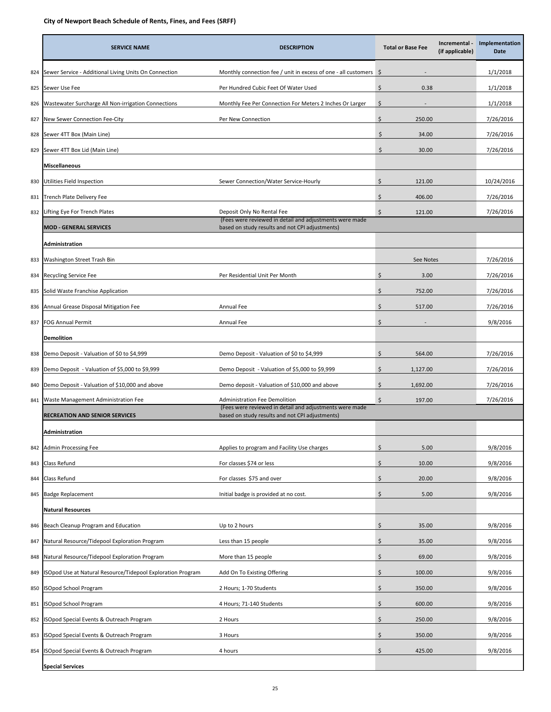|     | <b>SERVICE NAME</b>                                         | <b>DESCRIPTION</b>                                                                                         |     | Incremental -<br><b>Total or Base Fee</b><br>(if applicable) | Implementation<br>Date |
|-----|-------------------------------------------------------------|------------------------------------------------------------------------------------------------------------|-----|--------------------------------------------------------------|------------------------|
| 824 | Sewer Service - Additional Living Units On Connection       | Monthly connection fee / unit in excess of one - all customers $\Diamond$                                  |     |                                                              | 1/1/2018               |
| 825 | Sewer Use Fee                                               | Per Hundred Cubic Feet Of Water Used                                                                       | \$  | 0.38                                                         | 1/1/2018               |
| 826 | Wastewater Surcharge All Non-irrigation Connections         | Monthly Fee Per Connection For Meters 2 Inches Or Larger                                                   | Ś   |                                                              | 1/1/2018               |
| 827 | New Sewer Connection Fee-City                               | Per New Connection                                                                                         | \$  | 250.00                                                       | 7/26/2016              |
| 828 | Sewer 4TT Box (Main Line)                                   |                                                                                                            | \$  | 34.00                                                        | 7/26/2016              |
| 829 | Sewer 4TT Box Lid (Main Line)                               |                                                                                                            | Ś.  | 30.00                                                        | 7/26/2016              |
|     | <b>Miscellaneous</b>                                        |                                                                                                            |     |                                                              |                        |
| 830 | Utilities Field Inspection                                  | Sewer Connection/Water Service-Hourly                                                                      | \$  | 121.00                                                       | 10/24/2016             |
| 831 | Trench Plate Delivery Fee                                   |                                                                                                            | \$  | 406.00                                                       | 7/26/2016              |
| 832 | Lifting Eye For Trench Plates                               | Deposit Only No Rental Fee                                                                                 | \$  | 121.00                                                       | 7/26/2016              |
|     | <b>MOD - GENERAL SERVICES</b>                               | (Fees were reviewed in detail and adjustments were made<br>based on study results and not CPI adjustments) |     |                                                              |                        |
|     | Administration                                              |                                                                                                            |     |                                                              |                        |
| 833 | Washington Street Trash Bin                                 |                                                                                                            |     | See Notes                                                    | 7/26/2016              |
| 834 | <b>Recycling Service Fee</b>                                | Per Residential Unit Per Month                                                                             | \$  | 3.00                                                         | 7/26/2016              |
| 835 | Solid Waste Franchise Application                           |                                                                                                            | \$  | 752.00                                                       | 7/26/2016              |
| 836 | Annual Grease Disposal Mitigation Fee                       | Annual Fee                                                                                                 | Ś.  | 517.00                                                       | 7/26/2016              |
| 837 | FOG Annual Permit                                           | Annual Fee                                                                                                 | \$  | $\overline{\phantom{a}}$                                     | 9/8/2016               |
|     | <b>Demolition</b>                                           |                                                                                                            |     |                                                              |                        |
| 838 | Demo Deposit - Valuation of \$0 to \$4,999                  | Demo Deposit - Valuation of \$0 to \$4,999                                                                 | Ś   | 564.00                                                       | 7/26/2016              |
| 839 | Demo Deposit - Valuation of \$5,000 to \$9,999              | Demo Deposit - Valuation of \$5,000 to \$9,999                                                             | \$  | 1,127.00                                                     | 7/26/2016              |
| 840 | Demo Deposit - Valuation of \$10,000 and above              | Demo deposit - Valuation of \$10,000 and above                                                             | \$  | 1,692.00                                                     | 7/26/2016              |
|     | 841 Waste Management Administration Fee                     | <b>Administration Fee Demolition</b>                                                                       | \$  | 197.00                                                       | 7/26/2016              |
|     | <b>RECREATION AND SENIOR SERVICES</b>                       | (Fees were reviewed in detail and adjustments were made<br>based on study results and not CPI adjustments) |     |                                                              |                        |
|     | Administration                                              |                                                                                                            |     |                                                              |                        |
| 842 | Admin Processing Fee                                        | Applies to program and Facility Use charges                                                                | \$  | 5.00                                                         | 9/8/2016               |
| 843 | Class Refund                                                | For classes \$74 or less                                                                                   | \$  | 10.00                                                        | 9/8/2016               |
| 844 | Class Refund                                                | For classes \$75 and over                                                                                  | \$  | 20.00                                                        | 9/8/2016               |
| 845 | <b>Badge Replacement</b>                                    | Initial badge is provided at no cost.                                                                      | \$  | 5.00                                                         | 9/8/2016               |
|     | <b>Natural Resources</b>                                    |                                                                                                            |     |                                                              |                        |
| 846 | Beach Cleanup Program and Education                         | Up to 2 hours                                                                                              | \$  | 35.00                                                        | 9/8/2016               |
| 847 | Natural Resource/Tidepool Exploration Program               | Less than 15 people                                                                                        | \$  | 35.00                                                        | 9/8/2016               |
| 848 | Natural Resource/Tidepool Exploration Program               | More than 15 people                                                                                        | \$  | 69.00                                                        | 9/8/2016               |
| 849 | ISOpod Use at Natural Resource/Tidepool Exploration Program | Add On To Existing Offering                                                                                | Ś   | 100.00                                                       | 9/8/2016               |
| 850 | ISOpod School Program                                       | 2 Hours; 1-70 Students                                                                                     | \$  | 350.00                                                       | 9/8/2016               |
| 851 | ISOpod School Program                                       | 4 Hours; 71-140 Students                                                                                   | \$  | 600.00                                                       | 9/8/2016               |
| 852 | ISOpod Special Events & Outreach Program                    | 2 Hours                                                                                                    | \$. | 250.00                                                       | 9/8/2016               |
| 853 | SOpod Special Events & Outreach Program                     | 3 Hours                                                                                                    | \$  | 350.00                                                       | 9/8/2016               |
| 854 | ISOpod Special Events & Outreach Program                    | 4 hours                                                                                                    | \$  | 425.00                                                       | 9/8/2016               |
|     | <b>Special Services</b>                                     |                                                                                                            |     |                                                              |                        |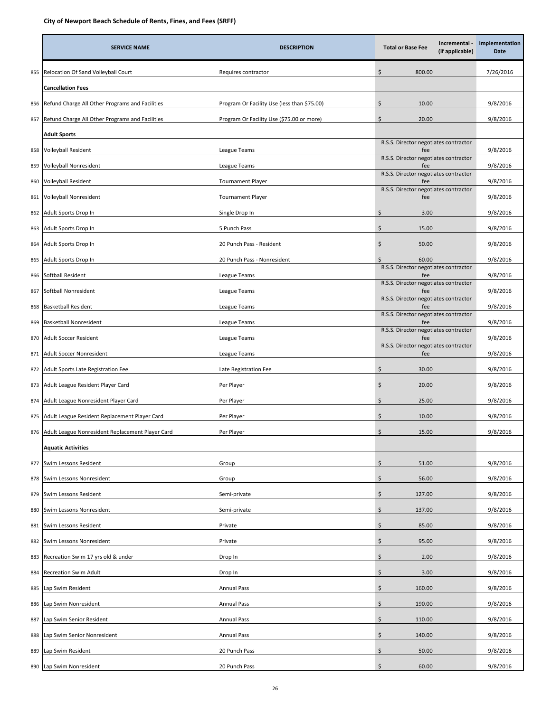|     | <b>SERVICE NAME</b>                                  | <b>DESCRIPTION</b>                          | Incremental -<br><b>Total or Base Fee</b><br>(if applicable) | Implementation<br>Date |
|-----|------------------------------------------------------|---------------------------------------------|--------------------------------------------------------------|------------------------|
| 855 | Relocation Of Sand Volleyball Court                  | Requires contractor                         | \$<br>800.00                                                 | 7/26/2016              |
|     | <b>Cancellation Fees</b>                             |                                             |                                                              |                        |
| 856 | Refund Charge All Other Programs and Facilities      | Program Or Facility Use (less than \$75.00) | Ś<br>10.00                                                   | 9/8/2016               |
| 857 | Refund Charge All Other Programs and Facilities      | Program Or Facility Use (\$75.00 or more)   | \$<br>20.00                                                  | 9/8/2016               |
|     | Adult Sports                                         |                                             |                                                              |                        |
| 858 | Volleyball Resident                                  | League Teams                                | R.S.S. Director negotiates contractor<br>fee                 | 9/8/2016               |
| 859 | Volleyball Nonresident                               | League Teams                                | R.S.S. Director negotiates contractor<br>fee                 | 9/8/2016               |
| 860 | Volleyball Resident                                  | <b>Tournament Player</b>                    | R.S.S. Director negotiates contractor<br>fee                 | 9/8/2016               |
| 861 | Volleyball Nonresident                               | <b>Tournament Player</b>                    | R.S.S. Director negotiates contractor<br>fee                 | 9/8/2016               |
| 862 | Adult Sports Drop In                                 | Single Drop In                              | \$<br>3.00                                                   | 9/8/2016               |
| 863 | Adult Sports Drop In                                 | 5 Punch Pass                                | \$<br>15.00                                                  | 9/8/2016               |
| 864 | Adult Sports Drop In                                 | 20 Punch Pass - Resident                    | \$<br>50.00                                                  | 9/8/2016               |
| 865 | Adult Sports Drop In                                 | 20 Punch Pass - Nonresident                 | 60.00                                                        | 9/8/2016               |
| 866 | Softball Resident                                    | League Teams                                | R.S.S. Director negotiates contractor<br>fee                 | 9/8/2016               |
| 867 | Softball Nonresident                                 | League Teams                                | R.S.S. Director negotiates contractor<br>fee                 | 9/8/2016               |
| 868 | <b>Basketball Resident</b>                           | League Teams                                | R.S.S. Director negotiates contractor<br>fee                 | 9/8/2016               |
| 869 | Basketball Nonresident                               | League Teams                                | R.S.S. Director negotiates contractor<br>fee                 | 9/8/2016               |
| 870 | Adult Soccer Resident                                | League Teams                                | R.S.S. Director negotiates contractor<br>fee                 | 9/8/2016               |
| 871 | Adult Soccer Nonresident                             | League Teams                                | R.S.S. Director negotiates contractor<br>fee                 | 9/8/2016               |
| 872 | Adult Sports Late Registration Fee                   | Late Registration Fee                       | \$<br>30.00                                                  | 9/8/2016               |
| 873 | Adult League Resident Player Card                    | Per Player                                  | \$<br>20.00                                                  | 9/8/2016               |
| 874 | Adult League Nonresident Player Card                 | Per Player                                  | \$<br>25.00                                                  | 9/8/2016               |
| 875 | Adult League Resident Replacement Player Card        | Per Player                                  | Ś<br>10.00                                                   | 9/8/2016               |
|     | 876 Adult League Nonresident Replacement Player Card | Per Player                                  | \$<br>15.00                                                  | 9/8/2016               |
|     | <b>Aquatic Activities</b>                            |                                             |                                                              |                        |
| 877 | Swim Lessons Resident                                | Group                                       | \$.<br>51.00                                                 | 9/8/2016               |
| 878 | Swim Lessons Nonresident                             | Group                                       | \$<br>56.00                                                  | 9/8/2016               |
| 879 | Swim Lessons Resident                                | Semi-private                                | Ś<br>127.00                                                  | 9/8/2016               |
| 880 | Swim Lessons Nonresident                             | Semi-private                                | \$<br>137.00                                                 | 9/8/2016               |
| 881 | Swim Lessons Resident                                | Private                                     | \$<br>85.00                                                  | 9/8/2016               |
| 882 | Swim Lessons Nonresident                             | Private                                     | Ś<br>95.00                                                   | 9/8/2016               |
| 883 | Recreation Swim 17 yrs old & under                   | Drop In                                     | \$<br>2.00                                                   | 9/8/2016               |
| 884 | Recreation Swim Adult                                | Drop In                                     | Ś<br>3.00                                                    | 9/8/2016               |
| 885 | Lap Swim Resident                                    | <b>Annual Pass</b>                          | \$<br>160.00                                                 | 9/8/2016               |
| 886 | Lap Swim Nonresident                                 | <b>Annual Pass</b>                          | \$<br>190.00                                                 | 9/8/2016               |
| 887 | Lap Swim Senior Resident                             | <b>Annual Pass</b>                          | \$.<br>110.00                                                | 9/8/2016               |
| 888 | Lap Swim Senior Nonresident                          | <b>Annual Pass</b>                          | \$<br>140.00                                                 | 9/8/2016               |
| 889 | Lap Swim Resident                                    | 20 Punch Pass                               | \$<br>50.00                                                  | 9/8/2016               |
| 890 | Lap Swim Nonresident                                 | 20 Punch Pass                               | \$<br>60.00                                                  | 9/8/2016               |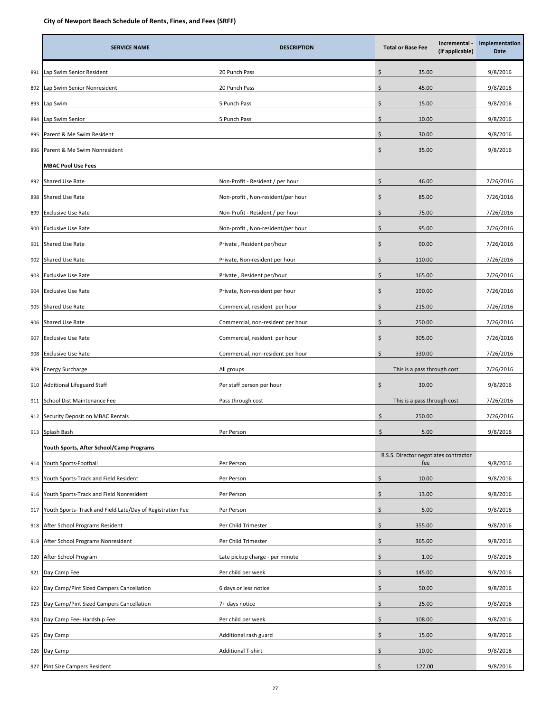|     | <b>SERVICE NAME</b>                                       | <b>DESCRIPTION</b>                | <b>Total or Base Fee</b>                     | Incremental -<br>(if applicable) | Implementation<br>Date |
|-----|-----------------------------------------------------------|-----------------------------------|----------------------------------------------|----------------------------------|------------------------|
| 891 | Lap Swim Senior Resident                                  | 20 Punch Pass                     | \$<br>35.00                                  |                                  | 9/8/2016               |
| 892 | ap Swim Senior Nonresident                                | 20 Punch Pass                     | \$<br>45.00                                  |                                  | 9/8/2016               |
| 893 | Lap Swim                                                  | 5 Punch Pass                      | \$<br>15.00                                  |                                  | 9/8/2016               |
| 894 | ap Swim Senior                                            | 5 Punch Pass                      | \$<br>10.00                                  |                                  | 9/8/2016               |
| 895 | Parent & Me Swim Resident                                 |                                   | \$<br>30.00                                  |                                  | 9/8/2016               |
| 896 | Parent & Me Swim Nonresident                              |                                   | Ś<br>35.00                                   |                                  | 9/8/2016               |
|     | <b>MBAC Pool Use Fees</b>                                 |                                   |                                              |                                  |                        |
| 897 | Shared Use Rate                                           | Non-Profit - Resident / per hour  | \$<br>46.00                                  |                                  | 7/26/2016              |
| 898 | Shared Use Rate                                           | Non-profit, Non-resident/per hour | \$<br>85.00                                  |                                  | 7/26/2016              |
| 899 | <b>Exclusive Use Rate</b>                                 | Non-Profit - Resident / per hour  | \$<br>75.00                                  |                                  | 7/26/2016              |
| 900 | <b>Exclusive Use Rate</b>                                 | Non-profit, Non-resident/per hour | 95.00<br>Ś                                   |                                  | 7/26/2016              |
| 901 | Shared Use Rate                                           | Private, Resident per/hour        | \$<br>90.00                                  |                                  | 7/26/2016              |
| 902 | Shared Use Rate                                           | Private, Non-resident per hour    | \$<br>110.00                                 |                                  | 7/26/2016              |
| 903 | Exclusive Use Rate                                        | Private, Resident per/hour        | \$<br>165.00                                 |                                  | 7/26/2016              |
| 904 | Exclusive Use Rate                                        | Private, Non-resident per hour    | \$<br>190.00                                 |                                  | 7/26/2016              |
| 905 | Shared Use Rate                                           | Commercial, resident per hour     | Ś<br>215.00                                  |                                  | 7/26/2016              |
| 906 | Shared Use Rate                                           | Commercial, non-resident per hour | \$<br>250.00                                 |                                  | 7/26/2016              |
| 907 | <b>Exclusive Use Rate</b>                                 | Commercial, resident per hour     | Ś<br>305.00                                  |                                  | 7/26/2016              |
| 908 | <b>Exclusive Use Rate</b>                                 | Commercial, non-resident per hour | Ś<br>330.00                                  |                                  | 7/26/2016              |
| 909 | <b>Energy Surcharge</b>                                   | All groups                        | This is a pass through cost                  |                                  | 7/26/2016              |
| 910 | <b>Additional Lifeguard Staff</b>                         | Per staff person per hour         | Ś<br>30.00                                   |                                  | 9/8/2016               |
| 911 | School Dist Maintenance Fee                               | Pass through cost                 | This is a pass through cost                  |                                  | 7/26/2016              |
| 912 | Security Deposit on MBAC Rentals                          |                                   | \$<br>250.00                                 |                                  | 7/26/2016              |
| 913 | Splash Bash                                               | Per Person                        | \$<br>5.00                                   |                                  | 9/8/2016               |
|     | Youth Sports, After School/Camp Programs                  |                                   |                                              |                                  |                        |
| 914 | Youth Sports-Football                                     | Per Person                        | R.S.S. Director negotiates contractor<br>fee |                                  | 9/8/2016               |
| 915 | Youth Sports-Track and Field Resident                     | Per Person                        | Ś<br>10.00                                   |                                  | 9/8/2016               |
| 916 | Youth Sports-Track and Field Nonresident                  | Per Person                        | Ś<br>13.00                                   |                                  | 9/8/2016               |
| 917 | Youth Sports-Track and Field Late/Day of Registration Fee | Per Person                        | \$<br>5.00                                   |                                  | 9/8/2016               |
| 918 | After School Programs Resident                            | Per Child Trimester               | \$<br>355.00                                 |                                  | 9/8/2016               |
| 919 | After School Programs Nonresident                         | Per Child Trimester               | Ś<br>365.00                                  |                                  | 9/8/2016               |
| 920 | After School Program                                      | Late pickup charge - per minute   | \$<br>1.00                                   |                                  | 9/8/2016               |
| 921 | Day Camp Fee                                              | Per child per week                | \$<br>145.00                                 |                                  | 9/8/2016               |
| 922 | Day Camp/Pint Sized Campers Cancellation                  | 6 days or less notice             | \$<br>50.00                                  |                                  | 9/8/2016               |
| 923 | Day Camp/Pint Sized Campers Cancellation                  | 7+ days notice                    | \$<br>25.00                                  |                                  | 9/8/2016               |
| 924 | Day Camp Fee- Hardship Fee                                | Per child per week                | \$<br>108.00                                 |                                  | 9/8/2016               |
| 925 | Day Camp                                                  | Additional rash guard             | \$<br>15.00                                  |                                  | 9/8/2016               |
| 926 | Day Camp                                                  | <b>Additional T-shirt</b>         | \$<br>10.00                                  |                                  | 9/8/2016               |
|     | 927 Pint Size Campers Resident                            |                                   | \$<br>127.00                                 |                                  | 9/8/2016               |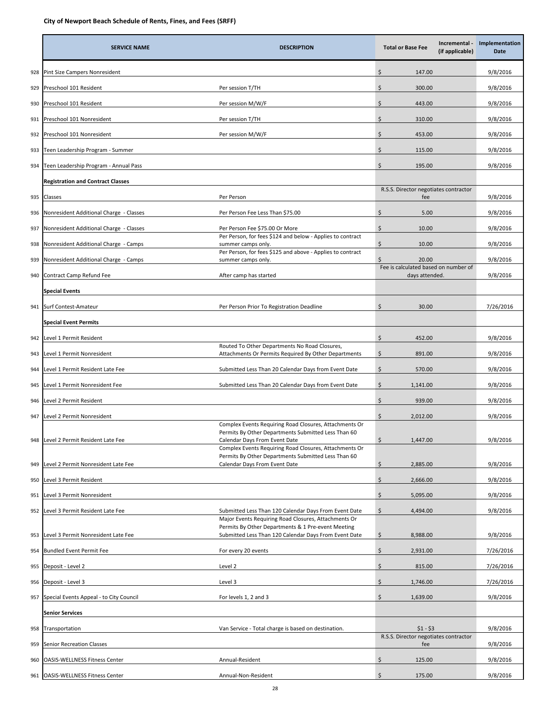|     | <b>SERVICE NAME</b>                      | <b>DESCRIPTION</b>                                                                                                                                                  | Incremental -<br><b>Total or Base Fee</b><br>(if applicable) | Implementation<br>Date |
|-----|------------------------------------------|---------------------------------------------------------------------------------------------------------------------------------------------------------------------|--------------------------------------------------------------|------------------------|
| 928 | Pint Size Campers Nonresident            |                                                                                                                                                                     | \$<br>147.00                                                 | 9/8/2016               |
| 929 | Preschool 101 Resident                   | Per session T/TH                                                                                                                                                    | \$<br>300.00                                                 | 9/8/2016               |
| 930 | Preschool 101 Resident                   | Per session M/W/F                                                                                                                                                   | \$<br>443.00                                                 | 9/8/2016               |
| 931 | Preschool 101 Nonresident                | Per session T/TH                                                                                                                                                    | \$<br>310.00                                                 | 9/8/2016               |
| 932 | Preschool 101 Nonresident                | Per session M/W/F                                                                                                                                                   | \$<br>453.00                                                 | 9/8/2016               |
| 933 | Teen Leadership Program - Summer         |                                                                                                                                                                     | Ś<br>115.00                                                  | 9/8/2016               |
| 934 | Teen Leadership Program - Annual Pass    |                                                                                                                                                                     | \$<br>195.00                                                 | 9/8/2016               |
|     | <b>Registration and Contract Classes</b> |                                                                                                                                                                     |                                                              |                        |
| 935 | Classes                                  | Per Person                                                                                                                                                          | R.S.S. Director negotiates contractor<br>fee                 | 9/8/2016               |
| 936 | Nonresident Additional Charge - Classes  | Per Person Fee Less Than \$75.00                                                                                                                                    | \$<br>5.00                                                   | 9/8/2016               |
| 937 | Nonresident Additional Charge - Classes  | Per Person Fee \$75.00 Or More                                                                                                                                      | \$<br>10.00                                                  | 9/8/2016               |
| 938 | Nonresident Additional Charge - Camps    | Per Person, for fees \$124 and below - Applies to contract<br>summer camps only.                                                                                    | \$<br>10.00                                                  | 9/8/2016               |
| 939 | Nonresident Additional Charge - Camps    | Per Person, for fees \$125 and above - Applies to contract<br>summer camps only.                                                                                    | Ś<br>20.00                                                   | 9/8/2016               |
| 940 | Contract Camp Refund Fee                 | After camp has started                                                                                                                                              | Fee is calculated based on number of<br>days attended.       | 9/8/2016               |
|     | <b>Special Events</b>                    |                                                                                                                                                                     |                                                              |                        |
| 941 | Surf Contest-Amateur                     | Per Person Prior To Registration Deadline                                                                                                                           | \$<br>30.00                                                  | 7/26/2016              |
|     | <b>Special Event Permits</b>             |                                                                                                                                                                     |                                                              |                        |
| 942 | Level 1 Permit Resident                  |                                                                                                                                                                     | \$<br>452.00                                                 | 9/8/2016               |
| 943 | Level 1 Permit Nonresident               | Routed To Other Departments No Road Closures,<br>Attachments Or Permits Required By Other Departments                                                               | \$<br>891.00                                                 | 9/8/2016               |
| 944 | evel 1 Permit Resident Late Fee          | Submitted Less Than 20 Calendar Days from Event Date                                                                                                                | \$<br>570.00                                                 | 9/8/2016               |
| 945 | Level 1 Permit Nonresident Fee           | Submitted Less Than 20 Calendar Days from Event Date                                                                                                                | \$<br>1,141.00                                               | 9/8/2016               |
| 946 | Level 2 Permit Resident                  |                                                                                                                                                                     | \$<br>939.00                                                 | 9/8/2016               |
| 947 | Level 2 Permit Nonresident               |                                                                                                                                                                     | \$<br>2,012.00                                               | 9/8/2016               |
| 948 | Level 2 Permit Resident Late Fee         | Complex Events Requiring Road Closures, Attachments Or<br>Permits By Other Departments Submitted Less Than 60<br>Calendar Days From Event Date                      | \$<br>1,447.00                                               | 9/8/2016               |
| 949 | Level 2 Permit Nonresident Late Fee      | Complex Events Requiring Road Closures, Attachments Or<br>Permits By Other Departments Submitted Less Than 60<br>Calendar Days From Event Date                      | \$<br>2,885.00                                               | 9/8/2016               |
| 950 | Level 3 Permit Resident                  |                                                                                                                                                                     | \$<br>2,666.00                                               | 9/8/2016               |
| 951 | Level 3 Permit Nonresident               |                                                                                                                                                                     | Ś<br>5,095.00                                                | 9/8/2016               |
| 952 | Level 3 Permit Resident Late Fee         | Submitted Less Than 120 Calendar Days From Event Date                                                                                                               | \$<br>4,494.00                                               | 9/8/2016               |
| 953 | Level 3 Permit Nonresident Late Fee      | Major Events Requiring Road Closures, Attachments Or<br>Permits By Other Departments & 1 Pre-event Meeting<br>Submitted Less Than 120 Calendar Days From Event Date | 8,988.00<br>\$                                               | 9/8/2016               |
| 954 | Bundled Event Permit Fee                 | For every 20 events                                                                                                                                                 | \$<br>2,931.00                                               | 7/26/2016              |
| 955 | Deposit - Level 2                        | Level 2                                                                                                                                                             | \$<br>815.00                                                 | 7/26/2016              |
| 956 | Deposit - Level 3                        | Level 3                                                                                                                                                             | \$<br>1,746.00                                               | 7/26/2016              |
| 957 | Special Events Appeal - to City Council  | For levels 1, 2 and 3                                                                                                                                               | \$<br>1,639.00                                               | 9/8/2016               |
|     | <b>Senior Services</b>                   |                                                                                                                                                                     |                                                              |                        |
| 958 | Transportation                           | Van Service - Total charge is based on destination.                                                                                                                 | $$1 - $3$                                                    | 9/8/2016               |
| 959 | Senior Recreation Classes                |                                                                                                                                                                     | R.S.S. Director negotiates contractor<br>fee                 | 9/8/2016               |
| 960 | <b>OASIS-WELLNESS Fitness Center</b>     | Annual-Resident                                                                                                                                                     | \$<br>125.00                                                 | 9/8/2016               |
| 961 | <b>OASIS-WELLNESS Fitness Center</b>     | Annual-Non-Resident                                                                                                                                                 | \$<br>175.00                                                 | 9/8/2016               |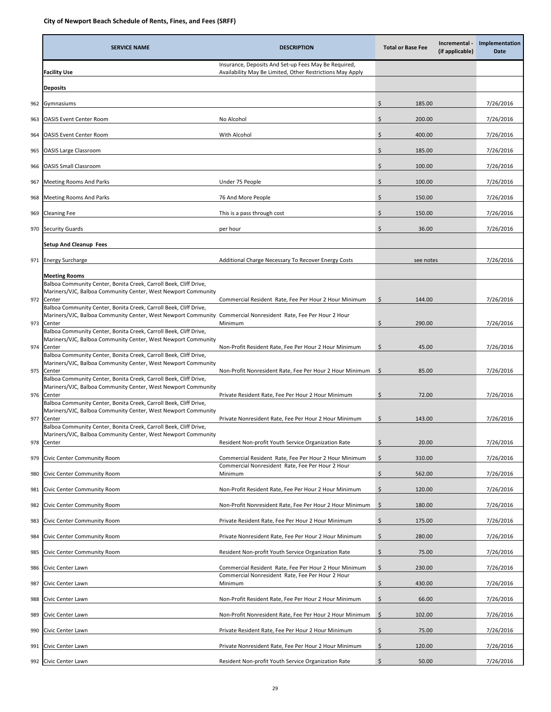|     | <b>SERVICE NAME</b>                                                                                                                                                                                               | <b>DESCRIPTION</b>                                                                                                | <b>Total or Base Fee</b> | Incremental -<br>(if applicable) | Implementation<br>Date |
|-----|-------------------------------------------------------------------------------------------------------------------------------------------------------------------------------------------------------------------|-------------------------------------------------------------------------------------------------------------------|--------------------------|----------------------------------|------------------------|
|     | <b>Facility Use</b>                                                                                                                                                                                               | Insurance, Deposits And Set-up Fees May Be Required,<br>Availability May Be Limited, Other Restrictions May Apply |                          |                                  |                        |
|     | <b>Deposits</b>                                                                                                                                                                                                   |                                                                                                                   |                          |                                  |                        |
| 962 | Gymnasiums                                                                                                                                                                                                        |                                                                                                                   | \$<br>185.00             |                                  | 7/26/2016              |
| 963 | <b>OASIS Event Center Room</b>                                                                                                                                                                                    | No Alcohol                                                                                                        | \$<br>200.00             |                                  | 7/26/2016              |
| 964 | <b>OASIS Event Center Room</b>                                                                                                                                                                                    | With Alcohol                                                                                                      | \$<br>400.00             |                                  | 7/26/2016              |
| 965 | <b>OASIS Large Classroom</b>                                                                                                                                                                                      |                                                                                                                   | \$<br>185.00             |                                  | 7/26/2016              |
| 966 | <b>OASIS Small Classroom</b>                                                                                                                                                                                      |                                                                                                                   | Ś<br>100.00              |                                  | 7/26/2016              |
| 967 | <b>Meeting Rooms And Parks</b>                                                                                                                                                                                    | Under 75 People                                                                                                   | \$<br>100.00             |                                  | 7/26/2016              |
| 968 | <b>Meeting Rooms And Parks</b>                                                                                                                                                                                    | 76 And More People                                                                                                | \$<br>150.00             |                                  | 7/26/2016              |
| 969 | <b>Cleaning Fee</b>                                                                                                                                                                                               | This is a pass through cost                                                                                       | \$<br>150.00             |                                  | 7/26/2016              |
| 970 | <b>Security Guards</b>                                                                                                                                                                                            | per hour                                                                                                          | Ś<br>36.00               |                                  | 7/26/2016              |
|     | <b>Setup And Cleanup Fees</b>                                                                                                                                                                                     |                                                                                                                   |                          |                                  |                        |
| 971 | <b>Energy Surcharge</b>                                                                                                                                                                                           | Additional Charge Necessary To Recover Energy Costs                                                               | see notes                |                                  | 7/26/2016              |
|     | <b>Meeting Rooms</b>                                                                                                                                                                                              |                                                                                                                   |                          |                                  |                        |
| 972 | Balboa Community Center, Bonita Creek, Carroll Beek, Cliff Drive,<br>Mariners/VJC, Balboa Community Center, West Newport Community<br>Center                                                                      | Commercial Resident Rate, Fee Per Hour 2 Hour Minimum                                                             | 144.00<br>\$             |                                  | 7/26/2016              |
|     | Balboa Community Center, Bonita Creek, Carroll Beek, Cliff Drive,<br>Mariners/VJC, Balboa Community Center, West Newport Community<br>973 Center                                                                  | Commercial Nonresident Rate, Fee Per Hour 2 Hour<br>Minimum                                                       | 290.00<br>\$             |                                  | 7/26/2016              |
| 974 | Balboa Community Center, Bonita Creek, Carroll Beek, Cliff Drive,<br>Mariners/VJC, Balboa Community Center, West Newport Community<br>Center<br>Balboa Community Center, Bonita Creek, Carroll Beek, Cliff Drive, | Non-Profit Resident Rate, Fee Per Hour 2 Hour Minimum                                                             | \$<br>45.00              |                                  | 7/26/2016              |
|     | Mariners/VJC, Balboa Community Center, West Newport Community<br>975 Center                                                                                                                                       | Non-Profit Nonresident Rate, Fee Per Hour 2 Hour Minimum                                                          | \$<br>85.00              |                                  | 7/26/2016              |
|     | Balboa Community Center, Bonita Creek, Carroll Beek, Cliff Drive,<br>Mariners/VJC, Balboa Community Center, West Newport Community<br>976 Center                                                                  | Private Resident Rate, Fee Per Hour 2 Hour Minimum                                                                | \$<br>72.00              |                                  | 7/26/2016              |
| 977 | Balboa Community Center, Bonita Creek, Carroll Beek, Cliff Drive,<br>Mariners/VJC, Balboa Community Center, West Newport Community<br>Center                                                                      | Private Nonresident Rate, Fee Per Hour 2 Hour Minimum                                                             | \$.<br>143.00            |                                  | 7/26/2016              |
| 978 | Balboa Community Center, Bonita Creek, Carroll Beek, Cliff Drive,<br>Mariners/VJC, Balboa Community Center, West Newport Community<br>Center                                                                      | Resident Non-profit Youth Service Organization Rate                                                               | \$<br>20.00              |                                  | 7/26/2016              |
| 979 | Civic Center Community Room                                                                                                                                                                                       | Commercial Resident Rate, Fee Per Hour 2 Hour Minimum                                                             | \$<br>310.00             |                                  | 7/26/2016              |
| 980 | Civic Center Community Room                                                                                                                                                                                       | Commercial Nonresident Rate, Fee Per Hour 2 Hour<br>Minimum                                                       | \$<br>562.00             |                                  | 7/26/2016              |
| 981 | Civic Center Community Room                                                                                                                                                                                       | Non-Profit Resident Rate, Fee Per Hour 2 Hour Minimum                                                             | \$<br>120.00             |                                  | 7/26/2016              |
| 982 | Civic Center Community Room                                                                                                                                                                                       | Non-Profit Nonresident Rate, Fee Per Hour 2 Hour Minimum                                                          | \$<br>180.00             |                                  | 7/26/2016              |
| 983 | Civic Center Community Room                                                                                                                                                                                       | Private Resident Rate, Fee Per Hour 2 Hour Minimum                                                                | \$<br>175.00             |                                  | 7/26/2016              |
| 984 | Civic Center Community Room                                                                                                                                                                                       | Private Nonresident Rate, Fee Per Hour 2 Hour Minimum                                                             | \$<br>280.00             |                                  | 7/26/2016              |
| 985 | Civic Center Community Room                                                                                                                                                                                       | Resident Non-profit Youth Service Organization Rate                                                               | \$<br>75.00              |                                  | 7/26/2016              |
| 986 | Civic Center Lawn                                                                                                                                                                                                 | Commercial Resident Rate, Fee Per Hour 2 Hour Minimum                                                             | \$<br>230.00             |                                  | 7/26/2016              |
| 987 | Civic Center Lawn                                                                                                                                                                                                 | Commercial Nonresident Rate, Fee Per Hour 2 Hour<br>Minimum                                                       | \$<br>430.00             |                                  | 7/26/2016              |
| 988 | Civic Center Lawn                                                                                                                                                                                                 | Non-Profit Resident Rate, Fee Per Hour 2 Hour Minimum                                                             | \$<br>66.00              |                                  | 7/26/2016              |
| 989 | Civic Center Lawn                                                                                                                                                                                                 | Non-Profit Nonresident Rate, Fee Per Hour 2 Hour Minimum                                                          | \$<br>102.00             |                                  | 7/26/2016              |
| 990 | Civic Center Lawn                                                                                                                                                                                                 | Private Resident Rate, Fee Per Hour 2 Hour Minimum                                                                | \$<br>75.00              |                                  | 7/26/2016              |
| 991 | Civic Center Lawn                                                                                                                                                                                                 | Private Nonresident Rate, Fee Per Hour 2 Hour Minimum                                                             | Ś<br>120.00              |                                  | 7/26/2016              |
| 992 | Civic Center Lawn                                                                                                                                                                                                 | Resident Non-profit Youth Service Organization Rate                                                               | \$<br>50.00              |                                  | 7/26/2016              |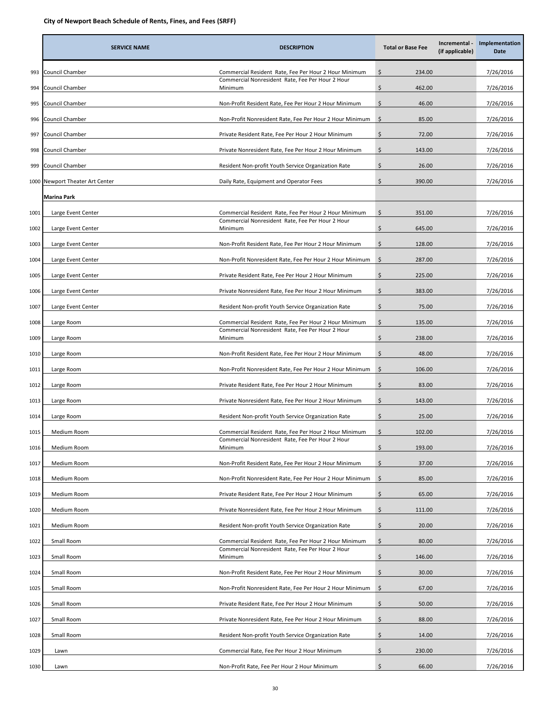|      | <b>SERVICE NAME</b>        | <b>DESCRIPTION</b>                                          | <b>Total or Base Fee</b> | Incremental -<br>(if applicable) | Implementation<br>Date |
|------|----------------------------|-------------------------------------------------------------|--------------------------|----------------------------------|------------------------|
| 993  | Council Chamber            | Commercial Resident Rate, Fee Per Hour 2 Hour Minimum       | \$<br>234.00             |                                  | 7/26/2016              |
| 994  | Council Chamber            | Commercial Nonresident Rate, Fee Per Hour 2 Hour<br>Minimum | \$<br>462.00             |                                  | 7/26/2016              |
| 995  | Council Chamber            | Non-Profit Resident Rate, Fee Per Hour 2 Hour Minimum       | \$<br>46.00              |                                  | 7/26/2016              |
| 996  | Council Chamber            | Non-Profit Nonresident Rate, Fee Per Hour 2 Hour Minimum    | \$<br>85.00              |                                  | 7/26/2016              |
| 997  | Council Chamber            | Private Resident Rate, Fee Per Hour 2 Hour Minimum          | \$<br>72.00              |                                  | 7/26/2016              |
| 998  | Council Chamber            | Private Nonresident Rate, Fee Per Hour 2 Hour Minimum       | \$<br>143.00             |                                  | 7/26/2016              |
| 999  | Council Chamber            | Resident Non-profit Youth Service Organization Rate         | \$<br>26.00              |                                  | 7/26/2016              |
| 1000 | Newport Theater Art Center | Daily Rate, Equipment and Operator Fees                     | \$<br>390.00             |                                  | 7/26/2016              |
|      | Marina Park                |                                                             |                          |                                  |                        |
| 1001 | Large Event Center         | Commercial Resident Rate, Fee Per Hour 2 Hour Minimum       | \$<br>351.00             |                                  | 7/26/2016              |
| 1002 | Large Event Center         | Commercial Nonresident Rate, Fee Per Hour 2 Hour<br>Minimum | \$<br>645.00             |                                  | 7/26/2016              |
| 1003 | Large Event Center         | Non-Profit Resident Rate, Fee Per Hour 2 Hour Minimum       | \$<br>128.00             |                                  | 7/26/2016              |
| 1004 | Large Event Center         | Non-Profit Nonresident Rate, Fee Per Hour 2 Hour Minimum    | \$<br>287.00             |                                  | 7/26/2016              |
| 1005 | Large Event Center         | Private Resident Rate, Fee Per Hour 2 Hour Minimum          | \$<br>225.00             |                                  | 7/26/2016              |
| 1006 | Large Event Center         | Private Nonresident Rate, Fee Per Hour 2 Hour Minimum       | \$<br>383.00             |                                  | 7/26/2016              |
| 1007 | Large Event Center         | Resident Non-profit Youth Service Organization Rate         | \$<br>75.00              |                                  | 7/26/2016              |
| 1008 | Large Room                 | Commercial Resident Rate, Fee Per Hour 2 Hour Minimum       | \$<br>135.00             |                                  | 7/26/2016              |
| 1009 | Large Room                 | Commercial Nonresident Rate, Fee Per Hour 2 Hour<br>Minimum | \$<br>238.00             |                                  | 7/26/2016              |
| 1010 | Large Room                 | Non-Profit Resident Rate, Fee Per Hour 2 Hour Minimum       | \$<br>48.00              |                                  | 7/26/2016              |
| 1011 | Large Room                 | Non-Profit Nonresident Rate, Fee Per Hour 2 Hour Minimum    | \$<br>106.00             |                                  | 7/26/2016              |
| 1012 | Large Room                 | Private Resident Rate, Fee Per Hour 2 Hour Minimum          | \$<br>83.00              |                                  | 7/26/2016              |
| 1013 | Large Room                 | Private Nonresident Rate, Fee Per Hour 2 Hour Minimum       | \$<br>143.00             |                                  | 7/26/2016              |
| 1014 | Large Room                 | Resident Non-profit Youth Service Organization Rate         | \$<br>25.00              |                                  | 7/26/2016              |
| 1015 | Medium Room                | Commercial Resident Rate, Fee Per Hour 2 Hour Minimum       | \$<br>102.00             |                                  | 7/26/2016              |
| 1016 | Medium Room                | Commercial Nonresident Rate, Fee Per Hour 2 Hour<br>Minimum | \$<br>193.00             |                                  | 7/26/2016              |
| 1017 | Medium Room                | Non-Profit Resident Rate, Fee Per Hour 2 Hour Minimum       | \$<br>37.00              |                                  | 7/26/2016              |
| 1018 | Medium Room                | Non-Profit Nonresident Rate, Fee Per Hour 2 Hour Minimum    | \$<br>85.00              |                                  | 7/26/2016              |
| 1019 | Medium Room                | Private Resident Rate, Fee Per Hour 2 Hour Minimum          | \$<br>65.00              |                                  | 7/26/2016              |
| 1020 | Medium Room                | Private Nonresident Rate, Fee Per Hour 2 Hour Minimum       | \$<br>111.00             |                                  | 7/26/2016              |
| 1021 | Medium Room                | Resident Non-profit Youth Service Organization Rate         | \$<br>20.00              |                                  | 7/26/2016              |
| 1022 | Small Room                 | Commercial Resident Rate, Fee Per Hour 2 Hour Minimum       | \$<br>80.00              |                                  | 7/26/2016              |
| 1023 | Small Room                 | Commercial Nonresident Rate, Fee Per Hour 2 Hour<br>Minimum | \$<br>146.00             |                                  | 7/26/2016              |
| 1024 | Small Room                 | Non-Profit Resident Rate, Fee Per Hour 2 Hour Minimum       | \$<br>30.00              |                                  | 7/26/2016              |
| 1025 | Small Room                 | Non-Profit Nonresident Rate, Fee Per Hour 2 Hour Minimum    | \$<br>67.00              |                                  | 7/26/2016              |
| 1026 | Small Room                 | Private Resident Rate, Fee Per Hour 2 Hour Minimum          | \$<br>50.00              |                                  | 7/26/2016              |
| 1027 | Small Room                 | Private Nonresident Rate, Fee Per Hour 2 Hour Minimum       | \$<br>88.00              |                                  | 7/26/2016              |
| 1028 | Small Room                 | Resident Non-profit Youth Service Organization Rate         | \$<br>14.00              |                                  | 7/26/2016              |
| 1029 | Lawn                       | Commercial Rate, Fee Per Hour 2 Hour Minimum                | \$<br>230.00             |                                  | 7/26/2016              |
| 1030 | Lawn                       | Non-Profit Rate, Fee Per Hour 2 Hour Minimum                | Ś<br>66.00               |                                  | 7/26/2016              |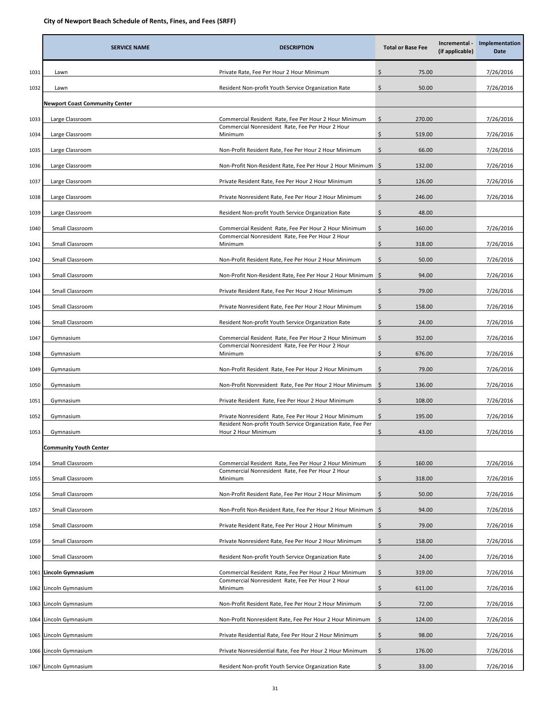|      | <b>SERVICE NAME</b>                   | <b>DESCRIPTION</b>                                                                  | <b>Total or Base Fee</b> | Incremental -<br>(if applicable) | Implementation<br>Date |
|------|---------------------------------------|-------------------------------------------------------------------------------------|--------------------------|----------------------------------|------------------------|
| 1031 | Lawn                                  | Private Rate, Fee Per Hour 2 Hour Minimum                                           | \$<br>75.00              |                                  | 7/26/2016              |
| 1032 | Lawn                                  | Resident Non-profit Youth Service Organization Rate                                 | \$<br>50.00              |                                  | 7/26/2016              |
|      | <b>Newport Coast Community Center</b> |                                                                                     |                          |                                  |                        |
| 1033 | Large Classroom                       | Commercial Resident Rate, Fee Per Hour 2 Hour Minimum                               | \$<br>270.00             |                                  | 7/26/2016              |
| 1034 | Large Classroom                       | Commercial Nonresident Rate, Fee Per Hour 2 Hour<br>Minimum                         | \$<br>519.00             |                                  | 7/26/2016              |
| 1035 | Large Classroom                       | Non-Profit Resident Rate, Fee Per Hour 2 Hour Minimum                               | Ś.<br>66.00              |                                  | 7/26/2016              |
| 1036 | Large Classroom                       | Non-Profit Non-Resident Rate, Fee Per Hour 2 Hour Minimum \$                        | 132.00                   |                                  | 7/26/2016              |
| 1037 | Large Classroom                       | Private Resident Rate, Fee Per Hour 2 Hour Minimum                                  | \$<br>126.00             |                                  | 7/26/2016              |
| 1038 | Large Classroom                       | Private Nonresident Rate, Fee Per Hour 2 Hour Minimum                               | \$<br>246.00             |                                  | 7/26/2016              |
| 1039 | Large Classroom                       | Resident Non-profit Youth Service Organization Rate                                 | \$<br>48.00              |                                  |                        |
| 1040 | Small Classroom                       | Commercial Resident Rate, Fee Per Hour 2 Hour Minimum                               | \$<br>160.00             |                                  | 7/26/2016              |
| 1041 | Small Classroom                       | Commercial Nonresident Rate, Fee Per Hour 2 Hour<br>Minimum                         | \$<br>318.00             |                                  | 7/26/2016              |
| 1042 | Small Classroom                       | Non-Profit Resident Rate, Fee Per Hour 2 Hour Minimum                               | \$<br>50.00              |                                  | 7/26/2016              |
| 1043 | Small Classroom                       | Non-Profit Non-Resident Rate, Fee Per Hour 2 Hour Minimum \$                        | 94.00                    |                                  | 7/26/2016              |
| 1044 | Small Classroom                       | Private Resident Rate, Fee Per Hour 2 Hour Minimum                                  | \$<br>79.00              |                                  | 7/26/2016              |
| 1045 | Small Classroom                       | Private Nonresident Rate, Fee Per Hour 2 Hour Minimum                               | Ś.<br>158.00             |                                  | 7/26/2016              |
| 1046 | Small Classroom                       | Resident Non-profit Youth Service Organization Rate                                 | \$<br>24.00              |                                  | 7/26/2016              |
| 1047 | Gymnasium                             | Commercial Resident Rate, Fee Per Hour 2 Hour Minimum                               | \$<br>352.00             |                                  | 7/26/2016              |
| 1048 | Gymnasium                             | Commercial Nonresident Rate, Fee Per Hour 2 Hour<br>Minimum                         | \$<br>676.00             |                                  | 7/26/2016              |
| 1049 | Gymnasium                             | Non-Profit Resident Rate, Fee Per Hour 2 Hour Minimum                               | \$<br>79.00              |                                  | 7/26/2016              |
| 1050 | Gymnasium                             | Non-Profit Nonresident Rate, Fee Per Hour 2 Hour Minimum \$                         | 136.00                   |                                  | 7/26/2016              |
| 1051 | Gymnasium                             | Private Resident Rate, Fee Per Hour 2 Hour Minimum                                  | \$<br>108.00             |                                  | 7/26/2016              |
| 1052 | Gymnasium                             | Private Nonresident Rate, Fee Per Hour 2 Hour Minimum                               | \$<br>195.00             |                                  | 7/26/2016              |
| 1053 | Gymnasium                             | Resident Non-profit Youth Service Organization Rate, Fee Per<br>Hour 2 Hour Minimum | \$<br>43.00              |                                  | 7/26/2016              |
|      | <b>Community Youth Center</b>         |                                                                                     |                          |                                  |                        |
| 1054 | Small Classroom                       | Commercial Resident Rate, Fee Per Hour 2 Hour Minimum                               | Ŝ.<br>160.00             |                                  | 7/26/2016              |
| 1055 | Small Classroom                       | Commercial Nonresident Rate, Fee Per Hour 2 Hour<br>Minimum                         | \$<br>318.00             |                                  | 7/26/2016              |
| 1056 | Small Classroom                       | Non-Profit Resident Rate, Fee Per Hour 2 Hour Minimum                               | \$<br>50.00              |                                  | 7/26/2016              |
| 1057 | Small Classroom                       | Non-Profit Non-Resident Rate, Fee Per Hour 2 Hour Minimum \$                        | 94.00                    |                                  | 7/26/2016              |
| 1058 | Small Classroom                       | Private Resident Rate, Fee Per Hour 2 Hour Minimum                                  | \$<br>79.00              |                                  | 7/26/2016              |
| 1059 | Small Classroom                       | Private Nonresident Rate, Fee Per Hour 2 Hour Minimum                               | \$<br>158.00             |                                  | 7/26/2016              |
| 1060 | Small Classroom                       | Resident Non-profit Youth Service Organization Rate                                 | \$<br>24.00              |                                  | 7/26/2016              |
| 1061 | Lincoln Gymnasium                     | Commercial Resident Rate, Fee Per Hour 2 Hour Minimum                               | \$<br>319.00             |                                  | 7/26/2016              |
| 1062 | Lincoln Gymnasium                     | Commercial Nonresident Rate, Fee Per Hour 2 Hour<br>Minimum                         | \$<br>611.00             |                                  | 7/26/2016              |
| 1063 | Lincoln Gymnasium                     | Non-Profit Resident Rate, Fee Per Hour 2 Hour Minimum                               | \$<br>72.00              |                                  | 7/26/2016              |
|      | 1064 Lincoln Gymnasium                | Non-Profit Nonresident Rate, Fee Per Hour 2 Hour Minimum                            | \$<br>124.00             |                                  | 7/26/2016              |
|      | 1065 Lincoln Gymnasium                | Private Residential Rate, Fee Per Hour 2 Hour Minimum                               | \$<br>98.00              |                                  | 7/26/2016              |
|      | 1066 Lincoln Gymnasium                | Private Nonresidential Rate, Fee Per Hour 2 Hour Minimum                            | \$<br>176.00             |                                  | 7/26/2016              |
|      | 1067 Lincoln Gymnasium                | Resident Non-profit Youth Service Organization Rate                                 | \$<br>33.00              |                                  | 7/26/2016              |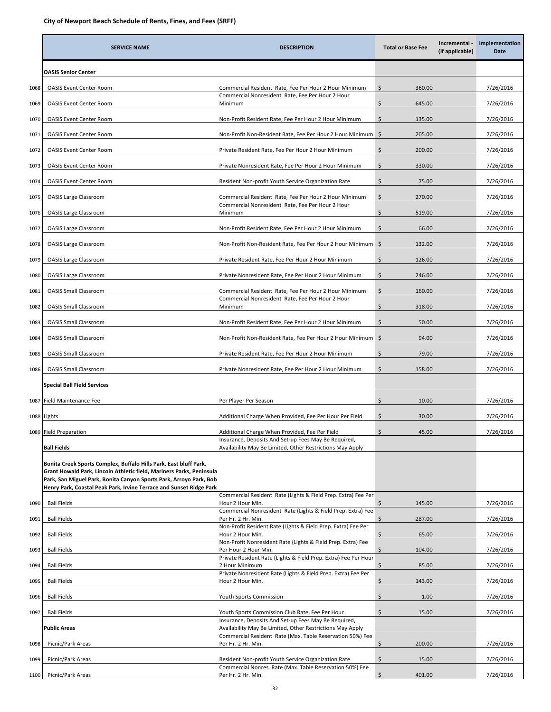|      | <b>SERVICE NAME</b>                                                                                                                                                                                                                                                                    | <b>DESCRIPTION</b>                                                                                                | <b>Total or Base Fee</b> | Incremental -<br>(if applicable) | Implementation<br>Date |
|------|----------------------------------------------------------------------------------------------------------------------------------------------------------------------------------------------------------------------------------------------------------------------------------------|-------------------------------------------------------------------------------------------------------------------|--------------------------|----------------------------------|------------------------|
|      | <b>OASIS Senior Center</b>                                                                                                                                                                                                                                                             |                                                                                                                   |                          |                                  |                        |
| 1068 | <b>OASIS Event Center Room</b>                                                                                                                                                                                                                                                         | Commercial Resident Rate, Fee Per Hour 2 Hour Minimum                                                             | 360.00<br>\$             |                                  | 7/26/2016              |
| 1069 | <b>OASIS Event Center Room</b>                                                                                                                                                                                                                                                         | Commercial Nonresident Rate, Fee Per Hour 2 Hour<br>Minimum                                                       | \$<br>645.00             |                                  | 7/26/2016              |
| 1070 | <b>OASIS Event Center Room</b>                                                                                                                                                                                                                                                         | Non-Profit Resident Rate, Fee Per Hour 2 Hour Minimum                                                             | \$<br>135.00             |                                  | 7/26/2016              |
| 1071 | <b>OASIS Event Center Room</b>                                                                                                                                                                                                                                                         | Non-Profit Non-Resident Rate, Fee Per Hour 2 Hour Minimum \$                                                      | 205.00                   |                                  | 7/26/2016              |
| 1072 | <b>OASIS Event Center Room</b>                                                                                                                                                                                                                                                         | Private Resident Rate, Fee Per Hour 2 Hour Minimum                                                                | \$<br>200.00             |                                  | 7/26/2016              |
| 1073 | <b>OASIS Event Center Room</b>                                                                                                                                                                                                                                                         | Private Nonresident Rate, Fee Per Hour 2 Hour Minimum                                                             | \$<br>330.00             |                                  | 7/26/2016              |
| 1074 | <b>OASIS Event Center Room</b>                                                                                                                                                                                                                                                         | Resident Non-profit Youth Service Organization Rate                                                               | \$<br>75.00              |                                  | 7/26/2016              |
| 1075 | <b>OASIS Large Classroom</b>                                                                                                                                                                                                                                                           | Commercial Resident Rate, Fee Per Hour 2 Hour Minimum                                                             | \$<br>270.00             |                                  | 7/26/2016              |
| 1076 | <b>OASIS Large Classroom</b>                                                                                                                                                                                                                                                           | Commercial Nonresident Rate, Fee Per Hour 2 Hour<br>Minimum                                                       | \$<br>519.00             |                                  | 7/26/2016              |
| 1077 | <b>OASIS Large Classroom</b>                                                                                                                                                                                                                                                           | Non-Profit Resident Rate, Fee Per Hour 2 Hour Minimum                                                             | \$<br>66.00              |                                  | 7/26/2016              |
| 1078 | <b>OASIS Large Classroom</b>                                                                                                                                                                                                                                                           | Non-Profit Non-Resident Rate, Fee Per Hour 2 Hour Minimum \$                                                      | 132.00                   |                                  | 7/26/2016              |
| 1079 | <b>OASIS Large Classroom</b>                                                                                                                                                                                                                                                           | Private Resident Rate, Fee Per Hour 2 Hour Minimum                                                                | \$<br>126.00             |                                  | 7/26/2016              |
| 1080 | <b>OASIS Large Classroom</b>                                                                                                                                                                                                                                                           | Private Nonresident Rate, Fee Per Hour 2 Hour Minimum                                                             | \$<br>246.00             |                                  | 7/26/2016              |
| 1081 | <b>OASIS Small Classroom</b>                                                                                                                                                                                                                                                           | Commercial Resident Rate, Fee Per Hour 2 Hour Minimum                                                             | \$<br>160.00             |                                  | 7/26/2016              |
| 1082 | <b>OASIS Small Classroom</b>                                                                                                                                                                                                                                                           | Commercial Nonresident Rate, Fee Per Hour 2 Hour<br>Minimum                                                       | \$<br>318.00             |                                  | 7/26/2016              |
| 1083 | <b>OASIS Small Classroom</b>                                                                                                                                                                                                                                                           | Non-Profit Resident Rate, Fee Per Hour 2 Hour Minimum                                                             | \$<br>50.00              |                                  | 7/26/2016              |
| 1084 | <b>OASIS Small Classroom</b>                                                                                                                                                                                                                                                           | Non-Profit Non-Resident Rate, Fee Per Hour 2 Hour Minimum \$                                                      | 94.00                    |                                  | 7/26/2016              |
| 1085 | <b>OASIS Small Classroom</b>                                                                                                                                                                                                                                                           | Private Resident Rate, Fee Per Hour 2 Hour Minimum                                                                | \$<br>79.00              |                                  | 7/26/2016              |
| 1086 | <b>OASIS Small Classroom</b>                                                                                                                                                                                                                                                           | Private Nonresident Rate, Fee Per Hour 2 Hour Minimum                                                             | \$<br>158.00             |                                  | 7/26/2016              |
|      | <b>Special Ball Field Services</b>                                                                                                                                                                                                                                                     |                                                                                                                   |                          |                                  |                        |
|      | 1087 Field Maintenance Fee                                                                                                                                                                                                                                                             | Per Player Per Season                                                                                             | 10.00<br>\$              |                                  | 7/26/2016              |
|      | 1088 Lights                                                                                                                                                                                                                                                                            | Additional Charge When Provided, Fee Per Hour Per Field                                                           | \$<br>30.00              |                                  | 7/26/2016              |
|      | 1089 Field Preparation                                                                                                                                                                                                                                                                 | Additional Charge When Provided, Fee Per Field                                                                    | \$<br>45.00              |                                  | 7/26/2016              |
|      | <b>Ball Fields</b>                                                                                                                                                                                                                                                                     | Insurance, Deposits And Set-up Fees May Be Required,<br>Availability May Be Limited, Other Restrictions May Apply |                          |                                  |                        |
|      | Bonita Creek Sports Complex, Buffalo Hills Park, East bluff Park,<br>Grant Howald Park, Lincoln Athletic field, Mariners Parks, Peninsula<br>Park, San Miguel Park, Bonita Canyon Sports Park, Arroyo Park, Bob<br>Henry Park, Coastal Peak Park, Irvine Terrace and Sunset Ridge Park |                                                                                                                   |                          |                                  |                        |
| 1090 | <b>Ball Fields</b>                                                                                                                                                                                                                                                                     | Commercial Resident Rate (Lights & Field Prep. Extra) Fee Per<br>Hour 2 Hour Min.                                 | \$<br>145.00             |                                  | 7/26/2016              |
| 1091 | <b>Ball Fields</b>                                                                                                                                                                                                                                                                     | Commercial Nonresident Rate (Lights & Field Prep. Extra) Fee<br>Per Hr. 2 Hr. Min.                                | \$<br>287.00             |                                  | 7/26/2016              |
| 1092 | <b>Ball Fields</b>                                                                                                                                                                                                                                                                     | Non-Profit Resident Rate (Lights & Field Prep. Extra) Fee Per<br>Hour 2 Hour Min.                                 | \$<br>65.00              |                                  | 7/26/2016              |
| 1093 | <b>Ball Fields</b>                                                                                                                                                                                                                                                                     | Non-Profit Nonresident Rate (Lights & Field Prep. Extra) Fee<br>Per Hour 2 Hour Min.                              | \$<br>104.00             |                                  | 7/26/2016              |
| 1094 | <b>Ball Fields</b>                                                                                                                                                                                                                                                                     | Private Resident Rate (Lights & Field Prep. Extra) Fee Per Hour<br>2 Hour Minimum                                 | \$<br>85.00              |                                  | 7/26/2016              |
| 1095 | <b>Ball Fields</b>                                                                                                                                                                                                                                                                     | Private Nonresident Rate (Lights & Field Prep. Extra) Fee Per<br>Hour 2 Hour Min.                                 | \$<br>143.00             |                                  | 7/26/2016              |
| 1096 | <b>Ball Fields</b>                                                                                                                                                                                                                                                                     | Youth Sports Commission                                                                                           | \$<br>1.00               |                                  | 7/26/2016              |
| 1097 | <b>Ball Fields</b>                                                                                                                                                                                                                                                                     | Youth Sports Commission Club Rate, Fee Per Hour                                                                   | \$<br>15.00              |                                  | 7/26/2016              |
|      | Public Areas                                                                                                                                                                                                                                                                           | Insurance, Deposits And Set-up Fees May Be Required,<br>Availability May Be Limited, Other Restrictions May Apply |                          |                                  |                        |
| 1098 | Picnic/Park Areas                                                                                                                                                                                                                                                                      | Commercial Resident Rate (Max. Table Reservation 50%) Fee<br>Per Hr. 2 Hr. Min.                                   | \$<br>200.00             |                                  | 7/26/2016              |
| 1099 | Picnic/Park Areas                                                                                                                                                                                                                                                                      | Resident Non-profit Youth Service Organization Rate                                                               | \$<br>15.00              |                                  | 7/26/2016              |
| 1100 | Picnic/Park Areas                                                                                                                                                                                                                                                                      | Commercial Nonres. Rate (Max. Table Reservation 50%) Fee<br>Per Hr. 2 Hr. Min.                                    | \$<br>401.00             |                                  | 7/26/2016              |